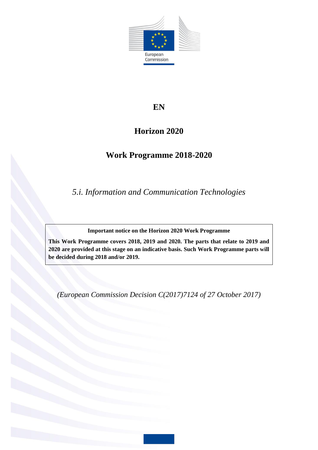

# **EN**

# **Horizon 2020**

# **Work Programme 2018-2020**

*5.i. Information and Communication Technologies*

**Important notice on the Horizon 2020 Work Programme**

**This Work Programme covers 2018, 2019 and 2020. The parts that relate to 2019 and 2020 are provided at this stage on an indicative basis. Such Work Programme parts will be decided during 2018 and/or 2019.**

*(European Commission Decision C(2017)7124 of 27 October 2017)*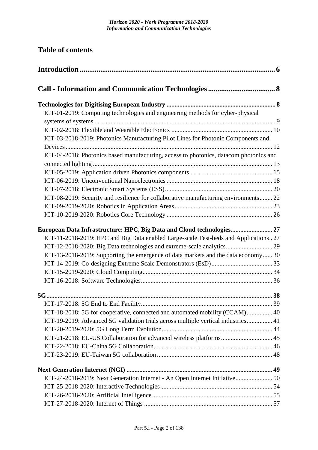| <b>Table of contents</b>                                                               |  |  |
|----------------------------------------------------------------------------------------|--|--|
|                                                                                        |  |  |
|                                                                                        |  |  |
|                                                                                        |  |  |
| ICT-01-2019: Computing technologies and engineering methods for cyber-physical         |  |  |
|                                                                                        |  |  |
|                                                                                        |  |  |
| ICT-03-2018-2019: Photonics Manufacturing Pilot Lines for Photonic Components and      |  |  |
| ICT-04-2018: Photonics based manufacturing, access to photonics, datacom photonics and |  |  |
|                                                                                        |  |  |
|                                                                                        |  |  |
|                                                                                        |  |  |
|                                                                                        |  |  |
| ICT-08-2019: Security and resilience for collaborative manufacturing environments 22   |  |  |
|                                                                                        |  |  |
|                                                                                        |  |  |
| European Data Infrastructure: HPC, Big Data and Cloud technologies 27                  |  |  |
| ICT-11-2018-2019: HPC and Big Data enabled Large-scale Test-beds and Applications 27   |  |  |
| ICT-12-2018-2020: Big Data technologies and extreme-scale analytics 29                 |  |  |
| ICT-13-2018-2019: Supporting the emergence of data markets and the data economy 30     |  |  |
|                                                                                        |  |  |
|                                                                                        |  |  |
|                                                                                        |  |  |
|                                                                                        |  |  |
|                                                                                        |  |  |
| ICT-18-2018: 5G for cooperative, connected and automated mobility (CCAM) 40            |  |  |
| ICT-19-2019: Advanced 5G validation trials across multiple vertical industries 41      |  |  |
|                                                                                        |  |  |
| ICT-21-2018: EU-US Collaboration for advanced wireless platforms 45                    |  |  |
|                                                                                        |  |  |
|                                                                                        |  |  |
|                                                                                        |  |  |
| ICT-24-2018-2019: Next Generation Internet - An Open Internet Initiative 50            |  |  |
|                                                                                        |  |  |
|                                                                                        |  |  |
|                                                                                        |  |  |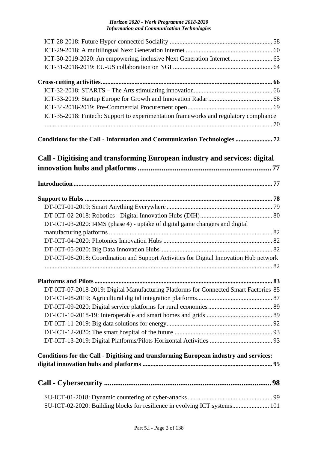| ICT-30-2019-2020: An empowering, inclusive Next Generation Internet  63                |  |
|----------------------------------------------------------------------------------------|--|
|                                                                                        |  |
|                                                                                        |  |
|                                                                                        |  |
|                                                                                        |  |
|                                                                                        |  |
| ICT-35-2018: Fintech: Support to experimentation frameworks and regulatory compliance  |  |
| Conditions for the Call - Information and Communication Technologies 72                |  |
| Call - Digitising and transforming European industry and services: digital             |  |
|                                                                                        |  |
|                                                                                        |  |
|                                                                                        |  |
|                                                                                        |  |
| DT-ICT-03-2020: I4MS (phase 4) - uptake of digital game changers and digital           |  |
|                                                                                        |  |
|                                                                                        |  |
|                                                                                        |  |
| DT-ICT-06-2018: Coordination and Support Activities for Digital Innovation Hub network |  |
|                                                                                        |  |
|                                                                                        |  |
| DT-ICT-07-2018-2019: Digital Manufacturing Platforms for Connected Smart Factories 85  |  |
|                                                                                        |  |
|                                                                                        |  |
|                                                                                        |  |
|                                                                                        |  |
|                                                                                        |  |
|                                                                                        |  |
| Conditions for the Call - Digitising and transforming European industry and services:  |  |
|                                                                                        |  |
|                                                                                        |  |
| SU-ICT-02-2020: Building blocks for resilience in evolving ICT systems 101             |  |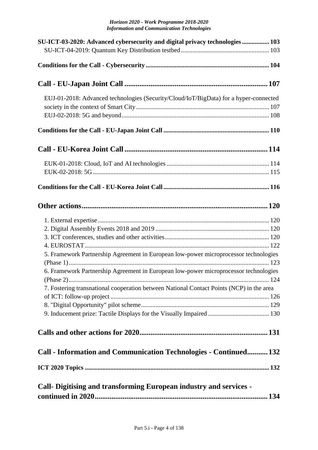| SU-ICT-03-2020: Advanced cybersecurity and digital privacy technologies 103              |  |
|------------------------------------------------------------------------------------------|--|
|                                                                                          |  |
|                                                                                          |  |
|                                                                                          |  |
| EUJ-01-2018: Advanced technologies (Security/Cloud/IoT/BigData) for a hyper-connected    |  |
|                                                                                          |  |
|                                                                                          |  |
|                                                                                          |  |
|                                                                                          |  |
|                                                                                          |  |
|                                                                                          |  |
|                                                                                          |  |
|                                                                                          |  |
|                                                                                          |  |
|                                                                                          |  |
|                                                                                          |  |
|                                                                                          |  |
| 5. Framework Partnership Agreement in European low-power microprocessor technologies     |  |
| 6. Framework Partnership Agreement in European low-power microprocessor technologies     |  |
|                                                                                          |  |
| 7. Fostering transnational cooperation between National Contact Points (NCP) in the area |  |
|                                                                                          |  |
|                                                                                          |  |
|                                                                                          |  |
|                                                                                          |  |
| Call - Information and Communication Technologies - Continued 132                        |  |
|                                                                                          |  |
| <b>Call- Digitising and transforming European industry and services -</b>                |  |
|                                                                                          |  |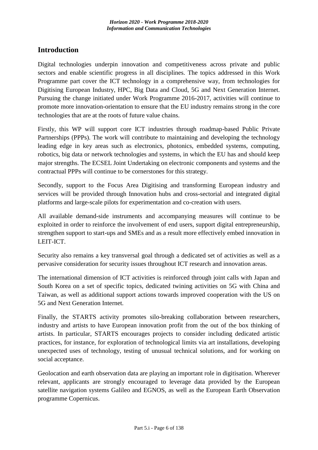# <span id="page-5-0"></span>**Introduction**

Digital technologies underpin innovation and competitiveness across private and public sectors and enable scientific progress in all disciplines. The topics addressed in this Work Programme part cover the ICT technology in a comprehensive way, from technologies for Digitising European Industry, HPC, Big Data and Cloud, 5G and Next Generation Internet. Pursuing the change initiated under Work Programme 2016-2017, activities will continue to promote more innovation-orientation to ensure that the EU industry remains strong in the core technologies that are at the roots of future value chains.

Firstly, this WP will support core ICT industries through roadmap-based Public Private Partnerships (PPPs). The work will contribute to maintaining and developing the technology leading edge in key areas such as electronics, photonics, embedded systems, computing, robotics, big data or network technologies and systems, in which the EU has and should keep major strengths. The ECSEL Joint Undertaking on electronic components and systems and the contractual PPPs will continue to be cornerstones for this strategy.

Secondly, support to the Focus Area Digitising and transforming European industry and services will be provided through Innovation hubs and cross-sectorial and integrated digital platforms and large-scale pilots for experimentation and co-creation with users.

All available demand-side instruments and accompanying measures will continue to be exploited in order to reinforce the involvement of end users, support digital entrepreneurship, strengthen support to start-ups and SMEs and as a result more effectively embed innovation in LEIT-ICT.

Security also remains a key transversal goal through a dedicated set of activities as well as a pervasive consideration for security issues throughout ICT research and innovation areas.

The international dimension of ICT activities is reinforced through joint calls with Japan and South Korea on a set of specific topics, dedicated twining activities on 5G with China and Taiwan, as well as additional support actions towards improved cooperation with the US on 5G and Next Generation Internet.

Finally, the STARTS activity promotes silo-breaking collaboration between researchers, industry and artists to have European innovation profit from the out of the box thinking of artists. In particular, STARTS encourages projects to consider including dedicated artistic practices, for instance, for exploration of technological limits via art installations, developing unexpected uses of technology, testing of unusual technical solutions, and for working on social acceptance.

Geolocation and earth observation data are playing an important role in digitisation. Wherever relevant, applicants are strongly encouraged to leverage data provided by the European satellite navigation systems Galileo and EGNOS, as well as the European Earth Observation programme Copernicus.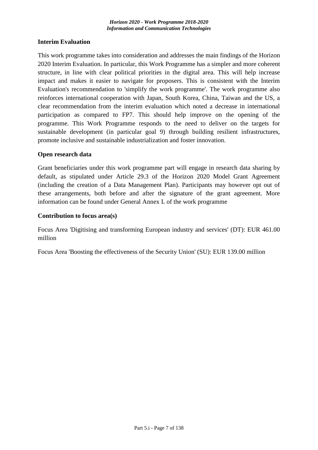### **Interim Evaluation**

This work programme takes into consideration and addresses the main findings of the Horizon 2020 Interim Evaluation. In particular, this Work Programme has a simpler and more coherent structure, in line with clear political priorities in the digital area. This will help increase impact and makes it easier to navigate for proposers. This is consistent with the Interim Evaluation's recommendation to 'simplify the work programme'. The work programme also reinforces international cooperation with Japan, South Korea, China, Taiwan and the US, a clear recommendation from the interim evaluation which noted a decrease in international participation as compared to FP7. This should help improve on the opening of the programme. This Work Programme responds to the need to deliver on the targets for sustainable development (in particular goal 9) through building resilient infrastructures, promote inclusive and sustainable industrialization and foster innovation.

#### **Open research data**

Grant beneficiaries under this work programme part will engage in research data sharing by default, as stipulated under Article 29.3 of the Horizon 2020 Model Grant Agreement (including the creation of a Data Management Plan). Participants may however opt out of these arrangements, both before and after the signature of the grant agreement. More information can be found under General Annex L of the work programme

#### **Contribution to focus area(s)**

Focus Area 'Digitising and transforming European industry and services' (DT): EUR 461.00 million

Focus Area 'Boosting the effectiveness of the Security Union' (SU): EUR 139.00 million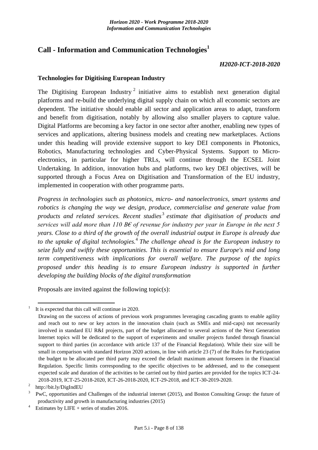# <span id="page-7-0"></span>**Call - Information and Communication Technologies<sup>1</sup>**

#### *H2020-ICT-2018-2020*

#### <span id="page-7-1"></span>**Technologies for Digitising European Industry**

The Digitising European Industry<sup>2</sup> initiative aims to establish next generation digital platforms and re-build the underlying digital supply chain on which all economic sectors are dependent. The initiative should enable all sector and application areas to adapt, transform and benefit from digitisation, notably by allowing also smaller players to capture value. Digital Platforms are becoming a key factor in one sector after another, enabling new types of services and applications, altering business models and creating new marketplaces. Actions under this heading will provide extensive support to key DEI components in Photonics, Robotics, Manufacturing technologies and Cyber-Physical Systems. Support to Microelectronics, in particular for higher TRLs, will continue through the ECSEL Joint Undertaking. In addition, innovation hubs and platforms, two key DEI objectives, will be supported through a Focus Area on Digitisation and Transformation of the EU industry, implemented in cooperation with other programme parts.

*Progress in technologies such as photonics, micro- and nanoelectronics, smart systems and robotics is changing the way we design, produce, commercialise and generate value from products and related services. Recent studies* <sup>3</sup> *estimate that digitisation of products and services will add more than 110 B€ of revenue for industry per year in Europe in the next 5 years. Close to a third of the growth of the overall industrial output in Europe is already due to the uptake of digital technologies.*<sup>4</sup> *The challenge ahead is for the European industry to seize fully and swiftly these opportunities. This is essential to ensure Europe's mid and long term competitiveness with implications for overall welfare. The purpose of the topics proposed under this heading is to ensure European industry is supported in further developing the building blocks of the digital transformation*

Proposals are invited against the following topic(s):

<u>.</u>

<sup>1</sup>It is expected that this call will continue in 2020.

Drawing on the success of actions of previous work programmes leveraging cascading grants to enable agility and reach out to new or key actors in the innovation chain (such as SMEs and mid-caps) not necessarily involved in standard EU R&I projects, part of the budget allocated to several actions of the Next Generation Internet topics will be dedicated to the support of experiments and smaller projects funded through financial support to third parties (in accordance with article 137 of the Financial Regulation). While their size will be small in comparison with standard Horizon 2020 actions, in line with article 23 (7) of the Rules for Participation the budget to be allocated per third party may exceed the default maximum amount foreseen in the Financial Regulation. Specific limits corresponding to the specific objectives to be addressed, and to the consequent expected scale and duration of the activities to be carried out by third parties are provided for the topics ICT-24- 2018-2019, ICT-25-2018-2020, ICT-26-2018-2020, ICT-29-2018, and ICT-30-2019-2020.

 $2$  http://bit.ly/DigIndEU

PwC, opportunities and Challenges of the industrial internet (2015), and Boston Consulting Group: the future of productivity and growth in manufacturing industries (2015)

Estimates by LIFE  $+$  series of studies 2016.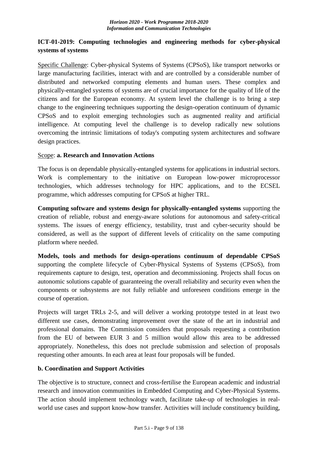# <span id="page-8-0"></span>**ICT-01-2019: Computing technologies and engineering methods for cyber-physical systems of systems**

Specific Challenge: Cyber-physical Systems of Systems (CPSoS), like transport networks or large manufacturing facilities, interact with and are controlled by a considerable number of distributed and networked computing elements and human users. These complex and physically-entangled systems of systems are of crucial importance for the quality of life of the citizens and for the European economy. At system level the challenge is to bring a step change to the engineering techniques supporting the design-operation continuum of dynamic CPSoS and to exploit emerging technologies such as augmented reality and artificial intelligence. At computing level the challenge is to develop radically new solutions overcoming the intrinsic limitations of today's computing system architectures and software design practices.

# Scope: **a. Research and Innovation Actions**

The focus is on dependable physically-entangled systems for applications in industrial sectors. Work is complementary to the initiative on European low-power microprocessor technologies, which addresses technology for HPC applications, and to the ECSEL programme, which addresses computing for CPSoS at higher TRL.

**Computing software and systems design for physically-entangled systems** supporting the creation of reliable, robust and energy-aware solutions for autonomous and safety-critical systems. The issues of energy efficiency, testability, trust and cyber-security should be considered, as well as the support of different levels of criticality on the same computing platform where needed.

**Models, tools and methods for design-operations continuum of dependable CPSoS** supporting the complete lifecycle of Cyber-Physical Systems of Systems (CPSoS), from requirements capture to design, test, operation and decommissioning. Projects shall focus on autonomic solutions capable of guaranteeing the overall reliability and security even when the components or subsystems are not fully reliable and unforeseen conditions emerge in the course of operation.

Projects will target TRLs 2-5, and will deliver a working prototype tested in at least two different use cases, demonstrating improvement over the state of the art in industrial and professional domains. The Commission considers that proposals requesting a contribution from the EU of between EUR 3 and 5 million would allow this area to be addressed appropriately. Nonetheless, this does not preclude submission and selection of proposals requesting other amounts. In each area at least four proposals will be funded.

# **b. Coordination and Support Activities**

The objective is to structure, connect and cross-fertilise the European academic and industrial research and innovation communities in Embedded Computing and Cyber-Physical Systems. The action should implement technology watch, facilitate take-up of technologies in realworld use cases and support know-how transfer. Activities will include constituency building,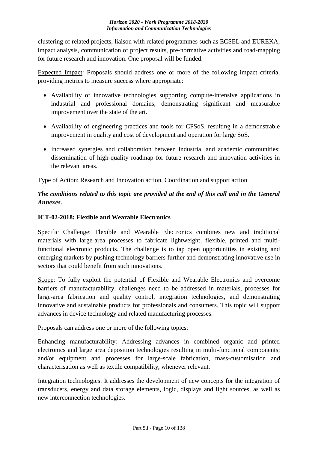clustering of related projects, liaison with related programmes such as ECSEL and EUREKA, impact analysis, communication of project results, pre-normative activities and road-mapping for future research and innovation. One proposal will be funded.

Expected Impact: Proposals should address one or more of the following impact criteria, providing metrics to measure success where appropriate:

- Availability of innovative technologies supporting compute-intensive applications in industrial and professional domains, demonstrating significant and measurable improvement over the state of the art.
- Availability of engineering practices and tools for CPSoS, resulting in a demonstrable improvement in quality and cost of development and operation for large SoS.
- Increased synergies and collaboration between industrial and academic communities; dissemination of high-quality roadmap for future research and innovation activities in the relevant areas.

Type of Action: Research and Innovation action, Coordination and support action

# *The conditions related to this topic are provided at the end of this call and in the General Annexes.*

# <span id="page-9-0"></span>**ICT-02-2018: Flexible and Wearable Electronics**

Specific Challenge: Flexible and Wearable Electronics combines new and traditional materials with large-area processes to fabricate lightweight, flexible, printed and multifunctional electronic products. The challenge is to tap open opportunities in existing and emerging markets by pushing technology barriers further and demonstrating innovative use in sectors that could benefit from such innovations.

Scope: To fully exploit the potential of Flexible and Wearable Electronics and overcome barriers of manufacturability, challenges need to be addressed in materials, processes for large-area fabrication and quality control, integration technologies, and demonstrating innovative and sustainable products for professionals and consumers. This topic will support advances in device technology and related manufacturing processes.

Proposals can address one or more of the following topics:

Enhancing manufacturability: Addressing advances in combined organic and printed electronics and large area deposition technologies resulting in multi-functional components; and/or equipment and processes for large-scale fabrication, mass-customisation and characterisation as well as textile compatibility, whenever relevant.

Integration technologies: It addresses the development of new concepts for the integration of transducers, energy and data storage elements, logic, displays and light sources, as well as new interconnection technologies.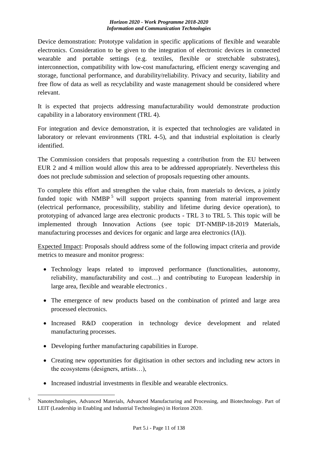Device demonstration: Prototype validation in specific applications of flexible and wearable electronics. Consideration to be given to the integration of electronic devices in connected wearable and portable settings (e.g. textiles, flexible or stretchable substrates), interconnection, compatibility with low-cost manufacturing, efficient energy scavenging and storage, functional performance, and durability/reliability. Privacy and security, liability and free flow of data as well as recyclability and waste management should be considered where relevant.

It is expected that projects addressing manufacturability would demonstrate production capability in a laboratory environment (TRL 4).

For integration and device demonstration, it is expected that technologies are validated in laboratory or relevant environments (TRL 4-5), and that industrial exploitation is clearly identified.

The Commission considers that proposals requesting a contribution from the EU between EUR 2 and 4 million would allow this area to be addressed appropriately. Nevertheless this does not preclude submission and selection of proposals requesting other amounts.

To complete this effort and strengthen the value chain, from materials to devices, a jointly funded topic with NMBP<sup>5</sup> will support projects spanning from material improvement (electrical performance, processibility, stability and lifetime during device operation), to prototyping of advanced large area electronic products - TRL 3 to TRL 5. This topic will be implemented through Innovation Actions (see topic DT-NMBP-18-2019 Materials, manufacturing processes and devices for organic and large area electronics (IA)).

Expected Impact: Proposals should address some of the following impact criteria and provide metrics to measure and monitor progress:

- Technology leaps related to improved performance (functionalities, autonomy, reliability, manufacturability and cost…) and contributing to European leadership in large area, flexible and wearable electronics .
- The emergence of new products based on the combination of printed and large area processed electronics.
- Increased R&D cooperation in technology device development and related manufacturing processes.
- Developing further manufacturing capabilities in Europe.
- Creating new opportunities for digitisation in other sectors and including new actors in the ecosystems (designers, artists…),
- Increased industrial investments in flexible and wearable electronics.

<sup>1</sup> <sup>5</sup> Nanotechnologies, Advanced Materials, Advanced Manufacturing and Processing, and Biotechnology. Part of LEIT (Leadership in Enabling and Industrial Technologies) in Horizon 2020.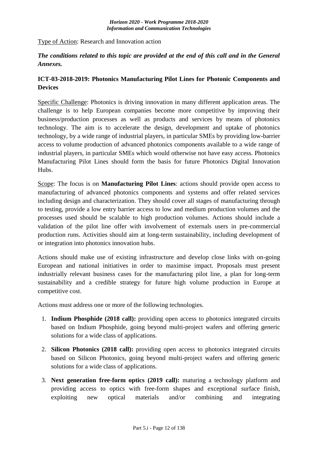### Type of Action: Research and Innovation action

# *The conditions related to this topic are provided at the end of this call and in the General Annexes.*

# <span id="page-11-0"></span>**ICT-03-2018-2019: Photonics Manufacturing Pilot Lines for Photonic Components and Devices**

Specific Challenge: Photonics is driving innovation in many different application areas. The challenge is to help European companies become more competitive by improving their business/production processes as well as products and services by means of photonics technology. The aim is to accelerate the design, development and uptake of photonics technology, by a wide range of industrial players, in particular SMEs by providing low-barrier access to volume production of advanced photonics components available to a wide range of industrial players, in particular SMEs which would otherwise not have easy access. Photonics Manufacturing Pilot Lines should form the basis for future Photonics Digital Innovation Hubs.

Scope: The focus is on **Manufacturing Pilot Lines**: actions should provide open access to manufacturing of advanced photonics components and systems and offer related services including design and characterization. They should cover all stages of manufacturing through to testing, provide a low entry barrier access to low and medium production volumes and the processes used should be scalable to high production volumes. Actions should include a validation of the pilot line offer with involvement of externals users in pre-commercial production runs. Activities should aim at long-term sustainability, including development of or integration into photonics innovation hubs.

Actions should make use of existing infrastructure and develop close links with on-going European and national initiatives in order to maximise impact. Proposals must present industrially relevant business cases for the manufacturing pilot line, a plan for long-term sustainability and a credible strategy for future high volume production in Europe at competitive cost.

Actions must address one or more of the following technologies.

- 1. **Indium Phosphide (2018 call):** providing open access to photonics integrated circuits based on Indium Phosphide, going beyond multi-project wafers and offering generic solutions for a wide class of applications.
- 2. **Silicon Photonics (2018 call):** providing open access to photonics integrated circuits based on Silicon Photonics, going beyond multi-project wafers and offering generic solutions for a wide class of applications.
- 3. **Next generation free-form optics (2019 call):** maturing a technology platform and providing access to optics with free-form shapes and exceptional surface finish, exploiting new optical materials and/or combining and integrating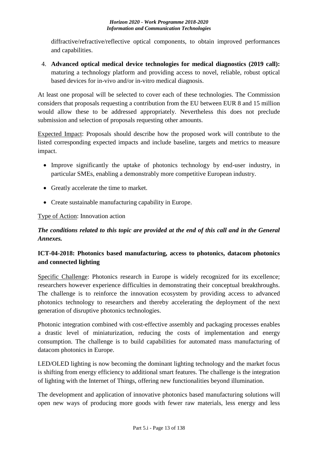diffractive/refractive/reflective optical components, to obtain improved performances and capabilities.

4. **Advanced optical medical device technologies for medical diagnostics (2019 call):**  maturing a technology platform and providing access to novel, reliable, robust optical based devices for in-vivo and/or in-vitro medical diagnosis.

At least one proposal will be selected to cover each of these technologies. The Commission considers that proposals requesting a contribution from the EU between EUR 8 and 15 million would allow these to be addressed appropriately. Nevertheless this does not preclude submission and selection of proposals requesting other amounts.

Expected Impact: Proposals should describe how the proposed work will contribute to the listed corresponding expected impacts and include baseline, targets and metrics to measure impact.

- Improve significantly the uptake of photonics technology by end-user industry, in particular SMEs, enabling a demonstrably more competitive European industry.
- Greatly accelerate the time to market.
- Create sustainable manufacturing capability in Europe.

# Type of Action: Innovation action

# *The conditions related to this topic are provided at the end of this call and in the General Annexes.*

# <span id="page-12-0"></span>**ICT-04-2018: Photonics based manufacturing, access to photonics, datacom photonics and connected lighting**

Specific Challenge: Photonics research in Europe is widely recognized for its excellence; researchers however experience difficulties in demonstrating their conceptual breakthroughs. The challenge is to reinforce the innovation ecosystem by providing access to advanced photonics technology to researchers and thereby accelerating the deployment of the next generation of disruptive photonics technologies.

Photonic integration combined with cost-effective assembly and packaging processes enables a drastic level of miniaturization, reducing the costs of implementation and energy consumption. The challenge is to build capabilities for automated mass manufacturing of datacom photonics in Europe.

LED/OLED lighting is now becoming the dominant lighting technology and the market focus is shifting from energy efficiency to additional smart features. The challenge is the integration of lighting with the Internet of Things, offering new functionalities beyond illumination.

The development and application of innovative photonics based manufacturing solutions will open new ways of producing more goods with fewer raw materials, less energy and less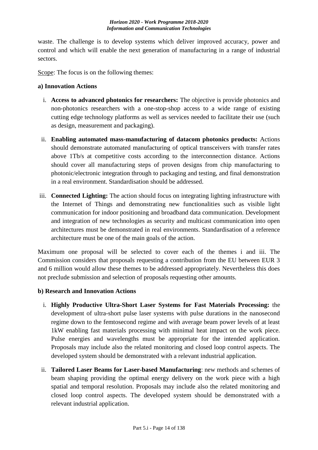waste. The challenge is to develop systems which deliver improved accuracy, power and control and which will enable the next generation of manufacturing in a range of industrial sectors.

Scope: The focus is on the following themes:

#### **a) Innovation Actions**

- i. **Access to advanced photonics for researchers:** The objective is provide photonics and non-photonics researchers with a one-stop-shop access to a wide range of existing cutting edge technology platforms as well as services needed to facilitate their use (such as design, measurement and packaging).
- ii. **Enabling automated mass-manufacturing of datacom photonics products:** Actions should demonstrate automated manufacturing of optical transceivers with transfer rates above 1Tb/s at competitive costs according to the interconnection distance. Actions should cover all manufacturing steps of proven designs from chip manufacturing to photonic/electronic integration through to packaging and testing, and final demonstration in a real environment. Standardisation should be addressed.
- iii. **Connected Lighting:** The action should focus on integrating lighting infrastructure with the Internet of Things and demonstrating new functionalities such as visible light communication for indoor positioning and broadband data communication. Development and integration of new technologies as security and multicast communication into open architectures must be demonstrated in real environments. Standardisation of a reference architecture must be one of the main goals of the action.

Maximum one proposal will be selected to cover each of the themes i and iii. The Commission considers that proposals requesting a contribution from the EU between EUR 3 and 6 million would allow these themes to be addressed appropriately. Nevertheless this does not preclude submission and selection of proposals requesting other amounts.

# **b) Research and Innovation Actions**

- i. **Highly Productive Ultra-Short Laser Systems for Fast Materials Processing:** the development of ultra-short pulse laser systems with pulse durations in the nanosecond regime down to the femtosecond regime and with average beam power levels of at least 1kW enabling fast materials processing with minimal heat impact on the work piece. Pulse energies and wavelengths must be appropriate for the intended application. Proposals may include also the related monitoring and closed loop control aspects. The developed system should be demonstrated with a relevant industrial application.
- ii. **Tailored Laser Beams for Laser-based Manufacturing**: new methods and schemes of beam shaping providing the optimal energy delivery on the work piece with a high spatial and temporal resolution. Proposals may include also the related monitoring and closed loop control aspects. The developed system should be demonstrated with a relevant industrial application.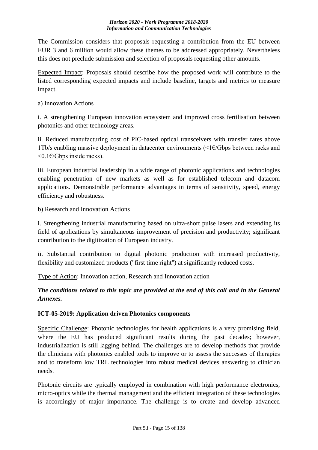The Commission considers that proposals requesting a contribution from the EU between EUR 3 and 6 million would allow these themes to be addressed appropriately. Nevertheless this does not preclude submission and selection of proposals requesting other amounts.

Expected Impact: Proposals should describe how the proposed work will contribute to the listed corresponding expected impacts and include baseline, targets and metrics to measure impact.

# a) Innovation Actions

i. A strengthening European innovation ecosystem and improved cross fertilisation between photonics and other technology areas.

ii. Reduced manufacturing cost of PIC-based optical transceivers with transfer rates above 1Tb/s enabling massive deployment in datacenter environments ( $\leq$ 1 $\in$ /Gbps between racks and <0.1€/Gbps inside racks).

iii. European industrial leadership in a wide range of photonic applications and technologies enabling penetration of new markets as well as for established telecom and datacom applications. Demonstrable performance advantages in terms of sensitivity, speed, energy efficiency and robustness.

b) Research and Innovation Actions

i. Strengthening industrial manufacturing based on ultra-short pulse lasers and extending its field of applications by simultaneous improvement of precision and productivity; significant contribution to the digitization of European industry.

ii. Substantial contribution to digital photonic production with increased productivity, flexibility and customized products ("first time right") at significantly reduced costs.

Type of Action: Innovation action, Research and Innovation action

# *The conditions related to this topic are provided at the end of this call and in the General Annexes.*

# <span id="page-14-0"></span>**ICT-05-2019: Application driven Photonics components**

Specific Challenge: Photonic technologies for health applications is a very promising field, where the EU has produced significant results during the past decades; however, industrialization is still lagging behind. The challenges are to develop methods that provide the clinicians with photonics enabled tools to improve or to assess the successes of therapies and to transform low TRL technologies into robust medical devices answering to clinician needs.

Photonic circuits are typically employed in combination with high performance electronics, micro-optics while the thermal management and the efficient integration of these technologies is accordingly of major importance. The challenge is to create and develop advanced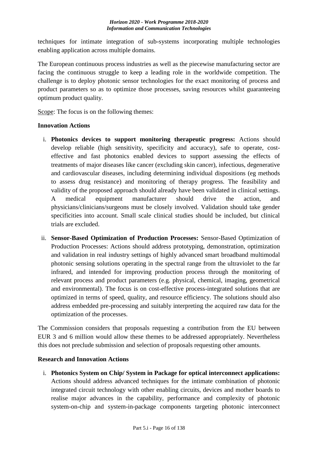techniques for intimate integration of sub-systems incorporating multiple technologies enabling application across multiple domains.

The European continuous process industries as well as the piecewise manufacturing sector are facing the continuous struggle to keep a leading role in the worldwide competition. The challenge is to deploy photonic sensor technologies for the exact monitoring of process and product parameters so as to optimize those processes, saving resources whilst guaranteeing optimum product quality.

Scope: The focus is on the following themes:

#### **Innovation Actions**

- i. **Photonics devices to support monitoring therapeutic progress:** Actions should develop reliable (high sensitivity, specificity and accuracy), safe to operate, costeffective and fast photonics enabled devices to support assessing the effects of treatments of major diseases like cancer (excluding skin cancer), infectious, degenerative and cardiovascular diseases, including determining individual dispositions (eg methods to assess drug resistance) and monitoring of therapy progress. The feasibility and validity of the proposed approach should already have been validated in clinical settings. A medical equipment manufacturer should drive the action, and physicians/clinicians/surgeons must be closely involved. Validation should take gender specificities into account. Small scale clinical studies should be included, but clinical trials are excluded.
- ii. **Sensor-Based Optimization of Production Processes:** Sensor-Based Optimization of Production Processes: Actions should address prototyping, demonstration, optimization and validation in real industry settings of highly advanced smart broadband multimodal photonic sensing solutions operating in the spectral range from the ultraviolet to the far infrared, and intended for improving production process through the monitoring of relevant process and product parameters (e.g. physical, chemical, imaging, geometrical and environmental). The focus is on cost-effective process-integrated solutions that are optimized in terms of speed, quality, and resource efficiency. The solutions should also address embedded pre-processing and suitably interpreting the acquired raw data for the optimization of the processes.

The Commission considers that proposals requesting a contribution from the EU between EUR 3 and 6 million would allow these themes to be addressed appropriately. Nevertheless this does not preclude submission and selection of proposals requesting other amounts.

# **Research and Innovation Actions**

i. **Photonics System on Chip/ System in Package for optical interconnect applications:**  Actions should address advanced techniques for the intimate combination of photonic integrated circuit technology with other enabling circuits, devices and mother boards to realise major advances in the capability, performance and complexity of photonic system-on-chip and system-in-package components targeting photonic interconnect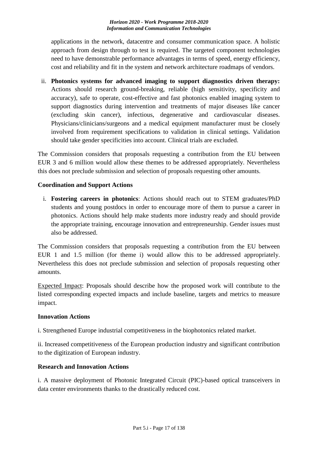applications in the network, datacentre and consumer communication space. A holistic approach from design through to test is required. The targeted component technologies need to have demonstrable performance advantages in terms of speed, energy efficiency, cost and reliability and fit in the system and network architecture roadmaps of vendors.

ii. **Photonics systems for advanced imaging to support diagnostics driven therapy:**  Actions should research ground-breaking, reliable (high sensitivity, specificity and accuracy), safe to operate, cost-effective and fast photonics enabled imaging system to support diagnostics during intervention and treatments of major diseases like cancer (excluding skin cancer), infectious, degenerative and cardiovascular diseases. Physicians/clinicians/surgeons and a medical equipment manufacturer must be closely involved from requirement specifications to validation in clinical settings. Validation should take gender specificities into account. Clinical trials are excluded.

The Commission considers that proposals requesting a contribution from the EU between EUR 3 and 6 million would allow these themes to be addressed appropriately. Nevertheless this does not preclude submission and selection of proposals requesting other amounts.

# **Coordination and Support Actions**

i. **Fostering careers in photonics**: Actions should reach out to STEM graduates/PhD students and young postdocs in order to encourage more of them to pursue a career in photonics. Actions should help make students more industry ready and should provide the appropriate training, encourage innovation and entrepreneurship. Gender issues must also be addressed.

The Commission considers that proposals requesting a contribution from the EU between EUR 1 and 1.5 million (for theme i) would allow this to be addressed appropriately. Nevertheless this does not preclude submission and selection of proposals requesting other amounts.

Expected Impact: Proposals should describe how the proposed work will contribute to the listed corresponding expected impacts and include baseline, targets and metrics to measure impact.

# **Innovation Actions**

i. Strengthened Europe industrial competitiveness in the biophotonics related market.

ii. Increased competitiveness of the European production industry and significant contribution to the digitization of European industry.

# **Research and Innovation Actions**

i. A massive deployment of Photonic Integrated Circuit (PIC)-based optical transceivers in data center environments thanks to the drastically reduced cost.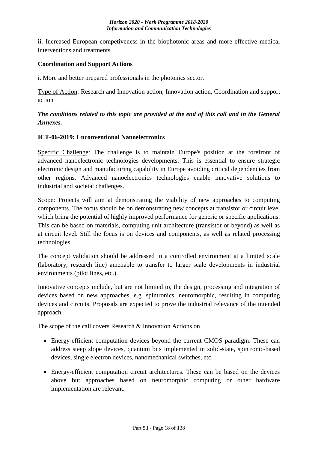ii. Increased European competiveness in the biophotonic areas and more effective medical interventions and treatments.

# **Coordination and Support Actions**

i. More and better prepared professionals in the photonics sector.

Type of Action: Research and Innovation action, Innovation action, Coordination and support action

# *The conditions related to this topic are provided at the end of this call and in the General Annexes.*

# <span id="page-17-0"></span>**ICT-06-2019: Unconventional Nanoelectronics**

Specific Challenge: The challenge is to maintain Europe's position at the forefront of advanced nanoelectronic technologies developments. This is essential to ensure strategic electronic design and manufacturing capability in Europe avoiding critical dependencies from other regions. Advanced nanoelectronics technologies enable innovative solutions to industrial and societal challenges.

Scope: Projects will aim at demonstrating the viability of new approaches to computing components. The focus should be on demonstrating new concepts at transistor or circuit level which bring the potential of highly improved performance for generic or specific applications. This can be based on materials, computing unit architecture (transistor or beyond) as well as at circuit level. Still the focus is on devices and components, as well as related processing technologies.

The concept validation should be addressed in a controlled environment at a limited scale (laboratory, research line) amenable to transfer to larger scale developments in industrial environments (pilot lines, etc.).

Innovative concepts include, but are not limited to, the design, processing and integration of devices based on new approaches, e.g. spintronics, neuromorphic, resulting in computing devices and circuits. Proposals are expected to prove the industrial relevance of the intended approach.

The scope of the call covers Research & Innovation Actions on

- Energy-efficient computation devices beyond the current CMOS paradigm. These can address steep slope devices, quantum bits implemented in solid-state, spintronic-based devices, single electron devices, nanomechanical switches, etc.
- Energy-efficient computation circuit architectures. These can be based on the devices above but approaches based on neuromorphic computing or other hardware implementation are relevant.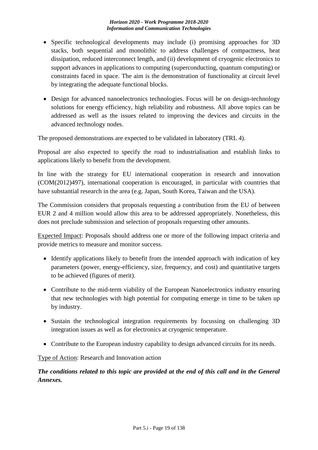- Specific technological developments may include (i) promising approaches for 3D stacks, both sequential and monolithic to address challenges of compactness, heat dissipation, reduced interconnect length, and (ii) development of cryogenic electronics to support advances in applications to computing (superconducting, quantum computing) or constraints faced in space. The aim is the demonstration of functionality at circuit level by integrating the adequate functional blocks.
- Design for advanced nanoelectronics technologies. Focus will be on design-technology solutions for energy efficiency, high reliability and robustness. All above topics can be addressed as well as the issues related to improving the devices and circuits in the advanced technology nodes.

The proposed demonstrations are expected to be validated in laboratory (TRL 4).

Proposal are also expected to specify the road to industrialisation and establish links to applications likely to benefit from the development.

In line with the strategy for EU international cooperation in research and innovation (COM(2012)497), international cooperation is encouraged, in particular with countries that have substantial research in the area (e.g. Japan, South Korea, Taiwan and the USA).

The Commission considers that proposals requesting a contribution from the EU of between EUR 2 and 4 million would allow this area to be addressed appropriately. Nonetheless, this does not preclude submission and selection of proposals requesting other amounts.

Expected Impact: Proposals should address one or more of the following impact criteria and provide metrics to measure and monitor success.

- Identify applications likely to benefit from the intended approach with indication of key parameters (power, energy-efficiency, size, frequency, and cost) and quantitative targets to be achieved (figures of merit).
- Contribute to the mid-term viability of the European Nanoelectronics industry ensuring that new technologies with high potential for computing emerge in time to be taken up by industry.
- Sustain the technological integration requirements by focussing on challenging 3D integration issues as well as for electronics at cryogenic temperature.
- Contribute to the European industry capability to design advanced circuits for its needs.

Type of Action: Research and Innovation action

*The conditions related to this topic are provided at the end of this call and in the General Annexes.*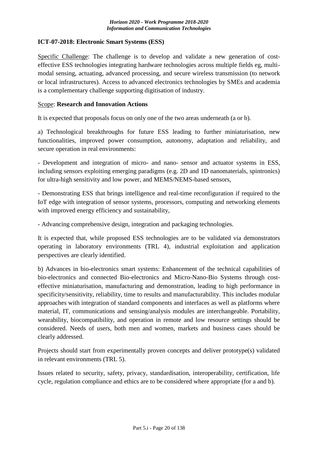# <span id="page-19-0"></span>**ICT-07-2018: Electronic Smart Systems (ESS)**

Specific Challenge: The challenge is to develop and validate a new generation of costeffective ESS technologies integrating hardware technologies across multiple fields eg, multimodal sensing, actuating, advanced processing, and secure wireless transmission (to network or local infrastructures). Access to advanced electronics technologies by SMEs and academia is a complementary challenge supporting digitisation of industry.

#### Scope: **Research and Innovation Actions**

It is expected that proposals focus on only one of the two areas underneath (a or b).

a) Technological breakthroughs for future ESS leading to further miniaturisation, new functionalities, improved power consumption, autonomy, adaptation and reliability, and secure operation in real environments:

- Development and integration of micro- and nano- sensor and actuator systems in ESS, including sensors exploiting emerging paradigms (e.g. 2D and 1D nanomaterials, spintronics) for ultra-high sensitivity and low power, and MEMS/NEMS-based sensors,

- Demonstrating ESS that brings intelligence and real-time reconfiguration if required to the IoT edge with integration of sensor systems, processors, computing and networking elements with improved energy efficiency and sustainability,

- Advancing comprehensive design, integration and packaging technologies.

It is expected that, while proposed ESS technologies are to be validated via demonstrators operating in laboratory environments (TRL 4), industrial exploitation and application perspectives are clearly identified.

b) Advances in bio-electronics smart systems: Enhancement of the technical capabilities of bio-electronics and connected Bio-electronics and Micro-Nano-Bio Systems through costeffective miniaturisation, manufacturing and demonstration, leading to high performance in specificity/sensitivity, reliability, time to results and manufacturability. This includes modular approaches with integration of standard components and interfaces as well as platforms where material, IT, communications and sensing/analysis modules are interchangeable. Portability, wearability, biocompatibility, and operation in remote and low resource settings should be considered. Needs of users, both men and women, markets and business cases should be clearly addressed.

Projects should start from experimentally proven concepts and deliver prototype(s) validated in relevant environments (TRL 5).

Issues related to security, safety, privacy, standardisation, interoperability, certification, life cycle, regulation compliance and ethics are to be considered where appropriate (for a and b).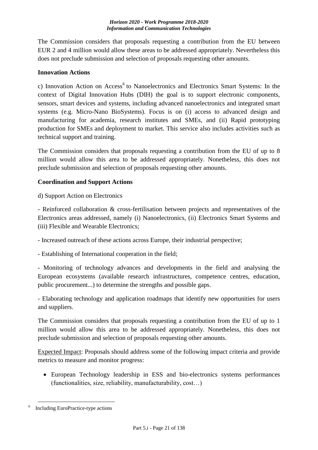The Commission considers that proposals requesting a contribution from the EU between EUR 2 and 4 million would allow these areas to be addressed appropriately. Nevertheless this does not preclude submission and selection of proposals requesting other amounts.

#### **Innovation Actions**

c) Innovation Action on Access<sup>6</sup> to Nanoelectronics and Electronics Smart Systems: In the context of Digital Innovation Hubs (DIH) the goal is to support electronic components, sensors, smart devices and systems, including advanced nanoelectronics and integrated smart systems (e.g. Micro-Nano BioSystems). Focus is on (i) access to advanced design and manufacturing for academia, research institutes and SMEs, and (ii) Rapid prototyping production for SMEs and deployment to market. This service also includes activities such as technical support and training.

The Commission considers that proposals requesting a contribution from the EU of up to 8 million would allow this area to be addressed appropriately. Nonetheless, this does not preclude submission and selection of proposals requesting other amounts.

# **Coordination and Support Actions**

d) Support Action on Electronics

- Reinforced collaboration & cross-fertilisation between projects and representatives of the Electronics areas addressed, namely (i) Nanoelectronics, (ii) Electronics Smart Systems and (iii) Flexible and Wearable Electronics;

- Increased outreach of these actions across Europe, their industrial perspective;

- Establishing of International cooperation in the field;

- Monitoring of technology advances and developments in the field and analysing the European ecosystems (available research infrastructures, competence centres, education, public procurement...) to determine the strengths and possible gaps.

- Elaborating technology and application roadmaps that identify new opportunities for users and suppliers.

The Commission considers that proposals requesting a contribution from the EU of up to 1 million would allow this area to be addressed appropriately. Nonetheless, this does not preclude submission and selection of proposals requesting other amounts.

Expected Impact: Proposals should address some of the following impact criteria and provide metrics to measure and monitor progress:

 European Technology leadership in ESS and bio-electronics systems performances (functionalities, size, reliability, manufacturability, cost…)

<sup>&</sup>lt;u>.</u> <sup>6</sup> Including EuroPractice-type actions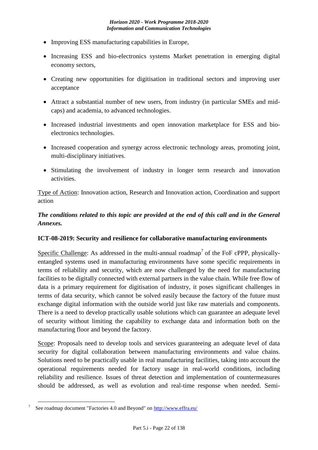- Improving ESS manufacturing capabilities in Europe,
- Increasing ESS and bio-electronics systems Market penetration in emerging digital economy sectors,
- Creating new opportunities for digitisation in traditional sectors and improving user acceptance
- Attract a substantial number of new users, from industry (in particular SMEs and midcaps) and academia, to advanced technologies.
- Increased industrial investments and open innovation marketplace for ESS and bioelectronics technologies.
- Increased cooperation and synergy across electronic technology areas, promoting joint, multi-disciplinary initiatives.
- Stimulating the involvement of industry in longer term research and innovation activities.

Type of Action: Innovation action, Research and Innovation action, Coordination and support action

# *The conditions related to this topic are provided at the end of this call and in the General Annexes.*

# <span id="page-21-0"></span>**ICT-08-2019: Security and resilience for collaborative manufacturing environments**

Specific Challenge: As addressed in the multi-annual roadmap<sup>7</sup> of the FoF cPPP, physicallyentangled systems used in manufacturing environments have some specific requirements in terms of reliability and security, which are now challenged by the need for manufacturing facilities to be digitally connected with external partners in the value chain. While free flow of data is a primary requirement for digitisation of industry, it poses significant challenges in terms of data security, which cannot be solved easily because the factory of the future must exchange digital information with the outside world just like raw materials and components. There is a need to develop practically usable solutions which can guarantee an adequate level of security without limiting the capability to exchange data and information both on the manufacturing floor and beyond the factory.

Scope: Proposals need to develop tools and services guaranteeing an adequate level of data security for digital collaboration between manufacturing environments and value chains. Solutions need to be practically usable in real manufacturing facilities, taking into account the operational requirements needed for factory usage in real-world conditions, including reliability and resilience. Issues of threat detection and implementation of countermeasures should be addressed, as well as evolution and real-time response when needed. Semi-

<u>.</u>

<sup>7</sup>See roadmap document "Factories 4.0 and Beyond" on<http://www.effra.eu/>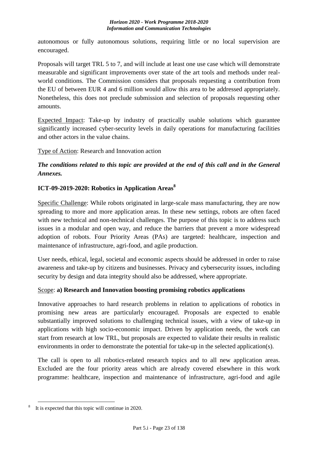autonomous or fully autonomous solutions, requiring little or no local supervision are encouraged.

Proposals will target TRL 5 to 7, and will include at least one use case which will demonstrate measurable and significant improvements over state of the art tools and methods under realworld conditions. The Commission considers that proposals requesting a contribution from the EU of between EUR 4 and 6 million would allow this area to be addressed appropriately. Nonetheless, this does not preclude submission and selection of proposals requesting other amounts.

Expected Impact: Take-up by industry of practically usable solutions which guarantee significantly increased cyber-security levels in daily operations for manufacturing facilities and other actors in the value chains.

Type of Action: Research and Innovation action

# *The conditions related to this topic are provided at the end of this call and in the General Annexes.*

# <span id="page-22-0"></span>**ICT-09-2019-2020: Robotics in Application Areas<sup>8</sup>**

Specific Challenge: While robots originated in large-scale mass manufacturing, they are now spreading to more and more application areas. In these new settings, robots are often faced with new technical and non-technical challenges. The purpose of this topic is to address such issues in a modular and open way, and reduce the barriers that prevent a more widespread adoption of robots. Four Priority Areas (PAs) are targeted: healthcare, inspection and maintenance of infrastructure, agri-food, and agile production.

User needs, ethical, legal, societal and economic aspects should be addressed in order to raise awareness and take-up by citizens and businesses. Privacy and cybersecurity issues, including security by design and data integrity should also be addressed, where appropriate.

# Scope: **a) Research and Innovation boosting promising robotics applications**

Innovative approaches to hard research problems in relation to applications of robotics in promising new areas are particularly encouraged. Proposals are expected to enable substantially improved solutions to challenging technical issues, with a view of take-up in applications with high socio-economic impact. Driven by application needs, the work can start from research at low TRL, but proposals are expected to validate their results in realistic environments in order to demonstrate the potential for take-up in the selected application(s).

The call is open to all robotics-related research topics and to all new application areas. Excluded are the four priority areas which are already covered elsewhere in this work programme: healthcare, inspection and maintenance of infrastructure, agri-food and agile

<sup>&</sup>lt;u>.</u> It is expected that this topic will continue in 2020.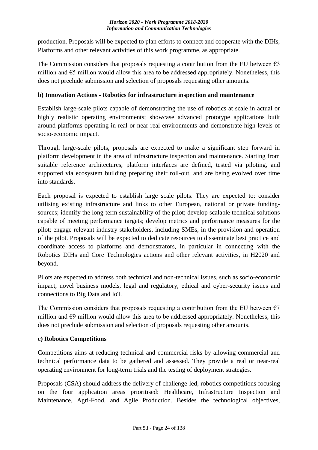production. Proposals will be expected to plan efforts to connect and cooperate with the DIHs, Platforms and other relevant activities of this work programme, as appropriate.

The Commission considers that proposals requesting a contribution from the EU between  $\epsilon$ 3 million and  $\epsilon$ 5 million would allow this area to be addressed appropriately. Nonetheless, this does not preclude submission and selection of proposals requesting other amounts.

# **b) Innovation Actions - Robotics for infrastructure inspection and maintenance**

Establish large-scale pilots capable of demonstrating the use of robotics at scale in actual or highly realistic operating environments; showcase advanced prototype applications built around platforms operating in real or near-real environments and demonstrate high levels of socio-economic impact.

Through large-scale pilots, proposals are expected to make a significant step forward in platform development in the area of infrastructure inspection and maintenance. Starting from suitable reference architectures, platform interfaces are defined, tested via piloting, and supported via ecosystem building preparing their roll-out, and are being evolved over time into standards.

Each proposal is expected to establish large scale pilots. They are expected to: consider utilising existing infrastructure and links to other European, national or private fundingsources; identify the long-term sustainability of the pilot; develop scalable technical solutions capable of meeting performance targets; develop metrics and performance measures for the pilot; engage relevant industry stakeholders, including SMEs, in the provision and operation of the pilot. Proposals will be expected to dedicate resources to disseminate best practice and coordinate access to platforms and demonstrators, in particular in connecting with the Robotics DIHs and Core Technologies actions and other relevant activities, in H2020 and beyond.

Pilots are expected to address both technical and non-technical issues, such as socio-economic impact, novel business models, legal and regulatory, ethical and cyber-security issues and connections to Big Data and IoT.

The Commission considers that proposals requesting a contribution from the EU between  $\epsilon$ 7 million and  $\epsilon$ 9 million would allow this area to be addressed appropriately. Nonetheless, this does not preclude submission and selection of proposals requesting other amounts.

# **c) Robotics Competitions**

Competitions aims at reducing technical and commercial risks by allowing commercial and technical performance data to be gathered and assessed. They provide a real or near-real operating environment for long-term trials and the testing of deployment strategies.

Proposals (CSA) should address the delivery of challenge-led, robotics competitions focusing on the four application areas prioritised: Healthcare, Infrastructure Inspection and Maintenance, Agri-Food, and Agile Production. Besides the technological objectives,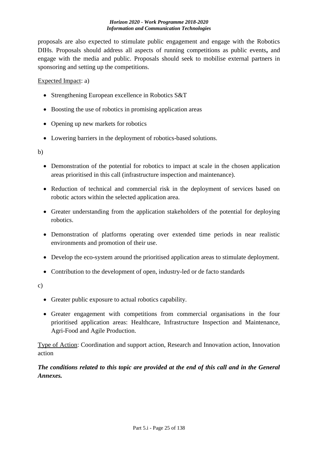proposals are also expected to stimulate public engagement and engage with the Robotics DIHs. Proposals should address all aspects of running competitions as public events**,** and engage with the media and public. Proposals should seek to mobilise external partners in sponsoring and setting up the competitions.

### Expected Impact: a)

- Strengthening European excellence in Robotics S&T
- Boosting the use of robotics in promising application areas
- Opening up new markets for robotics
- Lowering barriers in the deployment of robotics-based solutions.

b)

- Demonstration of the potential for robotics to impact at scale in the chosen application areas prioritised in this call (infrastructure inspection and maintenance).
- Reduction of technical and commercial risk in the deployment of services based on robotic actors within the selected application area.
- Greater understanding from the application stakeholders of the potential for deploying robotics.
- Demonstration of platforms operating over extended time periods in near realistic environments and promotion of their use.
- Develop the eco-system around the prioritised application areas to stimulate deployment.
- Contribution to the development of open, industry-led or de facto standards

c)

- Greater public exposure to actual robotics capability.
- Greater engagement with competitions from commercial organisations in the four prioritised application areas: Healthcare, Infrastructure Inspection and Maintenance, Agri-Food and Agile Production.

Type of Action: Coordination and support action, Research and Innovation action, Innovation action

# *The conditions related to this topic are provided at the end of this call and in the General Annexes.*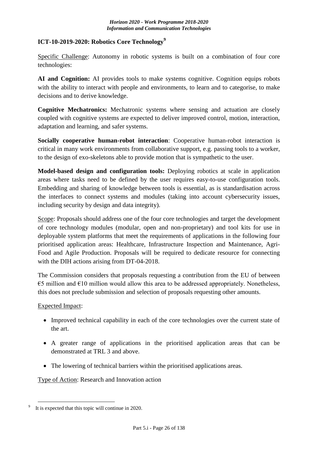# <span id="page-25-0"></span>**ICT-10-2019-2020: Robotics Core Technology<sup>9</sup>**

Specific Challenge: Autonomy in robotic systems is built on a combination of four core technologies:

AI and Cognition: AI provides tools to make systems cognitive. Cognition equips robots with the ability to interact with people and environments, to learn and to categorise, to make decisions and to derive knowledge.

**Cognitive Mechatronics:** Mechatronic systems where sensing and actuation are closely coupled with cognitive systems are expected to deliver improved control, motion, interaction, adaptation and learning, and safer systems.

**Socially cooperative human-robot interaction**: Cooperative human-robot interaction is critical in many work environments from collaborative support, e.g. passing tools to a worker, to the design of exo-skeletons able to provide motion that is sympathetic to the user.

**Model-based design and configuration tools:** Deploying robotics at scale in application areas where tasks need to be defined by the user requires easy-to-use configuration tools. Embedding and sharing of knowledge between tools is essential, as is standardisation across the interfaces to connect systems and modules (taking into account cybersecurity issues, including security by design and data integrity).

Scope: Proposals should address one of the four core technologies and target the development of core technology modules (modular, open and non-proprietary) and tool kits for use in deployable system platforms that meet the requirements of applications in the following four prioritised application areas: Healthcare, Infrastructure Inspection and Maintenance, Agri-Food and Agile Production. Proposals will be required to dedicate resource for connecting with the DIH actions arising from DT-04-2018.

The Commission considers that proposals requesting a contribution from the EU of between  $\epsilon$ 5 million and  $\epsilon$ 10 million would allow this area to be addressed appropriately. Nonetheless, this does not preclude submission and selection of proposals requesting other amounts.

# Expected Impact:

- Improved technical capability in each of the core technologies over the current state of the art.
- A greater range of applications in the prioritised application areas that can be demonstrated at TRL 3 and above.
- The lowering of technical barriers within the prioritised applications areas.

Type of Action: Research and Innovation action

<sup>&</sup>lt;u>.</u> It is expected that this topic will continue in 2020.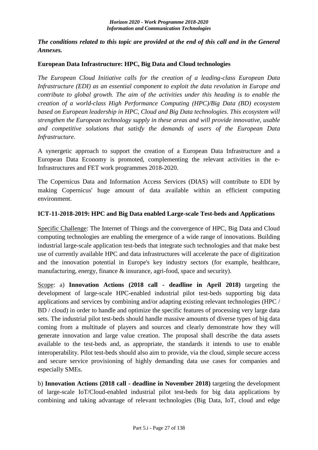*The conditions related to this topic are provided at the end of this call and in the General Annexes.*

### <span id="page-26-0"></span>**European Data Infrastructure: HPC, Big Data and Cloud technologies**

*The European Cloud Initiative calls for the creation of a leading-class European Data Infrastructure (EDI) as an essential component to exploit the data revolution in Europe and contribute to global growth. The aim of the activities under this heading is to enable the creation of a world-class High Performance Computing (HPC)/Big Data (BD) ecosystem based on European leadership in HPC, Cloud and Big Data technologies. This ecosystem will strengthen the European technology supply in these areas and will provide innovative, usable and competitive solutions that satisfy the demands of users of the European Data Infrastructure.*

A synergetic approach to support the creation of a European Data Infrastructure and a European Data Economy is promoted, complementing the relevant activities in the e-Infrastructures and FET work programmes 2018-2020.

The Copernicus Data and Information Access Services (DIAS) will contribute to EDI by making Copernicus' huge amount of data available within an efficient computing environment.

#### <span id="page-26-1"></span>**ICT-11-2018-2019: HPC and Big Data enabled Large-scale Test-beds and Applications**

Specific Challenge: The Internet of Things and the convergence of HPC, Big Data and Cloud computing technologies are enabling the emergence of a wide range of innovations. Building industrial large-scale application test-beds that integrate such technologies and that make best use of currently available HPC and data infrastructures will accelerate the pace of digitization and the innovation potential in Europe's key industry sectors (for example, healthcare, manufacturing, energy, finance & insurance, agri-food, space and security).

Scope: a) **Innovation Actions (2018 call - deadline in April 2018)** targeting the development of large-scale HPC-enabled industrial pilot test-beds supporting big data applications and services by combining and/or adapting existing relevant technologies (HPC / BD / cloud) in order to handle and optimize the specific features of processing very large data sets. The industrial pilot test-beds should handle massive amounts of diverse types of big data coming from a multitude of players and sources and clearly demonstrate how they will generate innovation and large value creation. The proposal shall describe the data assets available to the test-beds and, as appropriate, the standards it intends to use to enable interoperability. Pilot test-beds should also aim to provide, via the cloud, simple secure access and secure service provisioning of highly demanding data use cases for companies and especially SMEs.

b) **Innovation Actions (2018 call - deadline in November 2018)** targeting the development of large-scale IoT/Cloud-enabled industrial pilot test-beds for big data applications by combining and taking advantage of relevant technologies (Big Data, IoT, cloud and edge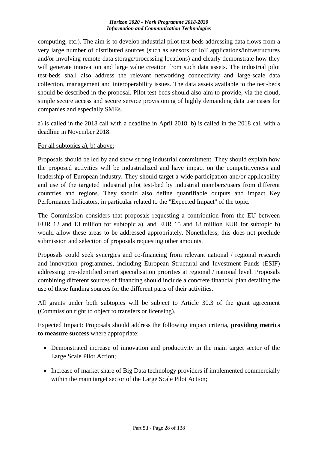computing, etc.). The aim is to develop industrial pilot test-beds addressing data flows from a very large number of distributed sources (such as sensors or IoT applications/infrastructures and/or involving remote data storage/processing locations) and clearly demonstrate how they will generate innovation and large value creation from such data assets. The industrial pilot test-beds shall also address the relevant networking connectivity and large-scale data collection, management and interoperability issues. The data assets available to the test-beds should be described in the proposal. Pilot test-beds should also aim to provide, via the cloud, simple secure access and secure service provisioning of highly demanding data use cases for companies and especially SMEs.

a) is called in the 2018 call with a deadline in April 2018. b) is called in the 2018 call with a deadline in November 2018.

#### For all subtopics a), b) above:

Proposals should be led by and show strong industrial commitment. They should explain how the proposed activities will be industrialized and have impact on the competitiveness and leadership of European industry. They should target a wide participation and/or applicability and use of the targeted industrial pilot test-bed by industrial members/users from different countries and regions. They should also define quantifiable outputs and impact Key Performance Indicators, in particular related to the "Expected Impact" of the topic.

The Commission considers that proposals requesting a contribution from the EU between EUR 12 and 13 million for subtopic a), and EUR 15 and 18 million EUR for subtopic b) would allow these areas to be addressed appropriately. Nonetheless, this does not preclude submission and selection of proposals requesting other amounts.

Proposals could seek synergies and co-financing from relevant national / regional research and innovation programmes, including European Structural and Investment Funds (ESIF) addressing pre-identified smart specialisation priorities at regional / national level. Proposals combining different sources of financing should include a concrete financial plan detailing the use of these funding sources for the different parts of their activities.

All grants under both subtopics will be subject to Article 30.3 of the grant agreement (Commission right to object to transfers or licensing).

Expected Impact: Proposals should address the following impact criteria, **providing metrics to measure success** where appropriate:

- Demonstrated increase of innovation and productivity in the main target sector of the Large Scale Pilot Action;
- Increase of market share of Big Data technology providers if implemented commercially within the main target sector of the Large Scale Pilot Action;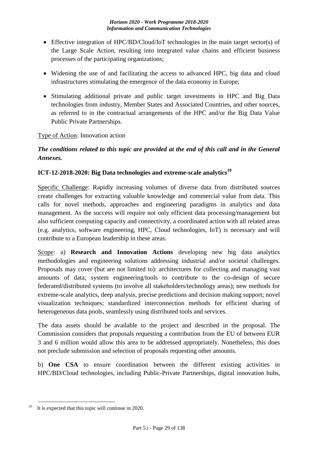- Effective integration of HPC/BD/Cloud/IoT technologies in the main target sector(s) of the Large Scale Action, resulting into integrated value chains and efficient business processes of the participating organizations;
- Widening the use of and facilitating the access to advanced HPC, big data and cloud infrastructures stimulating the emergence of the data economy in Europe;
- Stimulating additional private and public target investments in HPC and Big Data technologies from industry, Member States and Associated Countries, and other sources, as referred to in the contractual arrangements of the HPC and/or the Big Data Value Public Private Partnerships.

# Type of Action: Innovation action

# *The conditions related to this topic are provided at the end of this call and in the General Annexes.*

# <span id="page-28-0"></span>**ICT-12-2018-2020: Big Data technologies and extreme-scale analytics<sup>10</sup>**

Specific Challenge: Rapidly increasing volumes of diverse data from distributed sources create challenges for extracting valuable knowledge and commercial value from data. This calls for novel methods, approaches and engineering paradigms in analytics and data management. As the success will require not only efficient data processing/management but also sufficient computing capacity and connectivity, a coordinated action with all related areas (e.g. analytics, software engineering, HPC, Cloud technologies, IoT) is necessary and will contribute to a European leadership in these areas.

Scope: a) **Research and Innovation Actions** developing new big data analytics methodologies and engineering solutions addressing industrial and/or societal challenges. Proposals may cover (but are not limited to): architectures for collecting and managing vast amounts of data; system engineering/tools to contribute to the co-design of secure federated/distributed systems (to involve all stakeholders/technology areas); new methods for extreme-scale analytics, deep analysis, precise predictions and decision making support; novel visualization techniques; standardized interconnection methods for efficient sharing of heterogeneous data pools, seamlessly using distributed tools and services.

The data assets should be available to the project and described in the proposal. The Commission considers that proposals requesting a contribution from the EU of between EUR 3 and 6 million would allow this area to be addressed appropriately. Nonetheless, this does not preclude submission and selection of proposals requesting other amounts.

b) **One CSA** to ensure coordination between the different existing activities in HPC/BD/Cloud technologies, including Public-Private Partnerships, digital innovation hubs,

<sup>&</sup>lt;u>.</u> It is expected that this topic will continue in 2020.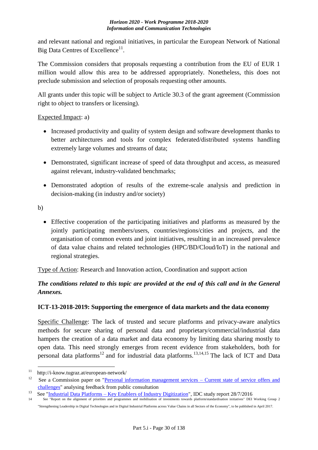and relevant national and regional initiatives, in particular the European Network of National Big Data Centres of Excellence<sup>11</sup>.

The Commission considers that proposals requesting a contribution from the EU of EUR 1 million would allow this area to be addressed appropriately. Nonetheless, this does not preclude submission and selection of proposals requesting other amounts.

All grants under this topic will be subject to Article 30.3 of the grant agreement (Commission right to object to transfers or licensing).

# Expected Impact: a)

- Increased productivity and quality of system design and software development thanks to better architectures and tools for complex federated/distributed systems handling extremely large volumes and streams of data;
- Demonstrated, significant increase of speed of data throughput and access, as measured against relevant, industry-validated benchmarks;
- Demonstrated adoption of results of the extreme-scale analysis and prediction in decision-making (in industry and/or society)

b)

1

 Effective cooperation of the participating initiatives and platforms as measured by the jointly participating members/users, countries/regions/cities and projects, and the organisation of common events and joint initiatives, resulting in an increased prevalence of data value chains and related technologies (HPC/BD/Cloud/IoT) in the national and regional strategies.

Type of Action: Research and Innovation action, Coordination and support action

# *The conditions related to this topic are provided at the end of this call and in the General Annexes.*

# <span id="page-29-0"></span>**ICT-13-2018-2019: Supporting the emergence of data markets and the data economy**

Specific Challenge: The lack of trusted and secure platforms and privacy-aware analytics methods for secure sharing of personal data and proprietary/commercial/industrial data hampers the creation of a data market and data economy by limiting data sharing mostly to open data. This need strongly emerges from recent evidence from stakeholders, both for personal data platforms<sup>12</sup> and for industrial data platforms.<sup>13,14,15</sup> The lack of ICT and Data

<sup>&</sup>lt;sup>11</sup> http://i-know.tugraz.at/european-network/<br><sup>12</sup> Second Commission gave a supersonal in

See a Commission paper on ["Personal information management services –](http://ec.europa.eu/newsroom/dae/document.cfm?doc_id=40118) Current state of service offers and [challenges"](http://ec.europa.eu/newsroom/dae/document.cfm?doc_id=40118) analysing feedback from public consultation

<sup>&</sup>lt;sup>13</sup>See "<u>Industrial Data Platforms – Key Enablers of Industry Digitization</u>", IDC study report  $28/7/2016$ <br><sup>14</sup>See "Report on the alignment of priorities and programmes and mobilisation of investments towards platform/st

<sup>14</sup> See "Report on the alignment of priorities and programmes and mobilisation of investments towards platform/standardisation initiatives" DEI Working Group 2 "Strengthening Leadership in Digital Technologies and in Digital Industrial Platforms across Value Chains in all Sectors of the Economy", to be published in April 2017.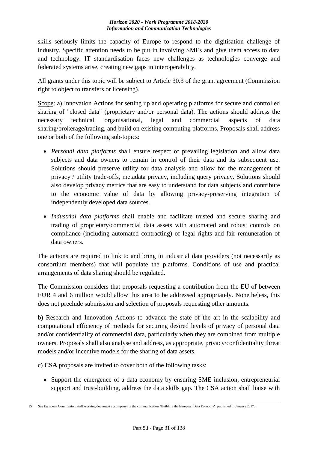skills seriously limits the capacity of Europe to respond to the digitisation challenge of industry. Specific attention needs to be put in involving SMEs and give them access to data and technology. IT standardisation faces new challenges as technologies converge and federated systems arise, creating new gaps in interoperability.

All grants under this topic will be subject to Article 30.3 of the grant agreement (Commission right to object to transfers or licensing).

Scope: a) Innovation Actions for setting up and operating platforms for secure and controlled sharing of "closed data" (proprietary and/or personal data). The actions should address the necessary technical, organisational, legal and commercial aspects of data sharing/brokerage/trading, and build on existing computing platforms. Proposals shall address one or both of the following sub-topics:

- *Personal data platforms* shall ensure respect of prevailing legislation and allow data subjects and data owners to remain in control of their data and its subsequent use. Solutions should preserve utility for data analysis and allow for the management of privacy / utility trade-offs, metadata privacy, including query privacy. Solutions should also develop privacy metrics that are easy to understand for data subjects and contribute to the economic value of data by allowing privacy-preserving integration of independently developed data sources.
- *Industrial data platforms* shall enable and facilitate trusted and secure sharing and trading of proprietary/commercial data assets with automated and robust controls on compliance (including automated contracting) of legal rights and fair remuneration of data owners.

The actions are required to link to and bring in industrial data providers (not necessarily as consortium members) that will populate the platforms. Conditions of use and practical arrangements of data sharing should be regulated.

The Commission considers that proposals requesting a contribution from the EU of between EUR 4 and 6 million would allow this area to be addressed appropriately. Nonetheless, this does not preclude submission and selection of proposals requesting other amounts.

b) Research and Innovation Actions to advance the state of the art in the scalability and computational efficiency of methods for securing desired levels of privacy of personal data and/or confidentiality of commercial data, particularly when they are combined from multiple owners. Proposals shall also analyse and address, as appropriate, privacy/confidentiality threat models and/or incentive models for the sharing of data assets.

c) **CSA** proposals are invited to cover both of the following tasks:

 Support the emergence of a data economy by ensuring SME inclusion, entrepreneurial support and trust-building, address the data skills gap. The CSA action shall liaise with

 15 See European Commission Staff working document accompanying the communication "Building the European Data Economy", published in January 2017.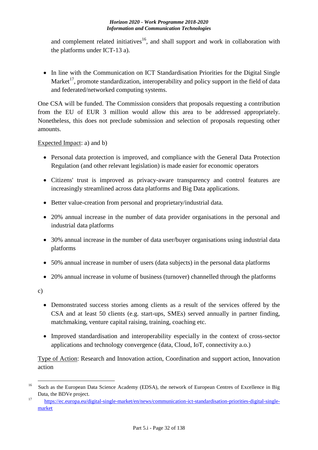and complement related initiatives<sup>16</sup>, and shall support and work in collaboration with the platforms under ICT-13 a).

• In line with the Communication on ICT Standardisation Priorities for the Digital Single Market<sup>17</sup>, promote standardization, interoperability and policy support in the field of data and federated/networked computing systems.

One CSA will be funded. The Commission considers that proposals requesting a contribution from the EU of EUR 3 million would allow this area to be addressed appropriately. Nonetheless, this does not preclude submission and selection of proposals requesting other amounts.

Expected Impact: a) and b)

- Personal data protection is improved, and compliance with the General Data Protection Regulation (and other relevant legislation) is made easier for economic operators
- Citizens' trust is improved as privacy-aware transparency and control features are increasingly streamlined across data platforms and Big Data applications.
- Better value-creation from personal and proprietary/industrial data.
- 20% annual increase in the number of data provider organisations in the personal and industrial data platforms
- 30% annual increase in the number of data user/buyer organisations using industrial data platforms
- 50% annual increase in number of users (data subjects) in the personal data platforms
- 20% annual increase in volume of business (turnover) channelled through the platforms

c)

- Demonstrated success stories among clients as a result of the services offered by the CSA and at least 50 clients (e.g. start-ups, SMEs) served annually in partner finding, matchmaking, venture capital raising, training, coaching etc.
- Improved standardisation and interoperability especially in the context of cross-sector applications and technology convergence (data, Cloud, IoT, connectivity a.o.)

Type of Action: Research and Innovation action, Coordination and support action, Innovation action

<sup>1</sup> <sup>16</sup> Such as the European Data Science Academy (EDSA), the network of European Centres of Excellence in Big Data, the BDVe project.

<sup>&</sup>lt;sup>17</sup>[https://ec.europa.eu/digital-single-market/en/news/communication-ict-standardisation-priorities-digital-single](http://https/ec.europa.eu/digital-single-market/en/news/communication-ict-standardisation-priorities-digital-single-market)[market](http://https/ec.europa.eu/digital-single-market/en/news/communication-ict-standardisation-priorities-digital-single-market)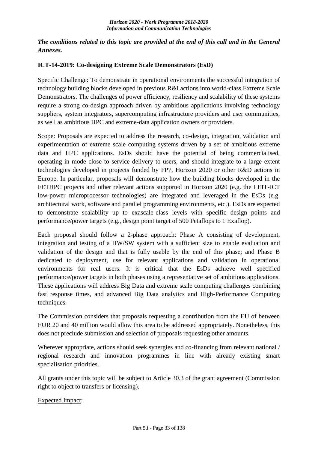# *The conditions related to this topic are provided at the end of this call and in the General Annexes.*

# <span id="page-32-0"></span>**ICT-14-2019: Co-designing Extreme Scale Demonstrators (EsD)**

Specific Challenge: To demonstrate in operational environments the successful integration of technology building blocks developed in previous R&I actions into world-class Extreme Scale Demonstrators. The challenges of power efficiency, resiliency and scalability of these systems require a strong co-design approach driven by ambitious applications involving technology suppliers, system integrators, supercomputing infrastructure providers and user communities, as well as ambitious HPC and extreme-data application owners or providers.

Scope: Proposals are expected to address the research, co-design, integration, validation and experimentation of extreme scale computing systems driven by a set of ambitious extreme data and HPC applications. EsDs should have the potential of being commercialised, operating in mode close to service delivery to users, and should integrate to a large extent technologies developed in projects funded by FP7, Horizon 2020 or other R&D actions in Europe. In particular, proposals will demonstrate how the building blocks developed in the FETHPC projects and other relevant actions supported in Horizon 2020 (e.g. the LEIT-ICT low-power microprocessor technologies) are integrated and leveraged in the EsDs (e.g. architectural work, software and parallel programming environments, etc.). EsDs are expected to demonstrate scalability up to exascale-class levels with specific design points and performance/power targets (e.g., design point target of 500 Petaflops to 1 Exaflop).

Each proposal should follow a 2-phase approach: Phase A consisting of development, integration and testing of a HW/SW system with a sufficient size to enable evaluation and validation of the design and that is fully usable by the end of this phase; and Phase B dedicated to deployment, use for relevant applications and validation in operational environments for real users. It is critical that the EsDs achieve well specified performance/power targets in both phases using a representative set of ambitious applications. These applications will address Big Data and extreme scale computing challenges combining fast response times, and advanced Big Data analytics and High-Performance Computing techniques.

The Commission considers that proposals requesting a contribution from the EU of between EUR 20 and 40 million would allow this area to be addressed appropriately. Nonetheless, this does not preclude submission and selection of proposals requesting other amounts.

Wherever appropriate, actions should seek synergies and co-financing from relevant national / regional research and innovation programmes in line with already existing smart specialisation priorities.

All grants under this topic will be subject to Article 30.3 of the grant agreement (Commission right to object to transfers or licensing).

Expected Impact: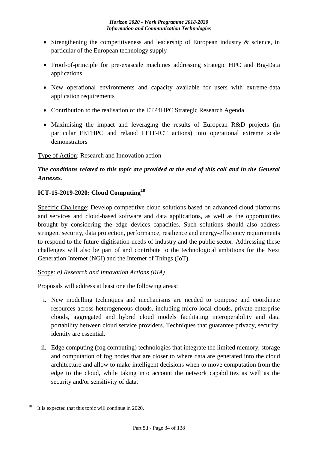- Strengthening the competitiveness and leadership of European industry & science, in particular of the European technology supply
- Proof-of-principle for pre-exascale machines addressing strategic HPC and Big-Data applications
- New operational environments and capacity available for users with extreme-data application requirements
- Contribution to the realisation of the ETP4HPC Strategic Research Agenda
- Maximising the impact and leveraging the results of European R&D projects (in particular FETHPC and related LEIT-ICT actions) into operational extreme scale demonstrators

Type of Action: Research and Innovation action

# *The conditions related to this topic are provided at the end of this call and in the General Annexes.*

# <span id="page-33-0"></span>**ICT-15-2019-2020: Cloud Computing<sup>18</sup>**

Specific Challenge: Develop competitive cloud solutions based on advanced cloud platforms and services and cloud-based software and data applications, as well as the opportunities brought by considering the edge devices capacities. Such solutions should also address stringent security, data protection, performance, resilience and energy-efficiency requirements to respond to the future digitisation needs of industry and the public sector. Addressing these challenges will also be part of and contribute to the technological ambitions for the Next Generation Internet (NGI) and the Internet of Things (IoT).

# Scope: *a) Research and Innovation Actions (RIA)*

Proposals will address at least one the following areas:

- i. New modelling techniques and mechanisms are needed to compose and coordinate resources across heterogeneous clouds, including micro local clouds, private enterprise clouds, aggregated and hybrid cloud models facilitating interoperability and data portability between cloud service providers. Techniques that guarantee privacy, security, identity are essential.
- ii. Edge computing (fog computing) technologies that integrate the limited memory, storage and computation of fog nodes that are closer to where data are generated into the cloud architecture and allow to make intelligent decisions when to move computation from the edge to the cloud, while taking into account the network capabilities as well as the security and/or sensitivity of data.

<sup>&</sup>lt;u>.</u> It is expected that this topic will continue in 2020.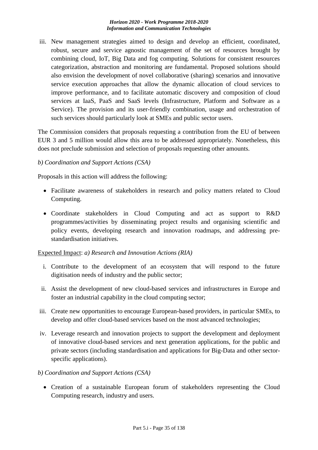iii. New management strategies aimed to design and develop an efficient, coordinated, robust, secure and service agnostic management of the set of resources brought by combining cloud, IoT, Big Data and fog computing. Solutions for consistent resources categorization, abstraction and monitoring are fundamental. Proposed solutions should also envision the development of novel collaborative (sharing) scenarios and innovative service execution approaches that allow the dynamic allocation of cloud services to improve performance, and to facilitate automatic discovery and composition of cloud services at IaaS, PaaS and SaaS levels (Infrastructure, Platform and Software as a Service). The provision and its user-friendly combination, usage and orchestration of such services should particularly look at SMEs and public sector users.

The Commission considers that proposals requesting a contribution from the EU of between EUR 3 and 5 million would allow this area to be addressed appropriately. Nonetheless, this does not preclude submission and selection of proposals requesting other amounts.

#### *b) Coordination and Support Actions (CSA)*

Proposals in this action will address the following:

- Facilitate awareness of stakeholders in research and policy matters related to Cloud Computing.
- Coordinate stakeholders in Cloud Computing and act as support to R&D programmes/activities by disseminating project results and organising scientific and policy events, developing research and innovation roadmaps, and addressing prestandardisation initiatives.

# Expected Impact: *a) Research and Innovation Actions (RIA)*

- i. Contribute to the development of an ecosystem that will respond to the future digitisation needs of industry and the public sector;
- ii. Assist the development of new cloud-based services and infrastructures in Europe and foster an industrial capability in the cloud computing sector;
- iii. Create new opportunities to encourage European-based providers, in particular SMEs, to develop and offer cloud-based services based on the most advanced technologies;
- iv. Leverage research and innovation projects to support the development and deployment of innovative cloud-based services and next generation applications, for the public and private sectors (including standardisation and applications for Big-Data and other sectorspecific applications).

# *b) Coordination and Support Actions (CSA)*

 Creation of a sustainable European forum of stakeholders representing the Cloud Computing research, industry and users.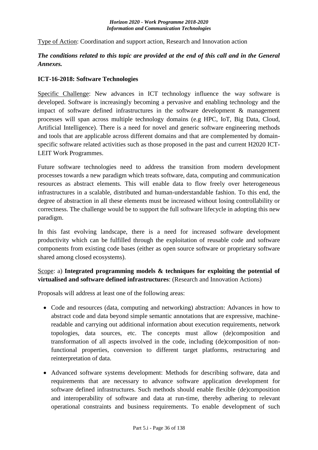Type of Action: Coordination and support action, Research and Innovation action

# *The conditions related to this topic are provided at the end of this call and in the General Annexes.*

#### <span id="page-35-0"></span>**ICT-16-2018: Software Technologies**

Specific Challenge: New advances in ICT technology influence the way software is developed. Software is increasingly becoming a pervasive and enabling technology and the impact of software defined infrastructures in the software development & management processes will span across multiple technology domains (e.g HPC, IoT, Big Data, Cloud, Artificial Intelligence). There is a need for novel and generic software engineering methods and tools that are applicable across different domains and that are complemented by domainspecific software related activities such as those proposed in the past and current H2020 ICT-LEIT Work Programmes.

Future software technologies need to address the transition from modern development processes towards a new paradigm which treats software, data, computing and communication resources as abstract elements. This will enable data to flow freely over heterogeneous infrastructures in a scalable, distributed and human-understandable fashion. To this end, the degree of abstraction in all these elements must be increased without losing controllability or correctness. The challenge would be to support the full software lifecycle in adopting this new paradigm.

In this fast evolving landscape, there is a need for increased software development productivity which can be fulfilled through the exploitation of reusable code and software components from existing code bases (either as open source software or proprietary software shared among closed ecosystems).

# Scope: a) **Integrated programming models & techniques for exploiting the potential of virtualised and software defined infrastructures**: (Research and Innovation Actions)

Proposals will address at least one of the following areas:

- Code and resources (data, computing and networking) abstraction: Advances in how to abstract code and data beyond simple semantic annotations that are expressive, machinereadable and carrying out additional information about execution requirements, network topologies, data sources, etc. The concepts must allow (de)composition and transformation of all aspects involved in the code, including (de)composition of nonfunctional properties, conversion to different target platforms, restructuring and reinterpretation of data.
- Advanced software systems development: Methods for describing software, data and requirements that are necessary to advance software application development for software defined infrastructures. Such methods should enable flexible (de)composition and interoperability of software and data at run-time, thereby adhering to relevant operational constraints and business requirements. To enable development of such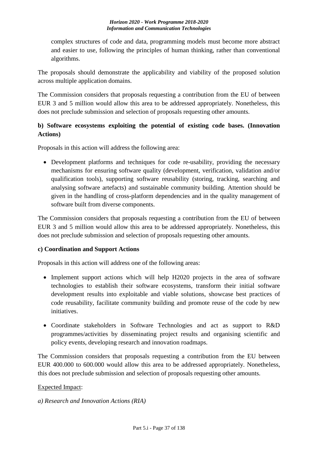complex structures of code and data, programming models must become more abstract and easier to use, following the principles of human thinking, rather than conventional algorithms.

The proposals should demonstrate the applicability and viability of the proposed solution across multiple application domains.

The Commission considers that proposals requesting a contribution from the EU of between EUR 3 and 5 million would allow this area to be addressed appropriately. Nonetheless, this does not preclude submission and selection of proposals requesting other amounts.

## **b) Software ecosystems exploiting the potential of existing code bases. (Innovation Actions)**

Proposals in this action will address the following area:

 Development platforms and techniques for code re-usability, providing the necessary mechanisms for ensuring software quality (development, verification, validation and/or qualification tools), supporting software reusability (storing, tracking, searching and analysing software artefacts) and sustainable community building. Attention should be given in the handling of cross-platform dependencies and in the quality management of software built from diverse components.

The Commission considers that proposals requesting a contribution from the EU of between EUR 3 and 5 million would allow this area to be addressed appropriately. Nonetheless, this does not preclude submission and selection of proposals requesting other amounts.

## **c) Coordination and Support Actions**

Proposals in this action will address one of the following areas:

- Implement support actions which will help H2020 projects in the area of software technologies to establish their software ecosystems, transform their initial software development results into exploitable and viable solutions, showcase best practices of code reusability, facilitate community building and promote reuse of the code by new initiatives.
- Coordinate stakeholders in Software Technologies and act as support to R&D programmes/activities by disseminating project results and organising scientific and policy events, developing research and innovation roadmaps.

The Commission considers that proposals requesting a contribution from the EU between EUR 400.000 to 600.000 would allow this area to be addressed appropriately. Nonetheless, this does not preclude submission and selection of proposals requesting other amounts.

## Expected Impact:

*a) Research and Innovation Actions (RIA)*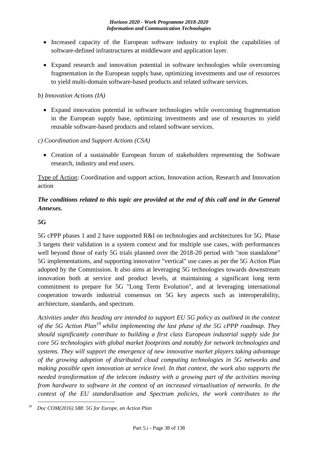- Increased capacity of the European software industry to exploit the capabilities of software-defined infrastructures at middleware and application layer.
- Expand research and innovation potential in software technologies while overcoming fragmentation in the European supply base, optimizing investments and use of resources to yield multi-domain software-based products and related software services.

## *b) Innovation Actions (IA)*

- Expand innovation potential in software technologies while overcoming fragmentation in the European supply base, optimizing investments and use of resources to yield reusable software-based products and related software services.
- *c) Coordination and Support Actions (CSA)*
	- Creation of a sustainable European forum of stakeholders representing the Software research, industry and end users.

Type of Action: Coordination and support action, Innovation action, Research and Innovation action

# *The conditions related to this topic are provided at the end of this call and in the General Annexes.*

## **5G**

5G cPPP phases 1 and 2 have supported R&I on technologies and architectures for 5G. Phase 3 targets their validation in a system context and for multiple use cases, with performances well beyond those of early 5G trials planned over the 2018-20 period with "non standalone" 5G implementations, and supporting innovative "vertical" use cases as per the 5G Action Plan adopted by the Commission. It also aims at leveraging 5G technologies towards downstream innovation both at service and product levels, at maintaining a significant long term commitment to prepare for 5G "Long Term Evolution", and at leveraging international cooperation towards industrial consensus on 5G key aspects such as interoperability, architecture, standards, and spectrum.

*Activities under this heading are intended to support EU 5G policy as outlined in the context of the 5G Action Plan*<sup>19</sup> *whilst implementing the last phase of the 5G cPPP roadmap. They should significantly contribute to building a first class European industrial supply side for core 5G technologies with global market footprints and notably for network technologies and systems. They will support the emergence of new innovative market players taking advantage of the growing adoption of distributed cloud computing technologies in 5G networks and making possible open innovation at service level. In that context, the work also supports the needed transformation of the telecom industry with a growing part of the activities moving from hardware to software in the context of an increased virtualisation of networks. In the context of the EU standardisation and Spectrum policies, the work contributes to the* 

<sup>&</sup>lt;u>.</u> <sup>19</sup>*Doc COM(2016) 588: 5G for Europe, an Action Plan*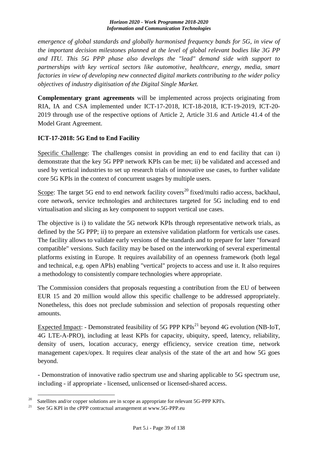*emergence of global standards and globally harmonised frequency bands for 5G, in view of the important decision milestones planned at the level of global relevant bodies like 3G PP and ITU. This 5G PPP phase also develops the "lead" demand side with support to partnerships with key vertical sectors like automotive, healthcare, energy, media, smart factories in view of developing new connected digital markets contributing to the wider policy objectives of industry digitisation of the Digital Single Market.*

**Complementary grant agreements** will be implemented across projects originating from RIA, IA and CSA implemented under ICT-17-2018, ICT-18-2018, ICT-19-2019, ICT-20- 2019 through use of the respective options of Article 2, Article 31.6 and Article 41.4 of the Model Grant Agreement.

## **ICT-17-2018: 5G End to End Facility**

Specific Challenge: The challenges consist in providing an end to end facility that can i) demonstrate that the key 5G PPP network KPIs can be met; ii) be validated and accessed and used by vertical industries to set up research trials of innovative use cases, to further validate core 5G KPIs in the context of concurrent usages by multiple users.

Scope: The target 5G end to end network facility covers<sup>20</sup> fixed/multi radio access, backhaul, core network, service technologies and architectures targeted for 5G including end to end virtualisation and slicing as key component to support vertical use cases.

The objective is i) to validate the 5G network KPIs through representative network trials, as defined by the 5G PPP; ii) to prepare an extensive validation platform for verticals use cases. The facility allows to validate early versions of the standards and to prepare for later "forward compatible" versions. Such facility may be based on the interworking of several experimental platforms existing in Europe. It requires availability of an openness framework (both legal and technical, e.g. open APIs) enabling "vertical" projects to access and use it. It also requires a methodology to consistently compare technologies where appropriate.

The Commission considers that proposals requesting a contribution from the EU of between EUR 15 and 20 million would allow this specific challenge to be addressed appropriately. Nonetheless, this does not preclude submission and selection of proposals requesting other amounts.

Expected Impact: - Demonstrated feasibility of 5G PPP KPIs<sup>21</sup> beyond 4G evolution (NB-IoT, 4G LTE-A-PRO), including at least KPIs for capacity, ubiquity, speed, latency, reliability, density of users, location accuracy, energy efficiency, service creation time, network management capex/opex. It requires clear analysis of the state of the art and how 5G goes beyond.

- Demonstration of innovative radio spectrum use and sharing applicable to 5G spectrum use, including - if appropriate - licensed, unlicensed or licensed-shared access.

<sup>&</sup>lt;sup>20</sup> Satellites and/or copper solutions are in scope as appropriate for relevant 5G-PPP KPI's.<br><sup>21</sup> See 5G KDI in the cDDD sentes turb supposes we at summa 5G DDD and

See 5G KPI in the cPPP contractual arrangement at www.5G-PPP.eu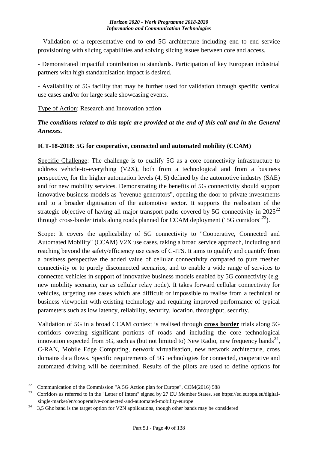- Validation of a representative end to end 5G architecture including end to end service provisioning with slicing capabilities and solving slicing issues between core and access.

- Demonstrated impactful contribution to standards. Participation of key European industrial partners with high standardisation impact is desired.

- Availability of 5G facility that may be further used for validation through specific vertical use cases and/or for large scale showcasing events.

## Type of Action: Research and Innovation action

# *The conditions related to this topic are provided at the end of this call and in the General Annexes.*

## **ICT-18-2018: 5G for cooperative, connected and automated mobility (CCAM)**

Specific Challenge: The challenge is to qualify 5G as a core connectivity infrastructure to address vehicle-to-everything (V2X), both from a technological and from a business perspective, for the higher automation levels (4, 5) defined by the automotive industry (SAE) and for new mobility services. Demonstrating the benefits of 5G connectivity should support innovative business models as "revenue generators", opening the door to private investments and to a broader digitisation of the automotive sector. It supports the realisation of the strategic objective of having all major transport paths covered by 5G connectivity in  $2025^{22}$ through cross-border trials along roads planned for CCAM deployment ("5G corridors"<sup>23</sup>).

Scope: It covers the applicability of 5G connectivity to "Cooperative, Connected and Automated Mobility" (CCAM) V2X use cases, taking a broad service approach, including and reaching beyond the safety/efficiency use cases of C-ITS. It aims to qualify and quantify from a business perspective the added value of cellular connectivity compared to pure meshed connectivity or to purely disconnected scenarios, and to enable a wide range of services to connected vehicles in support of innovative business models enabled by 5G connectivity (e.g. new mobility scenario, car as cellular relay node). It takes forward cellular connectivity for vehicles, targeting use cases which are difficult or impossible to realise from a technical or business viewpoint with existing technology and requiring improved performance of typical parameters such as low latency, reliability, security, location, throughput, security.

Validation of 5G in a broad CCAM context is realised through **cross border** trials along 5G corridors covering significant portions of roads and including the core technological innovation expected from 5G, such as (but not limited to) New Radio, new frequency bands<sup>24</sup>, C-RAN, Mobile Edge Computing, network virtualisation, new network architecture, cross domains data flows. Specific requirements of 5G technologies for connected, cooperative and automated driving will be determined. Results of the pilots are used to define options for

<sup>&</sup>lt;sup>22</sup> Communication of the Commission "A 5G Action plan for Europe", COM(2016) 588

<sup>&</sup>lt;sup>23</sup> Corridors as referred to in the "Letter of Intent" signed by 27 EU Member States, see https://ec.europa.eu/digitalsingle-market/en/cooperative-connected-and-automated-mobility-europe

<sup>&</sup>lt;sup>24</sup> 3.5 Ghz band is the target option for V2N applications, though other bands may be considered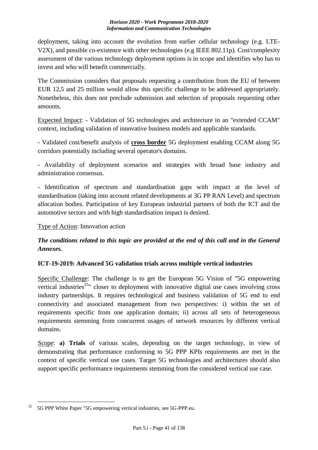deployment, taking into account the evolution from earlier cellular technology (e.g. LTE-V2X), and possible co-existence with other technologies (e.g IEEE 802.11p). Cost/complexity assessment of the various technology deployment options is in scope and identifies who has to invest and who will benefit commercially.

The Commission considers that proposals requesting a contribution from the EU of between EUR 12,5 and 25 million would allow this specific challenge to be addressed appropriately. Nonetheless, this does not preclude submission and selection of proposals requesting other amounts.

Expected Impact: - Validation of 5G technologies and architecture in an "extended CCAM" context, including validation of innovative business models and applicable standards.

- Validated cost/benefit analysis of **cross border** 5G deployment enabling CCAM along 5G corridors potentially including several operator's domains.

- Availability of deployment scenarios and strategies with broad base industry and administration consensus.

- Identification of spectrum and standardisation gaps with impact at the level of standardisation (taking into account related developments at 3G PP RAN Level) and spectrum allocation bodies. Participation of key European industrial partners of both the ICT and the automotive sectors and with high standardisation impact is desired.

## Type of Action: Innovation action

# *The conditions related to this topic are provided at the end of this call and in the General Annexes.*

## **ICT-19-2019: Advanced 5G validation trials across multiple vertical industries**

Specific Challenge: The challenge is to get the European 5G Vision of "5G empowering vertical industries<sup>25</sup>" closer to deployment with innovative digital use cases involving cross industry partnerships. It requires technological and business validation of 5G end to end connectivity and associated management from two perspectives: i) within the set of requirements specific from one application domain; ii) across all sets of heterogeneous requirements stemming from concurrent usages of network resources by different vertical domains.

Scope: **a) Trials** of various scales, depending on the target technology, in view of demonstrating that performance conforming to 5G PPP KPIs requirements are met in the context of specific vertical use cases. Target 5G technologies and architectures should also support specific performance requirements stemming from the considered vertical use case.

<sup>&</sup>lt;u>.</u> <sup>25</sup> 5G PPP White Paper "5G empowering vertical industries, see 5G-PPP.eu.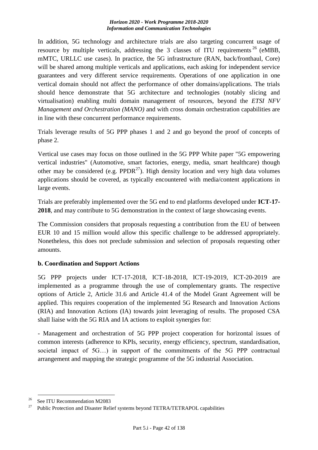In addition, 5G technology and architecture trials are also targeting concurrent usage of resource by multiple verticals, addressing the 3 classes of ITU requirements  $26$  (eMBB, mMTC, URLLC use cases). In practice, the 5G infrastructure (RAN, back/fronthaul, Core) will be shared among multiple verticals and applications, each asking for independent service guarantees and very different service requirements. Operations of one application in one vertical domain should not affect the performance of other domains/applications. The trials should hence demonstrate that 5G architecture and technologies (notably slicing and virtualisation) enabling multi domain management of resources, beyond the *ETSI NFV Management and Orchestration (MANO)* and with cross domain orchestration capabilities are in line with these concurrent performance requirements.

Trials leverage results of 5G PPP phases 1 and 2 and go beyond the proof of concepts of phase 2.

Vertical use cases may focus on those outlined in the 5G PPP White paper "5G empowering vertical industries" (Automotive, smart factories, energy, media, smart healthcare) though other may be considered (e.g.  $PPDR<sup>27</sup>$ ). High density location and very high data volumes applications should be covered, as typically encountered with media/content applications in large events.

Trials are preferably implemented over the 5G end to end platforms developed under **ICT-17- 2018**, and may contribute to 5G demonstration in the context of large showcasing events.

The Commission considers that proposals requesting a contribution from the EU of between EUR 10 and 15 million would allow this specific challenge to be addressed appropriately. Nonetheless, this does not preclude submission and selection of proposals requesting other amounts.

## **b. Coordination and Support Actions**

5G PPP projects under ICT-17-2018, ICT-18-2018, ICT-19-2019, ICT-20-2019 are implemented as a programme through the use of complementary grants. The respective options of Article 2, Article 31.6 and Article 41.4 of the Model Grant Agreement will be applied. This requires cooperation of the implemented 5G Research and Innovation Actions (RIA) and Innovation Actions (IA) towards joint leveraging of results. The proposed CSA shall liaise with the 5G RIA and IA actions to exploit synergies for:

- Management and orchestration of 5G PPP project cooperation for horizontal issues of common interests (adherence to KPIs, security, energy efficiency, spectrum, standardisation, societal impact of 5G…) in support of the commitments of the 5G PPP contractual arrangement and mapping the strategic programme of the 5G industrial Association.

<sup>&</sup>lt;sup>26</sup> See ITU Recommendation M2083

<sup>&</sup>lt;sup>27</sup> Public Protection and Disaster Relief systems beyond TETRA/TETRAPOL capabilities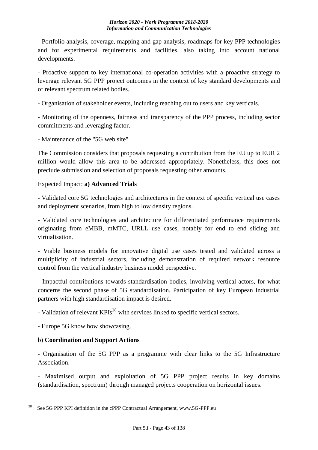- Portfolio analysis, coverage, mapping and gap analysis, roadmaps for key PPP technologies and for experimental requirements and facilities, also taking into account national developments.

- Proactive support to key international co-operation activities with a proactive strategy to leverage relevant 5G PPP project outcomes in the context of key standard developments and of relevant spectrum related bodies.

- Organisation of stakeholder events, including reaching out to users and key verticals.

- Monitoring of the openness, fairness and transparency of the PPP process, including sector commitments and leveraging factor.

- Maintenance of the "5G web site".

The Commission considers that proposals requesting a contribution from the EU up to EUR 2 million would allow this area to be addressed appropriately. Nonetheless, this does not preclude submission and selection of proposals requesting other amounts.

## Expected Impact: **a) Advanced Trials**

- Validated core 5G technologies and architectures in the context of specific vertical use cases and deployment scenarios, from high to low density regions.

- Validated core technologies and architecture for differentiated performance requirements originating from eMBB, mMTC, URLL use cases, notably for end to end slicing and virtualisation.

- Viable business models for innovative digital use cases tested and validated across a multiplicity of industrial sectors, including demonstration of required network resource control from the vertical industry business model perspective.

- Impactful contributions towards standardisation bodies, involving vertical actors, for what concerns the second phase of 5G standardisation. Participation of key European industrial partners with high standardisation impact is desired.

- Validation of relevant KPIs<sup>28</sup> with services linked to specific vertical sectors.

- Europe 5G know how showcasing.

## b) **Coordination and Support Actions**

- Organisation of the 5G PPP as a programme with clear links to the 5G Infrastructure Association.

- Maximised output and exploitation of 5G PPP project results in key domains (standardisation, spectrum) through managed projects cooperation on horizontal issues.

<sup>&</sup>lt;u>.</u> <sup>28</sup> See 5G PPP KPI definition in the cPPP Contractual Arrangement, www.5G-PPP.eu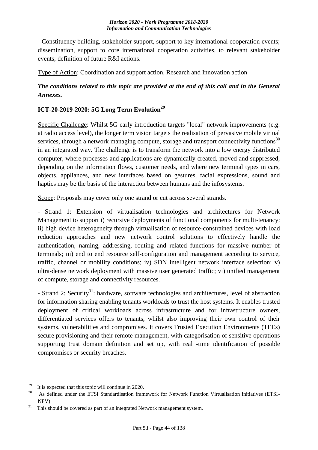- Constituency building, stakeholder support, support to key international cooperation events; dissemination, support to core international cooperation activities, to relevant stakeholder events; definition of future R&I actions.

Type of Action: Coordination and support action, Research and Innovation action

## *The conditions related to this topic are provided at the end of this call and in the General Annexes.*

## **ICT-20-2019-2020: 5G Long Term Evolution<sup>29</sup>**

Specific Challenge: Whilst 5G early introduction targets "local" network improvements (e.g. at radio access level), the longer term vision targets the realisation of pervasive mobile virtual services, through a network managing compute, storage and transport connectivity functions $30$ in an integrated way. The challenge is to transform the network into a low energy distributed computer, where processes and applications are dynamically created, moved and suppressed, depending on the information flows, customer needs, and where new terminal types in cars, objects, appliances, and new interfaces based on gestures, facial expressions, sound and haptics may be the basis of the interaction between humans and the infosystems.

Scope: Proposals may cover only one strand or cut across several strands.

- Strand 1: Extension of virtualisation technologies and architectures for Network Management to support i) recursive deployments of functional components for multi-tenancy; ii) high device heterogeneity through virtualisation of resource-constrained devices with load reduction approaches and new network control solutions to effectively handle the authentication, naming, addressing, routing and related functions for massive number of terminals; iii) end to end resource self-configuration and management according to service, traffic, channel or mobility conditions; iv) SDN intelligent network interface selection; v) ultra-dense network deployment with massive user generated traffic; vi) unified management of compute, storage and connectivity resources.

- Strand 2: Security<sup>31</sup>: hardware, software technologies and architectures, level of abstraction for information sharing enabling tenants workloads to trust the host systems. It enables trusted deployment of critical workloads across infrastructure and for infrastructure owners, differentiated services offers to tenants, whilst also improving their own control of their systems, vulnerabilities and compromises. It covers Trusted Execution Environments (TEEs) secure provisioning and their remote management, with categorisation of sensitive operations supporting trust domain definition and set up, with real -time identification of possible compromises or security breaches.

<sup>&</sup>lt;sup>29</sup> It is expected that this topic will continue in 2020.

<sup>&</sup>lt;sup>30</sup> As defined under the ETSI Standardisation framework for Network Function Virtualisation initiatives (ETSI-NFV)

 $31$  This should be covered as part of an integrated Network management system.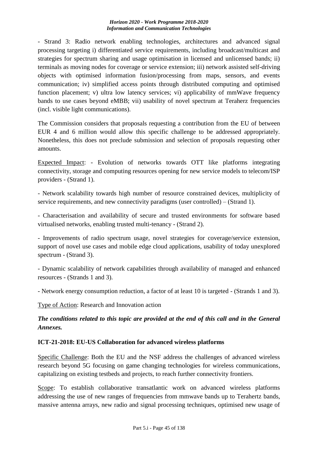- Strand 3: Radio network enabling technologies, architectures and advanced signal processing targeting i) differentiated service requirements, including broadcast/multicast and strategies for spectrum sharing and usage optimisation in licensed and unlicensed bands; ii) terminals as moving nodes for coverage or service extension; iii) network assisted self-driving objects with optimised information fusion/processing from maps, sensors, and events communication; iv) simplified access points through distributed computing and optimised function placement; v) ultra low latency services; vi) applicability of mmWave frequency bands to use cases beyond eMBB; vii) usability of novel spectrum at Teraherz frequencies (incl. visible light communications).

The Commission considers that proposals requesting a contribution from the EU of between EUR 4 and 6 million would allow this specific challenge to be addressed appropriately. Nonetheless, this does not preclude submission and selection of proposals requesting other amounts.

Expected Impact: - Evolution of networks towards OTT like platforms integrating connectivity, storage and computing resources opening for new service models to telecom/ISP providers - (Strand 1).

- Network scalability towards high number of resource constrained devices, multiplicity of service requirements, and new connectivity paradigms (user controlled) – (Strand 1).

- Characterisation and availability of secure and trusted environments for software based virtualised networks, enabling trusted multi-tenancy - (Strand 2).

- Improvements of radio spectrum usage, novel strategies for coverage/service extension, support of novel use cases and mobile edge cloud applications, usability of today unexplored spectrum - (Strand 3).

- Dynamic scalability of network capabilities through availability of managed and enhanced resources - (Strands 1 and 3).

- Network energy consumption reduction, a factor of at least 10 is targeted - (Strands 1 and 3).

Type of Action: Research and Innovation action

*The conditions related to this topic are provided at the end of this call and in the General Annexes.*

## **ICT-21-2018: EU-US Collaboration for advanced wireless platforms**

Specific Challenge: Both the EU and the NSF address the challenges of advanced wireless research beyond 5G focusing on game changing technologies for wireless communications, capitalizing on existing testbeds and projects, to reach further connectivity frontiers.

Scope: To establish collaborative transatlantic work on advanced wireless platforms addressing the use of new ranges of frequencies from mmwave bands up to Terahertz bands, massive antenna arrays, new radio and signal processing techniques, optimised new usage of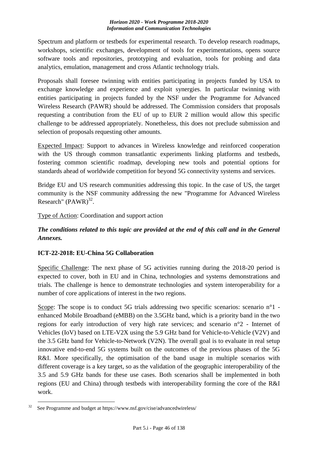Spectrum and platform or testbeds for experimental research. To develop research roadmaps, workshops, scientific exchanges, development of tools for experimentations, opens source software tools and repositories, prototyping and evaluation, tools for probing and data analytics, emulation, management and cross Atlantic technology trials.

Proposals shall foresee twinning with entities participating in projects funded by USA to exchange knowledge and experience and exploit synergies. In particular twinning with entities participating in projects funded by the NSF under the Programme for Advanced Wireless Research (PAWR) should be addressed. The Commission considers that proposals requesting a contribution from the EU of up to EUR 2 million would allow this specific challenge to be addressed appropriately. Nonetheless, this does not preclude submission and selection of proposals requesting other amounts.

Expected Impact: Support to advances in Wireless knowledge and reinforced cooperation with the US through common transatlantic experiments linking platforms and testbeds, fostering common scientific roadmap, developing new tools and potential options for standards ahead of worldwide competition for beyond 5G connectivity systems and services.

Bridge EU and US research communities addressing this topic. In the case of US, the target community is the NSF community addressing the new "Programme for Advanced Wireless Research"  $(PAWR)^{32}$ .

Type of Action: Coordination and support action

# *The conditions related to this topic are provided at the end of this call and in the General Annexes.*

## **ICT-22-2018: EU-China 5G Collaboration**

Specific Challenge: The next phase of 5G activities running during the 2018-20 period is expected to cover, both in EU and in China, technologies and systems demonstrations and trials. The challenge is hence to demonstrate technologies and system interoperability for a number of core applications of interest in the two regions.

Scope: The scope is to conduct 5G trials addressing two specific scenarios: scenario n°1 enhanced Mobile Broadband (eMBB) on the 3.5GHz band, which is a priority band in the two regions for early introduction of very high rate services; and scenario n°2 - Internet of Vehicles (IoV) based on LTE-V2X using the 5.9 GHz band for Vehicle-to-Vehicle (V2V) and the 3.5 GHz band for Vehicle-to-Network (V2N). The overall goal is to evaluate in real setup innovative end-to-end 5G systems built on the outcomes of the previous phases of the 5G R&I. More specifically, the optimisation of the band usage in multiple scenarios with different coverage is a key target, so as the validation of the geographic interoperability of the 3.5 and 5.9 GHz bands for these use cases. Both scenarios shall be implemented in both regions (EU and China) through testbeds with interoperability forming the core of the R&I work.

<sup>&</sup>lt;u>.</u>  $32$  See Programme and budget at https://www.nsf.gov/cise/advancedwireless/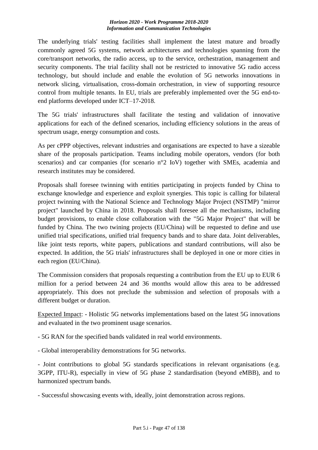The underlying trials' testing facilities shall implement the latest mature and broadly commonly agreed 5G systems, network architectures and technologies spanning from the core/transport networks, the radio access, up to the service, orchestration, management and security components. The trial facility shall not be restricted to innovative 5G radio access technology, but should include and enable the evolution of 5G networks innovations in network slicing, virtualisation, cross-domain orchestration, in view of supporting resource control from multiple tenants. In EU, trials are preferably implemented over the 5G end-toend platforms developed under ICT–17-2018.

The 5G trials' infrastructures shall facilitate the testing and validation of innovative applications for each of the defined scenarios, including efficiency solutions in the areas of spectrum usage, energy consumption and costs.

As per cPPP objectives, relevant industries and organisations are expected to have a sizeable share of the proposals participation. Teams including mobile operators, vendors (for both scenarios) and car companies (for scenario n°2 IoV) together with SMEs, academia and research institutes may be considered.

Proposals shall foresee twinning with entities participating in projects funded by China to exchange knowledge and experience and exploit synergies. This topic is calling for bilateral project twinning with the National Science and Technology Major Project (NSTMP) "mirror project" launched by China in 2018. Proposals shall foresee all the mechanisms, including budget provisions, to enable close collaboration with the "5G Major Project" that will be funded by China. The two twining projects (EU/China) will be requested to define and use unified trial specifications, unified trial frequency bands and to share data. Joint deliverables, like joint tests reports, white papers, publications and standard contributions, will also be expected. In addition, the 5G trials' infrastructures shall be deployed in one or more cities in each region (EU/China).

The Commission considers that proposals requesting a contribution from the EU up to EUR 6 million for a period between 24 and 36 months would allow this area to be addressed appropriately. This does not preclude the submission and selection of proposals with a different budget or duration.

Expected Impact: - Holistic 5G networks implementations based on the latest 5G innovations and evaluated in the two prominent usage scenarios.

- 5G RAN for the specified bands validated in real world environments.
- Global interoperability demonstrations for 5G networks.

- Joint contributions to global 5G standards specifications in relevant organisations (e.g. 3GPP, ITU-R), especially in view of 5G phase 2 standardisation (beyond eMBB), and to harmonized spectrum bands.

- Successful showcasing events with, ideally, joint demonstration across regions.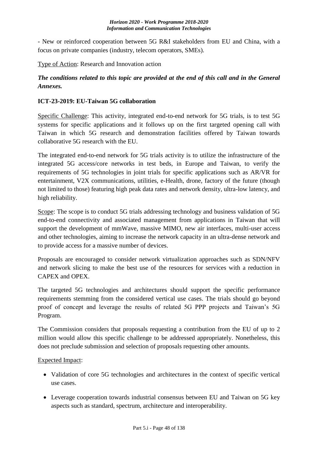- New or reinforced cooperation between 5G R&I stakeholders from EU and China, with a focus on private companies (industry, telecom operators, SMEs).

Type of Action: Research and Innovation action

# *The conditions related to this topic are provided at the end of this call and in the General Annexes.*

## **ICT-23-2019: EU-Taiwan 5G collaboration**

Specific Challenge: This activity, integrated end-to-end network for 5G trials, is to test 5G systems for specific applications and it follows up on the first targeted opening call with Taiwan in which 5G research and demonstration facilities offered by Taiwan towards collaborative 5G research with the EU.

The integrated end-to-end network for 5G trials activity is to utilize the infrastructure of the integrated 5G access/core networks in test beds, in Europe and Taiwan, to verify the requirements of 5G technologies in joint trials for specific applications such as AR/VR for entertainment, V2X communications, utilities, e-Health, drone, factory of the future (though not limited to those) featuring high peak data rates and network density, ultra-low latency, and high reliability.

Scope: The scope is to conduct 5G trials addressing technology and business validation of 5G end-to-end connectivity and associated management from applications in Taiwan that will support the development of mmWave, massive MIMO, new air interfaces, multi-user access and other technologies, aiming to increase the network capacity in an ultra-dense network and to provide access for a massive number of devices.

Proposals are encouraged to consider network virtualization approaches such as SDN/NFV and network slicing to make the best use of the resources for services with a reduction in CAPEX and OPEX.

The targeted 5G technologies and architectures should support the specific performance requirements stemming from the considered vertical use cases. The trials should go beyond proof of concept and leverage the results of related 5G PPP projects and Taiwan's 5G Program.

The Commission considers that proposals requesting a contribution from the EU of up to 2 million would allow this specific challenge to be addressed appropriately. Nonetheless, this does not preclude submission and selection of proposals requesting other amounts.

## Expected Impact:

- Validation of core 5G technologies and architectures in the context of specific vertical use cases.
- Leverage cooperation towards industrial consensus between EU and Taiwan on 5G key aspects such as standard, spectrum, architecture and interoperability.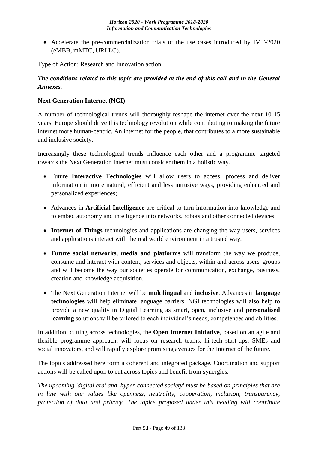• Accelerate the pre-commercialization trials of the use cases introduced by IMT-2020 (eMBB, mMTC, URLLC).

Type of Action: Research and Innovation action

## *The conditions related to this topic are provided at the end of this call and in the General Annexes.*

## **Next Generation Internet (NGI)**

A number of technological trends will thoroughly reshape the internet over the next 10-15 years. Europe should drive this technology revolution while contributing to making the future internet more human-centric. An internet for the people, that contributes to a more sustainable and inclusive society.

Increasingly these technological trends influence each other and a programme targeted towards the Next Generation Internet must consider them in a holistic way.

- Future **Interactive Technologies** will allow users to access, process and deliver information in more natural, efficient and less intrusive ways, providing enhanced and personalized experiences;
- Advances in **Artificial Intelligence** are critical to turn information into knowledge and to embed autonomy and intelligence into networks, robots and other connected devices;
- **Internet of Things** technologies and applications are changing the way users, services and applications interact with the real world environment in a trusted way.
- **Future social networks, media and platforms** will transform the way we produce, consume and interact with content, services and objects, within and across users' groups and will become the way our societies operate for communication, exchange, business, creation and knowledge acquisition.
- The Next Generation Internet will be **multilingual** and **inclusive**. Advances in **language technologies** will help eliminate language barriers. NGI technologies will also help to provide a new quality in Digital Learning as smart, open, inclusive and **personalised learning** solutions will be tailored to each individual's needs, competences and abilities.

In addition, cutting across technologies, the **Open Internet Initiative**, based on an agile and flexible programme approach, will focus on research teams, hi-tech start-ups, SMEs and social innovators, and will rapidly explore promising avenues for the Internet of the future.

The topics addressed here form a coherent and integrated package. Coordination and support actions will be called upon to cut across topics and benefit from synergies.

*The upcoming 'digital era' and 'hyper-connected society' must be based on principles that are in line with our values like openness, neutrality, cooperation, inclusion, transparency, protection of data and privacy. The topics proposed under this heading will contribute*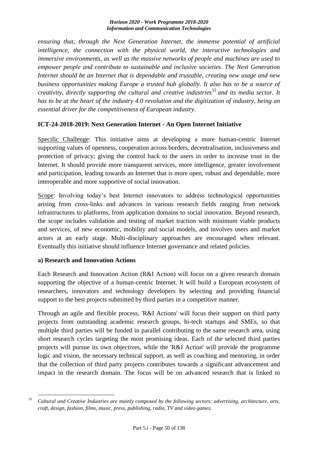*ensuring that, through the Next Generation Internet, the immense potential of artificial intelligence, the connection with the physical world, the interactive technologies and immersive environments, as well as the massive networks of people and machines are used to empower people and contribute to sustainable and inclusive societies. The Next Generation Internet should be an Internet that is dependable and trustable, creating new usage and new business opportunities making Europe a trusted hub globally. It also has to be a source of creativity, directly supporting the cultural and creative industries*<sup>33</sup> *and its media sector. It has to be at the heart of the industry 4.0 revolution and the digitization of industry, being an essential driver for the competitiveness of European industry.*

## **ICT-24-2018-2019: Next Generation Internet - An Open Internet Initiative**

Specific Challenge: This initiative aims at developing a more human-centric Internet supporting values of openness, cooperation across borders, decentralisation, inclusiveness and protection of privacy; giving the control back to the users in order to increase trust in the Internet. It should provide more transparent services, more intelligence, greater involvement and participation, leading towards an Internet that is more open, robust and dependable, more interoperable and more supportive of social innovation.

Scope: Involving today's best Internet innovators to address technological opportunities arising from cross-links and advances in various research fields ranging from network infrastructures to platforms, from application domains to social innovation. Beyond research, the scope includes validation and testing of market traction with minimum viable products and services, of new economic, mobility and social models, and involves users and market actors at an early stage. Multi-disciplinary approaches are encouraged when relevant. Eventually this initiative should influence Internet governance and related policies.

## **a) Research and Innovation Actions**

Each Research and Innovation Action (R&I Action) will focus on a given research domain supporting the objective of a human-centric Internet. It will build a European ecosystem of researchers, innovators and technology developers by selecting and providing financial support to the best projects submitted by third parties in a competitive manner.

Through an agile and flexible process, 'R&I Actions' will focus their support on third party projects from outstanding academic research groups, hi-tech startups and SMEs, so that multiple third parties will be funded in parallel contributing to the same research area, using short research cycles targeting the most promising ideas. Each of the selected third parties projects will pursue its own objectives, while the 'R&I Action' will provide the programme logic and vision, the necessary technical support, as well as coaching and mentoring, in order that the collection of third party projects contributes towards a significant advancement and impact in the research domain. The focus will be on advanced research that is linked to

<sup>1</sup> <sup>33</sup>*Cultural and Creative Industries are mainly composed by the following sectors: advertising, architecture, arts, craft, design, fashion, films, music, press, publishing, radio, TV and video games.*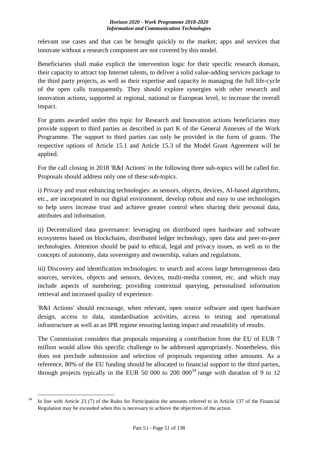relevant use cases and that can be brought quickly to the market; apps and services that innovate without a research component are not covered by this model.

Beneficiaries shall make explicit the intervention logic for their specific research domain, their capacity to attract top Internet talents, to deliver a solid value-adding services package to the third party projects, as well as their expertise and capacity in managing the full life-cycle of the open calls transparently. They should explore synergies with other research and innovation actions, supported at regional, national or European level, to increase the overall impact.

For grants awarded under this topic for Research and Innovation actions beneficiaries may provide support to third parties as described in part K of the General Annexes of the Work Programme. The support to third parties can only be provided in the form of grants. The respective options of Article 15.1 and Article 15.3 of the Model Grant Agreement will be applied.

For the call closing in 2018 'R&I Actions' in the following three sub-topics will be called for. Proposals should address only one of these sub-topics.

i) Privacy and trust enhancing technologies: as sensors, objects, devices, AI-based algorithms, etc., are incorporated in our digital environment, develop robust and easy to use technologies to help users increase trust and achieve greater control when sharing their personal data, attributes and information.

ii) Decentralized data governance: leveraging on distributed open hardware and software ecosystems based on blockchains, distributed ledger technology, open data and peer-to-peer technologies. Attention should be paid to ethical, legal and privacy issues, as well as to the concepts of autonomy, data sovereignty and ownership, values and regulations.

iii) Discovery and identification technologies: to search and access large heterogeneous data sources, services, objects and sensors, devices, multi-media content, etc. and which may include aspects of numbering; providing contextual querying, personalised information retrieval and increased quality of experience.

'R&I Actions' should encourage, when relevant, open source software and open hardware design, access to data, standardisation activities, access to testing and operational infrastructure as well as an IPR regime ensuring lasting impact and reusability of results.

The Commission considers that proposals requesting a contribution from the EU of EUR 7 million would allow this specific challenge to be addressed appropriately. Nonetheless, this does not preclude submission and selection of proposals requesting other amounts. As a reference, 80% of the EU funding should be allocated to financial support to the third parties, through projects typically in the EUR 50 000 to 200  $000^{34}$  range with duration of 9 to 12

<sup>1</sup>  $34$  In line with Article 23 (7) of the Rules for Participation the amounts referred to in Article 137 of the Financial Regulation may be exceeded when this is necessary to achieve the objectives of the action.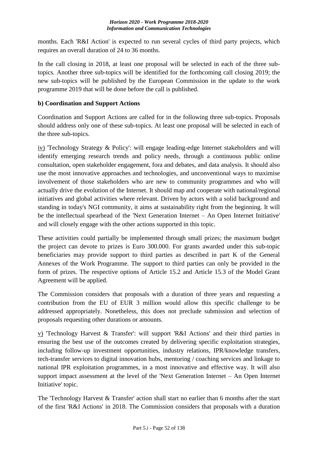months. Each 'R&I Action' is expected to run several cycles of third party projects, which requires an overall duration of 24 to 36 months.

In the call closing in 2018, at least one proposal will be selected in each of the three subtopics. Another three sub-topics will be identified for the forthcoming call closing 2019; the new sub-topics will be published by the European Commission in the update to the work programme 2019 that will be done before the call is published.

## **b) Coordination and Support Actions**

Coordination and Support Actions are called for in the following three sub-topics. Proposals should address only one of these sub-topics. At least one proposal will be selected in each of the three sub-topics.

iv) 'Technology Strategy & Policy': will engage leading-edge Internet stakeholders and will identify emerging research trends and policy needs, through a continuous public online consultation, open stakeholder engagement, fora and debates, and data analysis. It should also use the most innovative approaches and technologies, and unconventional ways to maximise involvement of those stakeholders who are new to community programmes and who will actually drive the evolution of the Internet. It should map and cooperate with national/regional initiatives and global activities where relevant. Driven by actors with a solid background and standing in today's NGI community, it aims at sustainability right from the beginning. It will be the intellectual spearhead of the 'Next Generation Internet – An Open Internet Initiative' and will closely engage with the other actions supported in this topic.

These activities could partially be implemented through small prizes; the maximum budget the project can devote to prizes is Euro 300.000. For grants awarded under this sub-topic beneficiaries may provide support to third parties as described in part K of the General Annexes of the Work Programme. The support to third parties can only be provided in the form of prizes. The respective options of Article 15.2 and Article 15.3 of the Model Grant Agreement will be applied.

The Commission considers that proposals with a duration of three years and requesting a contribution from the EU of EUR 3 million would allow this specific challenge to be addressed appropriately. Nonetheless, this does not preclude submission and selection of proposals requesting other durations or amounts.

v) 'Technology Harvest & Transfer': will support 'R&I Actions' and their third parties in ensuring the best use of the outcomes created by delivering specific exploitation strategies, including follow-up investment opportunities, industry relations, IPR/knowledge transfers, tech-transfer services to digital innovation hubs, mentoring / coaching services and linkage to national IPR exploitation programmes, in a most innovative and effective way. It will also support impact assessment at the level of the 'Next Generation Internet – An Open Internet Initiative' topic.

The 'Technology Harvest & Transfer' action shall start no earlier than 6 months after the start of the first 'R&I Actions' in 2018. The Commission considers that proposals with a duration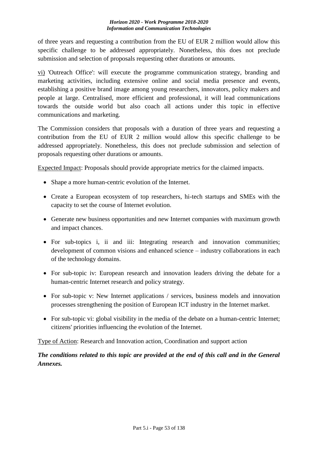of three years and requesting a contribution from the EU of EUR 2 million would allow this specific challenge to be addressed appropriately. Nonetheless, this does not preclude submission and selection of proposals requesting other durations or amounts.

vi) 'Outreach Office': will execute the programme communication strategy, branding and marketing activities, including extensive online and social media presence and events, establishing a positive brand image among young researchers, innovators, policy makers and people at large. Centralised, more efficient and professional, it will lead communications towards the outside world but also coach all actions under this topic in effective communications and marketing.

The Commission considers that proposals with a duration of three years and requesting a contribution from the EU of EUR 2 million would allow this specific challenge to be addressed appropriately. Nonetheless, this does not preclude submission and selection of proposals requesting other durations or amounts.

Expected Impact: Proposals should provide appropriate metrics for the claimed impacts.

- Shape a more human-centric evolution of the Internet.
- Create a European ecosystem of top researchers, hi-tech startups and SMEs with the capacity to set the course of Internet evolution.
- Generate new business opportunities and new Internet companies with maximum growth and impact chances.
- For sub-topics i, ii and iii: Integrating research and innovation communities; development of common visions and enhanced science – industry collaborations in each of the technology domains.
- For sub-topic iv: European research and innovation leaders driving the debate for a human-centric Internet research and policy strategy.
- For sub-topic v: New Internet applications / services, business models and innovation processes strengthening the position of European ICT industry in the Internet market.
- For sub-topic vi: global visibility in the media of the debate on a human-centric Internet; citizens' priorities influencing the evolution of the Internet.

Type of Action: Research and Innovation action, Coordination and support action

*The conditions related to this topic are provided at the end of this call and in the General Annexes.*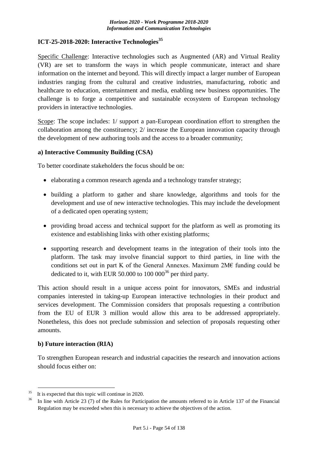#### **ICT-25-2018-2020: Interactive Technologies<sup>35</sup>**

Specific Challenge: Interactive technologies such as Augmented (AR) and Virtual Reality (VR) are set to transform the ways in which people communicate, interact and share information on the internet and beyond. This will directly impact a larger number of European industries ranging from the cultural and creative industries, manufacturing, robotic and healthcare to education, entertainment and media, enabling new business opportunities. The challenge is to forge a competitive and sustainable ecosystem of European technology providers in interactive technologies.

Scope: The scope includes: 1/ support a pan-European coordination effort to strengthen the collaboration among the constituency; 2/ increase the European innovation capacity through the development of new authoring tools and the access to a broader community;

#### **a) Interactive Community Building (CSA)**

To better coordinate stakeholders the focus should be on:

- elaborating a common research agenda and a technology transfer strategy;
- building a platform to gather and share knowledge, algorithms and tools for the development and use of new interactive technologies. This may include the development of a dedicated open operating system;
- providing broad access and technical support for the platform as well as promoting its existence and establishing links with other existing platforms;
- supporting research and development teams in the integration of their tools into the platform. The task may involve financial support to third parties, in line with the conditions set out in part K of the General Annexes. Maximum 2M€ funding could be dedicated to it, with EUR 50.000 to  $100 000^{36}$  per third party.

This action should result in a unique access point for innovators, SMEs and industrial companies interested in taking-up European interactive technologies in their product and services development. The Commission considers that proposals requesting a contribution from the EU of EUR 3 million would allow this area to be addressed appropriately. Nonetheless, this does not preclude submission and selection of proposals requesting other amounts.

#### **b) Future interaction (RIA)**

1

To strengthen European research and industrial capacities the research and innovation actions should focus either on:

<sup>&</sup>lt;sup>35</sup>It is expected that this topic will continue in 2020.

In line with Article 23 (7) of the Rules for Participation the amounts referred to in Article 137 of the Financial Regulation may be exceeded when this is necessary to achieve the objectives of the action.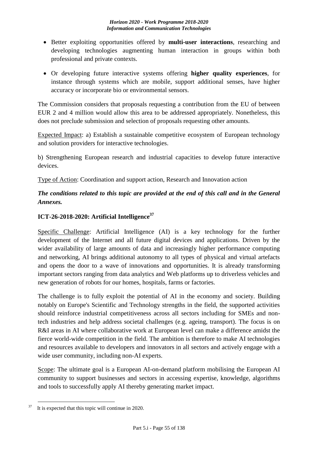- Better exploiting opportunities offered by **multi-user interactions**, researching and developing technologies augmenting human interaction in groups within both professional and private contexts.
- Or developing future interactive systems offering **higher quality experiences**, for instance through systems which are mobile, support additional senses, have higher accuracy or incorporate bio or environmental sensors.

The Commission considers that proposals requesting a contribution from the EU of between EUR 2 and 4 million would allow this area to be addressed appropriately. Nonetheless, this does not preclude submission and selection of proposals requesting other amounts.

Expected Impact: a) Establish a sustainable competitive ecosystem of European technology and solution providers for interactive technologies.

b) Strengthening European research and industrial capacities to develop future interactive devices.

Type of Action: Coordination and support action, Research and Innovation action

# *The conditions related to this topic are provided at the end of this call and in the General Annexes.*

# **ICT-26-2018-2020: Artificial Intelligence<sup>37</sup>**

Specific Challenge: Artificial Intelligence (AI) is a key technology for the further development of the Internet and all future digital devices and applications. Driven by the wider availability of large amounts of data and increasingly higher performance computing and networking, AI brings additional autonomy to all types of physical and virtual artefacts and opens the door to a wave of innovations and opportunities. It is already transforming important sectors ranging from data analytics and Web platforms up to driverless vehicles and new generation of robots for our homes, hospitals, farms or factories.

The challenge is to fully exploit the potential of AI in the economy and society. Building notably on Europe's Scientific and Technology strengths in the field, the supported activities should reinforce industrial competitiveness across all sectors including for SMEs and nontech industries and help address societal challenges (e.g. ageing, transport). The focus is on R&I areas in AI where collaborative work at European level can make a difference amidst the fierce world-wide competition in the field. The ambition is therefore to make AI technologies and resources available to developers and innovators in all sectors and actively engage with a wide user community, including non-AI experts.

Scope: The ultimate goal is a European AI-on-demand platform mobilising the European AI community to support businesses and sectors in accessing expertise, knowledge, algorithms and tools to successfully apply AI thereby generating market impact.

<sup>&</sup>lt;u>.</u> It is expected that this topic will continue in 2020.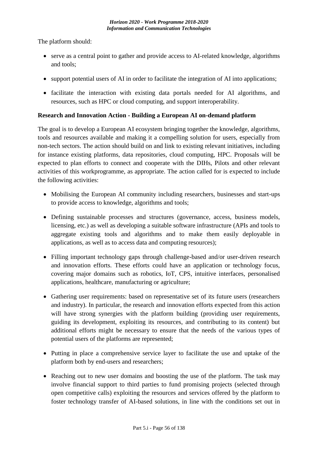The platform should:

- serve as a central point to gather and provide access to AI-related knowledge, algorithms and tools;
- support potential users of AI in order to facilitate the integration of AI into applications;
- facilitate the interaction with existing data portals needed for AI algorithms, and resources, such as HPC or cloud computing, and support interoperability.

## **Research and Innovation Action - Building a European AI on-demand platform**

The goal is to develop a European AI ecosystem bringing together the knowledge, algorithms, tools and resources available and making it a compelling solution for users, especially from non-tech sectors. The action should build on and link to existing relevant initiatives, including for instance existing platforms, data repositories, cloud computing, HPC. Proposals will be expected to plan efforts to connect and cooperate with the DIHs, Pilots and other relevant activities of this workprogramme, as appropriate. The action called for is expected to include the following activities:

- Mobilising the European AI community including researchers, businesses and start-ups to provide access to knowledge, algorithms and tools;
- Defining sustainable processes and structures (governance, access, business models, licensing, etc.) as well as developing a suitable software infrastructure (APIs and tools to aggregate existing tools and algorithms and to make them easily deployable in applications, as well as to access data and computing resources);
- Filling important technology gaps through challenge-based and/or user-driven research and innovation efforts. These efforts could have an application or technology focus, covering major domains such as robotics, IoT, CPS, intuitive interfaces, personalised applications, healthcare, manufacturing or agriculture;
- Gathering user requirements: based on representative set of its future users (researchers and industry). In particular, the research and innovation efforts expected from this action will have strong synergies with the platform building (providing user requirements, guiding its development, exploiting its resources, and contributing to its content) but additional efforts might be necessary to ensure that the needs of the various types of potential users of the platforms are represented;
- Putting in place a comprehensive service layer to facilitate the use and uptake of the platform both by end-users and researchers;
- Reaching out to new user domains and boosting the use of the platform. The task may involve financial support to third parties to fund promising projects (selected through open competitive calls) exploiting the resources and services offered by the platform to foster technology transfer of AI-based solutions, in line with the conditions set out in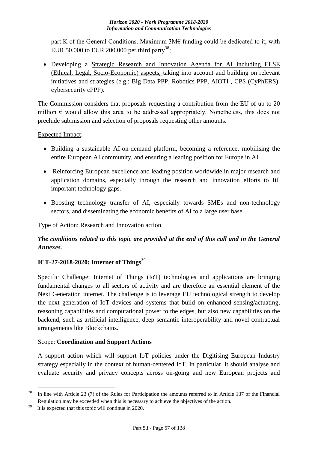part K of the General Conditions. Maximum  $3M\epsilon$  funding could be dedicated to it, with EUR 50.000 to EUR 200.000 per third party<sup>38</sup>;

 Developing a Strategic Research and Innovation Agenda for AI including ELSE (Ethical, Legal, Socio-Economic) aspects, taking into account and building on relevant initiatives and strategies (e.g.: Big Data PPP, Robotics PPP, AIOTI , CPS (CyPhERS), cybersecurity cPPP).

The Commission considers that proposals requesting a contribution from the EU of up to 20 million  $\epsilon$  would allow this area to be addressed appropriately. Nonetheless, this does not preclude submission and selection of proposals requesting other amounts.

## Expected Impact:

- Building a sustainable AI-on-demand platform, becoming a reference, mobilising the entire European AI community, and ensuring a leading position for Europe in AI.
- Reinforcing European excellence and leading position worldwide in major research and application domains, especially through the research and innovation efforts to fill important technology gaps.
- Boosting technology transfer of AI, especially towards SMEs and non-technology sectors, and disseminating the economic benefits of AI to a large user base.

## Type of Action: Research and Innovation action

## *The conditions related to this topic are provided at the end of this call and in the General Annexes.*

## **ICT-27-2018-2020: Internet of Things<sup>39</sup>**

Specific Challenge: Internet of Things (IoT) technologies and applications are bringing fundamental changes to all sectors of activity and are therefore an essential element of the Next Generation Internet. The challenge is to leverage EU technological strength to develop the next generation of IoT devices and systems that build on enhanced sensing/actuating, reasoning capabilities and computational power to the edges, but also new capabilities on the backend, such as artificial intelligence, deep semantic interoperability and novel contractual arrangements like Blockchains.

## Scope: **Coordination and Support Actions**

A support action which will support IoT policies under the Digitising European Industry strategy especially in the context of human-centered IoT. In particular, it should analyse and evaluate security and privacy concepts across on-going and new European projects and

 $38$  In line with Article 23 (7) of the Rules for Participation the amounts referred to in Article 137 of the Financial Regulation may be exceeded when this is necessary to achieve the objectives of the action.

It is expected that this topic will continue in 2020.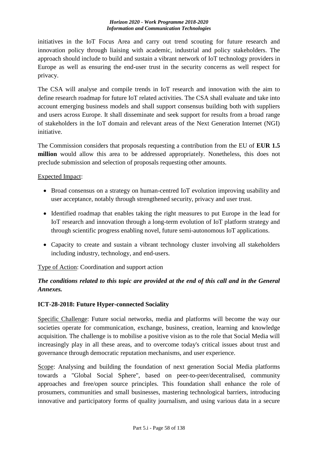initiatives in the IoT Focus Area and carry out trend scouting for future research and innovation policy through liaising with academic, industrial and policy stakeholders. The approach should include to build and sustain a vibrant network of IoT technology providers in Europe as well as ensuring the end-user trust in the security concerns as well respect for privacy.

The CSA will analyse and compile trends in IoT research and innovation with the aim to define research roadmap for future IoT related activities. The CSA shall evaluate and take into account emerging business models and shall support consensus building both with suppliers and users across Europe. It shall disseminate and seek support for results from a broad range of stakeholders in the IoT domain and relevant areas of the Next Generation Internet (NGI) initiative.

The Commission considers that proposals requesting a contribution from the EU of **EUR 1.5 million** would allow this area to be addressed appropriately. Nonetheless, this does not preclude submission and selection of proposals requesting other amounts.

Expected Impact:

- Broad consensus on a strategy on human-centred IoT evolution improving usability and user acceptance, notably through strengthened security, privacy and user trust.
- Identified roadmap that enables taking the right measures to put Europe in the lead for IoT research and innovation through a long-term evolution of IoT platform strategy and through scientific progress enabling novel, future semi-autonomous IoT applications.
- Capacity to create and sustain a vibrant technology cluster involving all stakeholders including industry, technology, and end-users.

Type of Action: Coordination and support action

# *The conditions related to this topic are provided at the end of this call and in the General Annexes.*

## **ICT-28-2018: Future Hyper-connected Sociality**

Specific Challenge: Future social networks, media and platforms will become the way our societies operate for communication, exchange, business, creation, learning and knowledge acquisition. The challenge is to mobilise a positive vision as to the role that Social Media will increasingly play in all these areas, and to overcome today's critical issues about trust and governance through democratic reputation mechanisms, and user experience.

Scope: Analysing and building the foundation of next generation Social Media platforms towards a "Global Social Sphere", based on peer-to-peer/decentralised, community approaches and free/open source principles. This foundation shall enhance the role of prosumers, communities and small businesses, mastering technological barriers, introducing innovative and participatory forms of quality journalism, and using various data in a secure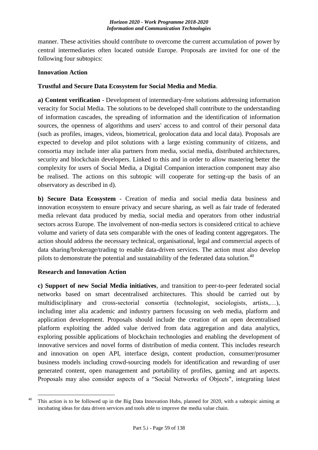manner. These activities should contribute to overcome the current accumulation of power by central intermediaries often located outside Europe. Proposals are invited for one of the following four subtopics:

#### **Innovation Action**

#### **Trustful and Secure Data Ecosystem for Social Media and Media**.

**a) Content verification** - Development of intermediary-free solutions addressing information veracity for Social Media. The solutions to be developed shall contribute to the understanding of information cascades, the spreading of information and the identification of information sources, the openness of algorithms and users' access to and control of their personal data (such as profiles, images, videos, biometrical, geolocation data and local data). Proposals are expected to develop and pilot solutions with a large existing community of citizens, and consortia may include inter alia partners from media, social media, distributed architectures, security and blockchain developers. Linked to this and in order to allow mastering better the complexity for users of Social Media, a Digital Companion interaction component may also be realised. The actions on this subtopic will cooperate for setting-up the basis of an observatory as described in d).

**b) Secure Data Ecosystem** - Creation of media and social media data business and innovation ecosystem to ensure privacy and secure sharing, as well as fair trade of federated media relevant data produced by media, social media and operators from other industrial sectors across Europe. The involvement of non-media sectors is considered critical to achieve volume and variety of data sets comparable with the ones of leading content aggregators. The action should address the necessary technical, organisational, legal and commercial aspects of data sharing/brokerage/trading to enable data-driven services. The action must also develop pilots to demonstrate the potential and sustainability of the federated data solution.<sup>40</sup>

## **Research and Innovation Action**

**c) Support of new Social Media initiatives**, and transition to peer-to-peer federated social networks based on smart decentralised architectures. This should be carried out by multidisciplinary and cross-sectorial consortia (technologist, sociologists, artists,…), including inter alia academic and industry partners focussing on web media, platform and application development. Proposals should include the creation of an open decentralised platform exploiting the added value derived from data aggregation and data analytics, exploring possible applications of blockchain technologies and enabling the development of innovative services and novel forms of distribution of media content. This includes research and innovation on open API, interface design, content production, consumer/prosumer business models including crowd-sourcing models for identification and rewarding of user generated content, open management and portability of profiles, gaming and art aspects. Proposals may also consider aspects of a "Social Networks of Objects", integrating latest

<sup>1</sup> <sup>40</sup> This action is to be followed up in the Big Data Innovation Hubs, planned for 2020, with a subtopic aiming at incubating ideas for data driven services and tools able to improve the media value chain.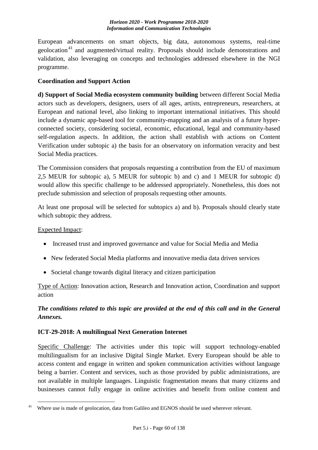European advancements on smart objects, big data, autonomous systems, real-time geolocation<sup>41</sup> and augmented/virtual reality. Proposals should include demonstrations and validation, also leveraging on concepts and technologies addressed elsewhere in the NGI programme.

## **Coordination and Support Action**

**d) Support of Social Media ecosystem community building** between different Social Media actors such as developers, designers, users of all ages, artists, entrepreneurs, researchers, at European and national level, also linking to important international initiatives. This should include a dynamic app-based tool for community-mapping and an analysis of a future hyperconnected society, considering societal, economic, educational, legal and community-based self-regulation aspects. In addition, the action shall establish with actions on Content Verification under subtopic a) the basis for an observatory on information veracity and best Social Media practices.

The Commission considers that proposals requesting a contribution from the EU of maximum 2,5 MEUR for subtopic a), 5 MEUR for subtopic b) and c) and 1 MEUR for subtopic d) would allow this specific challenge to be addressed appropriately. Nonetheless, this does not preclude submission and selection of proposals requesting other amounts.

At least one proposal will be selected for subtopics a) and b). Proposals should clearly state which subtopic they address.

## Expected Impact:

<u>.</u>

- Increased trust and improved governance and value for Social Media and Media
- New federated Social Media platforms and innovative media data driven services
- Societal change towards digital literacy and citizen participation

Type of Action: Innovation action, Research and Innovation action, Coordination and support action

# *The conditions related to this topic are provided at the end of this call and in the General Annexes.*

## **ICT-29-2018: A multilingual Next Generation Internet**

Specific Challenge: The activities under this topic will support technology-enabled multilingualism for an inclusive Digital Single Market. Every European should be able to access content and engage in written and spoken communication activities without language being a barrier. Content and services, such as those provided by public administrations, are not available in multiple languages. Linguistic fragmentation means that many citizens and businesses cannot fully engage in online activities and benefit from online content and

 $41$  Where use is made of geolocation, data from Galileo and EGNOS should be used wherever relevant.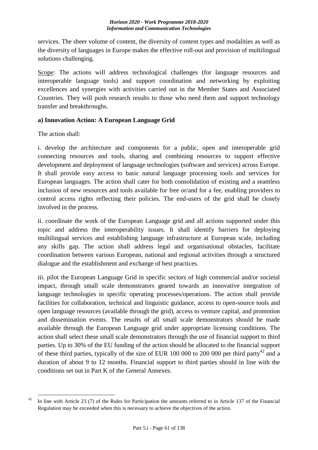services. The sheer volume of content, the diversity of content types and modalities as well as the diversity of languages in Europe makes the effective roll-out and provision of multilingual solutions challenging.

Scope: The actions will address technological challenges (for language resources and interoperable language tools) and support coordination and networking by exploiting excellences and synergies with activities carried out in the Member States and Associated Countries. They will push research results to those who need them and support technology transfer and breakthroughs.

## **a) Innovation Action: A European Language Grid**

The action shall:

i. develop the architecture and components for a public, open and interoperable grid connecting resources and tools, sharing and combining resources to support effective development and deployment of language technologies (software and services) across Europe. It shall provide easy access to basic natural language processing tools and services for European languages. The action shall cater for both consolidation of existing and a seamless inclusion of new resources and tools available for free or/and for a fee, enabling providers to control access rights reflecting their policies. The end-users of the grid shall be closely involved in the process.

ii. coordinate the work of the European Language grid and all actions supported under this topic and address the interoperability issues. It shall identify barriers for deploying multilingual services and establishing language infrastructure at European scale, including any skills gap. The action shall address legal and organisational obstacles, facilitate coordination between various European, national and regional activities through a structured dialogue and the establishment and exchange of best practices.

iii. pilot the European Language Grid in specific sectors of high commercial and/or societal impact, through small scale demonstrators geared towards an innovative integration of language technologies in specific operating processes/operations. The action shall provide facilities for collaboration, technical and linguistic guidance, access to open-source tools and open language resources (available through the grid), access to venture capital, and promotion and dissemination events. The results of all small scale demonstrators should be made available through the European Language grid under appropriate licensing conditions. The action shall select these small scale demonstrators through the use of financial support to third parties. Up to 30% of the EU funding of the action should be allocated to the financial support of these third parties, typically of the size of EUR 100 000 to 200 000 per third party<sup>42</sup> and a duration of about 9 to 12 months. Financial support to third parties should in line with the conditions set out in Part K of the General Annexes.

<sup>1</sup> <sup>42</sup> In line with Article 23 (7) of the Rules for Participation the amounts referred to in Article 137 of the Financial Regulation may be exceeded when this is necessary to achieve the objectives of the action.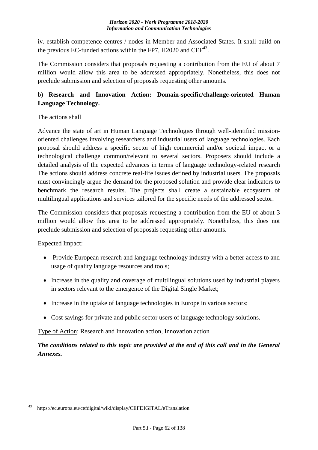iv. establish competence centres / nodes in Member and Associated States. It shall build on the previous EC-funded actions within the FP7, H2020 and  $\text{CEF}^{43}$ .

The Commission considers that proposals requesting a contribution from the EU of about 7 million would allow this area to be addressed appropriately. Nonetheless, this does not preclude submission and selection of proposals requesting other amounts.

# b) **Research and Innovation Action: Domain-specific/challenge-oriented Human Language Technology.**

## The actions shall

Advance the state of art in Human Language Technologies through well-identified missionoriented challenges involving researchers and industrial users of language technologies. Each proposal should address a specific sector of high commercial and/or societal impact or a technological challenge common/relevant to several sectors. Proposers should include a detailed analysis of the expected advances in terms of language technology-related research The actions should address concrete real-life issues defined by industrial users. The proposals must convincingly argue the demand for the proposed solution and provide clear indicators to benchmark the research results. The projects shall create a sustainable ecosystem of multilingual applications and services tailored for the specific needs of the addressed sector.

The Commission considers that proposals requesting a contribution from the EU of about 3 million would allow this area to be addressed appropriately. Nonetheless, this does not preclude submission and selection of proposals requesting other amounts.

## Expected Impact:

- Provide European research and language technology industry with a better access to and usage of quality language resources and tools;
- Increase in the quality and coverage of multilingual solutions used by industrial players in sectors relevant to the emergence of the Digital Single Market;
- Increase in the uptake of language technologies in Europe in various sectors;
- Cost savings for private and public sector users of language technology solutions.

Type of Action: Research and Innovation action, Innovation action

# *The conditions related to this topic are provided at the end of this call and in the General Annexes.*

<sup>&</sup>lt;u>.</u> <sup>43</sup>https://ec.europa.eu/cefdigital/wiki/display/CEFDIGITAL/eTranslation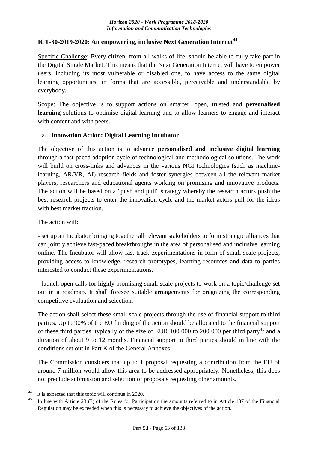## **ICT-30-2019-2020: An empowering, inclusive Next Generation Internet<sup>44</sup>**

Specific Challenge: Every citizen, from all walks of life, should be able to fully take part in the Digital Single Market. This means that the Next Generation Internet will have to empower users, including its most vulnerable or disabled one, to have access to the same digital learning opportunities, in forms that are accessible, perceivable and understandable by everybody.

Scope: The objective is to support actions on smarter, open, trusted and **personalised learning** solutions to optimise digital learning and to allow learners to engage and interact with content and with peers.

#### a. **Innovation Action: Digital Learning Incubator**

The objective of this action is to advance **personalised and inclusive digital learning** through a fast-paced adoption cycle of technological and methodological solutions. The work will build on cross-links and advances in the various NGI technologies (such as machinelearning, AR/VR, AI) research fields and foster synergies between all the relevant market players, researchers and educational agents working on promising and innovative products. The action will be based on a "push and pull" strategy whereby the research actors push the best research projects to enter the innovation cycle and the market actors pull for the ideas with best market traction.

The action will:

- set up an Incubator bringing together all relevant stakeholders to form strategic alliances that can jointly achieve fast-paced breakthroughs in the area of personalised and inclusive learning online. The Incubator will allow fast-track experimentations in form of small scale projects, providing access to knowledge, research prototypes, learning resources and data to parties interested to conduct these experimentations.

- launch open calls for highly promising small scale projects to work on a topic/challenge set out in a roadmap. It shall foresee suitable arrangements for oragnizing the corresponding competitive evaluation and selection.

The action shall select these small scale projects through the use of financial support to third parties. Up to 90% of the EU funding of the action should be allocated to the financial support of these third parties, typically of the size of EUR 100 000 to 200 000 per third party<sup>45</sup> and a duration of about 9 to 12 months. Financial support to third parties should in line with the conditions set out in Part K of the General Annexes.

The Commission considers that up to 1 proposal requesting a contribution from the EU of around 7 million would allow this area to be addressed appropriately. Nonetheless, this does not preclude submission and selection of proposals requesting other amounts.

It is expected that this topic will continue in 2020.

In line with Article 23 (7) of the Rules for Participation the amounts referred to in Article 137 of the Financial Regulation may be exceeded when this is necessary to achieve the objectives of the action.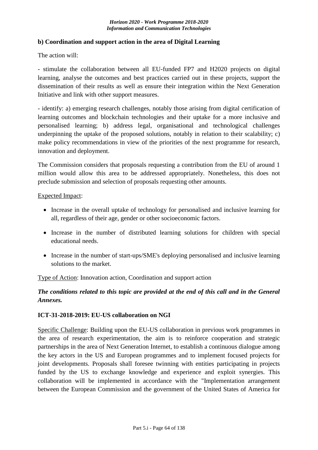## **b) Coordination and support action in the area of Digital Learning**

The action will:

- stimulate the collaboration between all EU-funded FP7 and H2020 projects on digital learning, analyse the outcomes and best practices carried out in these projects, support the dissemination of their results as well as ensure their integration within the Next Generation Initiative and link with other support measures.

- identify: a) emerging research challenges, notably those arising from digital certification of learning outcomes and blockchain technologies and their uptake for a more inclusive and personalised learning; b) address legal, organisational and technological challenges underpinning the uptake of the proposed solutions, notably in relation to their scalability; c) make policy recommendations in view of the priorities of the next programme for research, innovation and deployment.

The Commission considers that proposals requesting a contribution from the EU of around 1 million would allow this area to be addressed appropriately. Nonetheless, this does not preclude submission and selection of proposals requesting other amounts.

Expected Impact:

- Increase in the overall uptake of technology for personalised and inclusive learning for all, regardless of their age, gender or other socioeconomic factors.
- Increase in the number of distributed learning solutions for children with special educational needs.
- Increase in the number of start-ups/SME's deploying personalised and inclusive learning solutions to the market.

Type of Action: Innovation action, Coordination and support action

## *The conditions related to this topic are provided at the end of this call and in the General Annexes.*

#### **ICT-31-2018-2019: EU-US collaboration on NGI**

Specific Challenge: Building upon the EU-US collaboration in previous work programmes in the area of research experimentation, the aim is to reinforce cooperation and strategic partnerships in the area of Next Generation Internet, to establish a continuous dialogue among the key actors in the US and European programmes and to implement focused projects for joint developments. Proposals shall foresee twinning with entities participating in projects funded by the US to exchange knowledge and experience and exploit synergies. This collaboration will be implemented in accordance with the "Implementation arrangement between the European Commission and the government of the United States of America for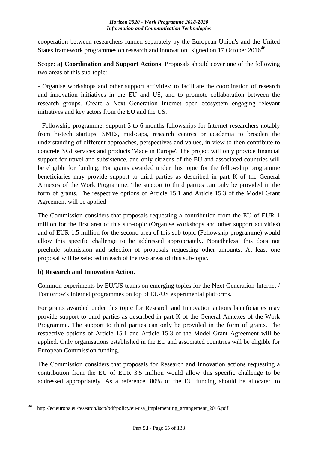cooperation between researchers funded separately by the European Union's and the United States framework programmes on research and innovation" signed on 17 October  $2016^{46}$ .

Scope: **a) Coordination and Support Actions**. Proposals should cover one of the following two areas of this sub-topic:

- Organise workshops and other support activities: to facilitate the coordination of research and innovation initiatives in the EU and US, and to promote collaboration between the research groups. Create a Next Generation Internet open ecosystem engaging relevant initiatives and key actors from the EU and the US.

- Fellowship programme: support 3 to 6 months fellowships for Internet researchers notably from hi-tech startups, SMEs, mid-caps, research centres or academia to broaden the understanding of different approaches, perspectives and values, in view to then contribute to concrete NGI services and products 'Made in Europe'. The project will only provide financial support for travel and subsistence, and only citizens of the EU and associated countries will be eligible for funding. For grants awarded under this topic for the fellowship programme beneficiaries may provide support to third parties as described in part K of the General Annexes of the Work Programme. The support to third parties can only be provided in the form of grants. The respective options of Article 15.1 and Article 15.3 of the Model Grant Agreement will be applied

The Commission considers that proposals requesting a contribution from the EU of EUR 1 million for the first area of this sub-topic (Organise workshops and other support activities) and of EUR 1.5 million for the second area of this sub-topic (Fellowship programme) would allow this specific challenge to be addressed appropriately. Nonetheless, this does not preclude submission and selection of proposals requesting other amounts. At least one proposal will be selected in each of the two areas of this sub-topic.

## **b) Research and Innovation Action**.

Common experiments by EU/US teams on emerging topics for the Next Generation Internet / Tomorrow's Internet programmes on top of EU/US experimental platforms.

For grants awarded under this topic for Research and Innovation actions beneficiaries may provide support to third parties as described in part K of the General Annexes of the Work Programme. The support to third parties can only be provided in the form of grants. The respective options of Article 15.1 and Article 15.3 of the Model Grant Agreement will be applied. Only organisations established in the EU and associated countries will be eligible for European Commission funding.

The Commission considers that proposals for Research and Innovation actions requesting a contribution from the EU of EUR 3.5 million would allow this specific challenge to be addressed appropriately. As a reference, 80% of the EU funding should be allocated to

<sup>&</sup>lt;u>.</u> http://ec.europa.eu/research/iscp/pdf/policy/eu-usa\_implementing\_arrangement\_2016.pdf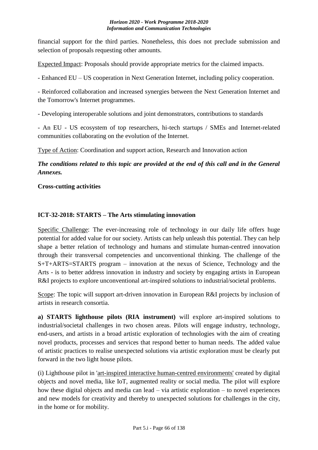financial support for the third parties. Nonetheless, this does not preclude submission and selection of proposals requesting other amounts.

Expected Impact: Proposals should provide appropriate metrics for the claimed impacts.

- Enhanced EU – US cooperation in Next Generation Internet, including policy cooperation.

- Reinforced collaboration and increased synergies between the Next Generation Internet and the Tomorrow's Internet programmes.

- Developing interoperable solutions and joint demonstrators, contributions to standards

- An EU - US ecosystem of top researchers, hi-tech startups / SMEs and Internet-related communities collaborating on the evolution of the Internet.

Type of Action: Coordination and support action, Research and Innovation action

*The conditions related to this topic are provided at the end of this call and in the General Annexes.*

**Cross-cutting activities**

## **ICT-32-2018: STARTS – The Arts stimulating innovation**

Specific Challenge: The ever-increasing role of technology in our daily life offers huge potential for added value for our society. Artists can help unleash this potential. They can help shape a better relation of technology and humans and stimulate human-centred innovation through their transversal competencies and unconventional thinking. The challenge of the S+T+ARTS=STARTS program – innovation at the nexus of Science, Technology and the Arts - is to better address innovation in industry and society by engaging artists in European R&I projects to explore unconventional art-inspired solutions to industrial/societal problems.

Scope: The topic will support art-driven innovation in European R&I projects by inclusion of artists in research consortia.

**a) STARTS lighthouse pilots (RIA instrument)** will explore art-inspired solutions to industrial/societal challenges in two chosen areas. Pilots will engage industry, technology, end-users, and artists in a broad artistic exploration of technologies with the aim of creating novel products, processes and services that respond better to human needs. The added value of artistic practices to realise unexpected solutions via artistic exploration must be clearly put forward in the two light house pilots.

(i) Lighthouse pilot in 'art-inspired interactive human-centred environments' created by digital objects and novel media, like IoT, augmented reality or social media. The pilot will explore how these digital objects and media can lead – via artistic exploration – to novel experiences and new models for creativity and thereby to unexpected solutions for challenges in the city, in the home or for mobility.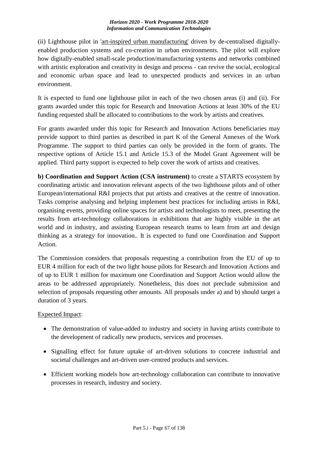(ii) Lighthouse pilot in 'art-inspired urban manufacturing' driven by de-centralised digitallyenabled production systems and co-creation in urban environments. The pilot will explore how digitally-enabled small-scale production/manufacturing systems and networks combined with artistic exploration and creativity in design and process - can revive the social, ecological and economic urban space and lead to unexpected products and services in an urban environment.

It is expected to fund one lighthouse pilot in each of the two chosen areas (i) and (ii). For grants awarded under this topic for Research and Innovation Actions at least 30% of the EU funding requested shall be allocated to contributions to the work by artists and creatives.

For grants awarded under this topic for Research and Innovation Actions beneficiaries may provide support to third parties as described in part K of the General Annexes of the Work Programme. The support to third parties can only be provided in the form of grants. The respective options of Article 15.1 and Article 15.3 of the Model Grant Agreement will be applied. Third party support is expected to help cover the work of artists and creatives.

**b) Coordination and Support Action (CSA instrument)** to create a STARTS ecosystem by coordinating artistic and innovation relevant aspects of the two lighthouse pilots and of other European/international R&I projects that put artists and creatives at the centre of innovation. Tasks comprise analysing and helping implement best practices for including artists in R&I, organising events, providing online spaces for artists and technologists to meet, presenting the results from art-technology collaborations in exhibitions that are highly visible in the art world and in industry, and assisting European research teams to learn from art and design thinking as a strategy for innovation.. It is expected to fund one Coordination and Support Action.

The Commission considers that proposals requesting a contribution from the EU of up to EUR 4 million for each of the two light house pilots for Research and Innovation Actions and of up to EUR 1 million for maximum one Coordination and Support Action would allow the areas to be addressed appropriately. Nonetheless, this does not preclude submission and selection of proposals requesting other amounts. All proposals under a) and b) should target a duration of 3 years.

## Expected Impact:

- The demonstration of value-added to industry and society in having artists contribute to the development of radically new products, services and processes.
- Signalling effect for future uptake of art-driven solutions to concrete industrial and societal challenges and art-driven user-centred products and services.
- Efficient working models how art-technology collaboration can contribute to innovative processes in research, industry and society.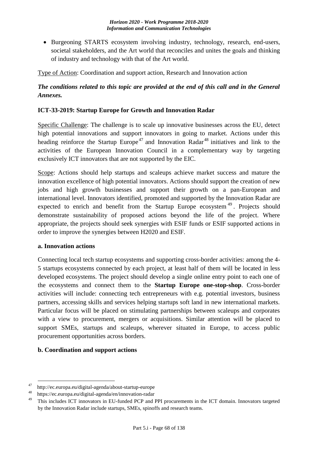• Burgeoning STARTS ecosystem involving industry, technology, research, end-users, societal stakeholders, and the Art world that reconciles and unites the goals and thinking of industry and technology with that of the Art world.

Type of Action: Coordination and support action, Research and Innovation action

# *The conditions related to this topic are provided at the end of this call and in the General Annexes.*

## **ICT-33-2019: Startup Europe for Growth and Innovation Radar**

Specific Challenge: The challenge is to scale up innovative businesses across the EU, detect high potential innovations and support innovators in going to market. Actions under this heading reinforce the Startup Europe<sup>47</sup> and Innovation Radar<sup>48</sup> initiatives and link to the activities of the European Innovation Council in a complementary way by targeting exclusively ICT innovators that are not supported by the EIC.

Scope: Actions should help startups and scaleups achieve market success and mature the innovation excellence of high potential innovators. Actions should support the creation of new jobs and high growth businesses and support their growth on a pan-European and international level. Innovators identified, promoted and supported by the Innovation Radar are expected to enrich and benefit from the Startup Europe ecosystem<sup>49</sup>. Projects should demonstrate sustainability of proposed actions beyond the life of the project. Where appropriate, the projects should seek synergies with ESIF funds or ESIF supported actions in order to improve the synergies between H2020 and ESIF.

#### **a. Innovation actions**

Connecting local tech startup ecosystems and supporting cross-border activities: among the 4- 5 startups ecosystems connected by each project, at least half of them will be located in less developed ecosystems. The project should develop a single online entry point to each one of the ecosystems and connect them to the **Startup Europe one-stop-shop**. Cross-border activities will include: connecting tech entrepreneurs with e.g. potential investors, business partners, accessing skills and services helping startups soft land in new international markets. Particular focus will be placed on stimulating partnerships between scaleups and corporates with a view to procurement, mergers or acquisitions. Similar attention will be placed to support SMEs, startups and scaleups, wherever situated in Europe, to access public procurement opportunities across borders.

## **b. Coordination and support actions**

 $47$  http://ec.europa.eu/digital-agenda/about-startup-europe

<sup>&</sup>lt;sup>48</sup>https://ec.europa.eu/digital-agenda/en/innovation-radar

<sup>49</sup>This includes ICT innovators in EU-funded PCP and PPI procurements in the ICT domain. Innovators targeted by the Innovation Radar include startups, SMEs, spinoffs and research teams.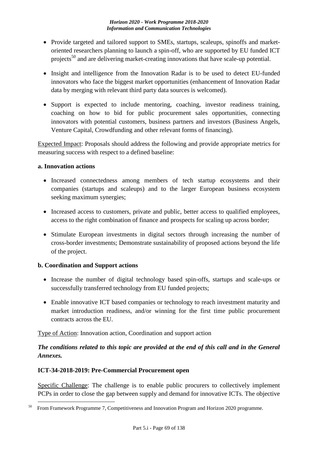- Provide targeted and tailored support to SMEs, startups, scaleups, spinoffs and marketoriented researchers planning to launch a spin-off, who are supported by EU funded ICT projects<sup>50</sup> and are delivering market-creating innovations that have scale-up potential.
- Insight and intelligence from the Innovation Radar is to be used to detect EU-funded innovators who face the biggest market opportunities (enhancement of Innovation Radar data by merging with relevant third party data sources is welcomed).
- Support is expected to include mentoring, coaching, investor readiness training, coaching on how to bid for public procurement sales opportunities, connecting innovators with potential customers, business partners and investors (Business Angels, Venture Capital, Crowdfunding and other relevant forms of financing).

Expected Impact: Proposals should address the following and provide appropriate metrics for measuring success with respect to a defined baseline:

## **a. Innovation actions**

- Increased connectedness among members of tech startup ecosystems and their companies (startups and scaleups) and to the larger European business ecosystem seeking maximum synergies;
- Increased access to customers, private and public, better access to qualified employees, access to the right combination of finance and prospects for scaling up across border;
- Stimulate European investments in digital sectors through increasing the number of cross-border investments; Demonstrate sustainability of proposed actions beyond the life of the project.

## **b. Coordination and Support actions**

- Increase the number of digital technology based spin-offs, startups and scale-ups or successfully transferred technology from EU funded projects;
- Enable innovative ICT based companies or technology to reach investment maturity and market introduction readiness, and/or winning for the first time public procurement contracts across the EU.

Type of Action: Innovation action, Coordination and support action

# *The conditions related to this topic are provided at the end of this call and in the General Annexes.*

## **ICT-34-2018-2019: Pre-Commercial Procurement open**

Specific Challenge: The challenge is to enable public procurers to collectively implement PCPs in order to close the gap between supply and demand for innovative ICTs. The objective

<sup>&</sup>lt;u>.</u> <sup>50</sup>From Framework Programme 7, Competitiveness and Innovation Program and Horizon 2020 programme.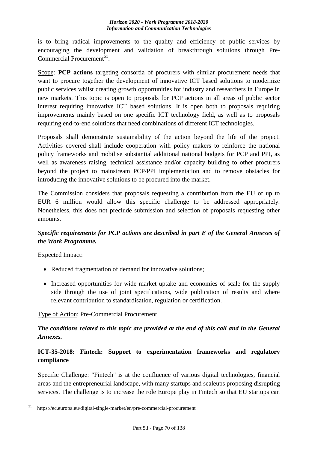is to bring radical improvements to the quality and efficiency of public services by encouraging the development and validation of breakthrough solutions through Pre-Commercial Procurement<sup>51</sup>.

Scope: **PCP actions** targeting consortia of procurers with similar procurement needs that want to procure together the development of innovative ICT based solutions to modernize public services whilst creating growth opportunities for industry and researchers in Europe in new markets. This topic is open to proposals for PCP actions in all areas of public sector interest requiring innovative ICT based solutions. It is open both to proposals requiring improvements mainly based on one specific ICT technology field, as well as to proposals requiring end-to-end solutions that need combinations of different ICT technologies.

Proposals shall demonstrate sustainability of the action beyond the life of the project. Activities covered shall include cooperation with policy makers to reinforce the national policy frameworks and mobilise substantial additional national budgets for PCP and PPI, as well as awareness raising, technical assistance and/or capacity building to other procurers beyond the project to mainstream PCP/PPI implementation and to remove obstacles for introducing the innovative solutions to be procured into the market.

The Commission considers that proposals requesting a contribution from the EU of up to EUR 6 million would allow this specific challenge to be addressed appropriately. Nonetheless, this does not preclude submission and selection of proposals requesting other amounts.

# *Specific requirements for PCP actions are described in part E of the General Annexes of the Work Programme.*

## Expected Impact:

<u>.</u>

- Reduced fragmentation of demand for innovative solutions;
- Increased opportunities for wide market uptake and economies of scale for the supply side through the use of joint specifications, wide publication of results and where relevant contribution to standardisation, regulation or certification.

## Type of Action: Pre-Commercial Procurement

## *The conditions related to this topic are provided at the end of this call and in the General Annexes.*

## **ICT-35-2018: Fintech: Support to experimentation frameworks and regulatory compliance**

Specific Challenge: "Fintech" is at the confluence of various digital technologies, financial areas and the entrepreneurial landscape, with many startups and scaleups proposing disrupting services. The challenge is to increase the role Europe play in Fintech so that EU startups can

 $51$  https://ec.europa.eu/digital-single-market/en/pre-commercial-procurement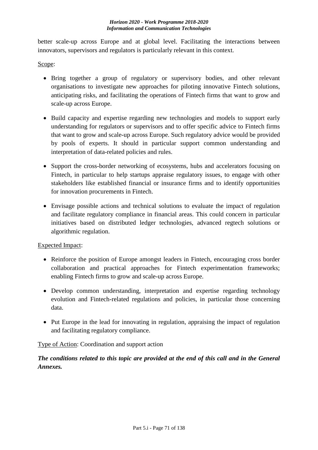better scale-up across Europe and at global level. Facilitating the interactions between innovators, supervisors and regulators is particularly relevant in this context.

## Scope:

- Bring together a group of regulatory or supervisory bodies, and other relevant organisations to investigate new approaches for piloting innovative Fintech solutions, anticipating risks, and facilitating the operations of Fintech firms that want to grow and scale-up across Europe.
- Build capacity and expertise regarding new technologies and models to support early understanding for regulators or supervisors and to offer specific advice to Fintech firms that want to grow and scale-up across Europe. Such regulatory advice would be provided by pools of experts. It should in particular support common understanding and interpretation of data-related policies and rules.
- Support the cross-border networking of ecosystems, hubs and accelerators focusing on Fintech, in particular to help startups appraise regulatory issues, to engage with other stakeholders like established financial or insurance firms and to identify opportunities for innovation procurements in Fintech.
- Envisage possible actions and technical solutions to evaluate the impact of regulation and facilitate regulatory compliance in financial areas. This could concern in particular initiatives based on distributed ledger technologies, advanced regtech solutions or algorithmic regulation.

## Expected Impact:

- Reinforce the position of Europe amongst leaders in Fintech, encouraging cross border collaboration and practical approaches for Fintech experimentation frameworks; enabling Fintech firms to grow and scale-up across Europe.
- Develop common understanding, interpretation and expertise regarding technology evolution and Fintech-related regulations and policies, in particular those concerning data.
- Put Europe in the lead for innovating in regulation, appraising the impact of regulation and facilitating regulatory compliance.

## Type of Action: Coordination and support action

*The conditions related to this topic are provided at the end of this call and in the General Annexes.*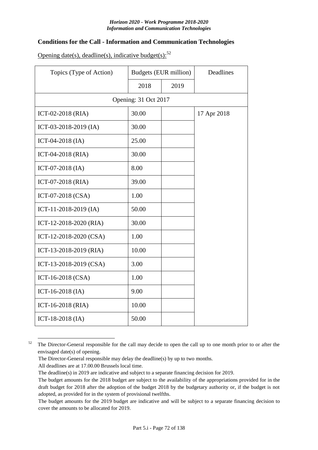## **Conditions for the Call - Information and Communication Technologies**

Opening date(s), deadline(s), indicative budget(s): $52$ 

| Topics (Type of Action) | <b>Budgets (EUR million)</b> |      | Deadlines   |
|-------------------------|------------------------------|------|-------------|
|                         | 2018                         | 2019 |             |
| Opening: 31 Oct 2017    |                              |      |             |
| ICT-02-2018 (RIA)       | 30.00                        |      | 17 Apr 2018 |
| ICT-03-2018-2019 (IA)   | 30.00                        |      |             |
| ICT-04-2018 $(IA)$      | 25.00                        |      |             |
| ICT-04-2018 (RIA)       | 30.00                        |      |             |
| ICT-07-2018 (IA)        | 8.00                         |      |             |
| ICT-07-2018 (RIA)       | 39.00                        |      |             |
| ICT-07-2018 (CSA)       | 1.00                         |      |             |
| ICT-11-2018-2019 (IA)   | 50.00                        |      |             |
| ICT-12-2018-2020 (RIA)  | 30.00                        |      |             |
| ICT-12-2018-2020 (CSA)  | 1.00                         |      |             |
| ICT-13-2018-2019 (RIA)  | 10.00                        |      |             |
| ICT-13-2018-2019 (CSA)  | 3.00                         |      |             |
| ICT-16-2018 (CSA)       | 1.00                         |      |             |
| ICT-16-2018 (IA)        | 9.00                         |      |             |
| ICT-16-2018 (RIA)       | 10.00                        |      |             |
| ICT-18-2018 $(IA)$      | 50.00                        |      |             |

 $52$  The Director-General responsible for the call may decide to open the call up to one month prior to or after the envisaged date(s) of opening.

The Director-General responsible may delay the deadline(s) by up to two months.

All deadlines are at 17.00.00 Brussels local time.

The deadline(s) in 2019 are indicative and subject to a separate financing decision for 2019.

The budget amounts for the 2018 budget are subject to the availability of the appropriations provided for in the draft budget for 2018 after the adoption of the budget 2018 by the budgetary authority or, if the budget is not adopted, as provided for in the system of provisional twelfths.

The budget amounts for the 2019 budget are indicative and will be subject to a separate financing decision to cover the amounts to be allocated for 2019.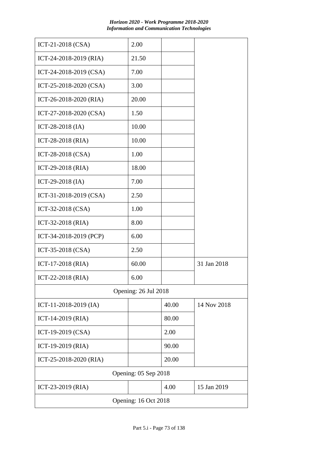| Horizon 2020 - Work Programme 2018-2020           |
|---------------------------------------------------|
| <b>Information and Communication Technologies</b> |

| ICT-21-2018 (CSA)      | 2.00                 |       |             |  |  |  |
|------------------------|----------------------|-------|-------------|--|--|--|
| ICT-24-2018-2019 (RIA) | 21.50                |       |             |  |  |  |
| ICT-24-2018-2019 (CSA) | 7.00                 |       |             |  |  |  |
| ICT-25-2018-2020 (CSA) | 3.00                 |       |             |  |  |  |
| ICT-26-2018-2020 (RIA) | 20.00                |       |             |  |  |  |
| ICT-27-2018-2020 (CSA) | 1.50                 |       |             |  |  |  |
| ICT-28-2018 (IA)       | 10.00                |       |             |  |  |  |
| ICT-28-2018 (RIA)      | 10.00                |       |             |  |  |  |
| ICT-28-2018 (CSA)      | 1.00                 |       |             |  |  |  |
| ICT-29-2018 (RIA)      | 18.00                |       |             |  |  |  |
| ICT-29-2018 (IA)       | 7.00                 |       |             |  |  |  |
| ICT-31-2018-2019 (CSA) | 2.50                 |       |             |  |  |  |
| ICT-32-2018 (CSA)      | 1.00                 |       |             |  |  |  |
| ICT-32-2018 (RIA)      | 8.00                 |       |             |  |  |  |
| ICT-34-2018-2019 (PCP) | 6.00                 |       |             |  |  |  |
| ICT-35-2018 (CSA)      | 2.50                 |       |             |  |  |  |
| ICT-17-2018 (RIA)      | 60.00                |       | 31 Jan 2018 |  |  |  |
| ICT-22-2018 (RIA)      | 6.00                 |       |             |  |  |  |
|                        | Opening: 26 Jul 2018 |       |             |  |  |  |
| ICT-11-2018-2019 (IA)  |                      | 40.00 | 14 Nov 2018 |  |  |  |
| ICT-14-2019 (RIA)      |                      | 80.00 |             |  |  |  |
| ICT-19-2019 (CSA)      |                      | 2.00  |             |  |  |  |
| ICT-19-2019 (RIA)      |                      | 90.00 |             |  |  |  |
| ICT-25-2018-2020 (RIA) |                      | 20.00 |             |  |  |  |
|                        | Opening: 05 Sep 2018 |       |             |  |  |  |
| ICT-23-2019 (RIA)      |                      | 4.00  | 15 Jan 2019 |  |  |  |
|                        | Opening: 16 Oct 2018 |       |             |  |  |  |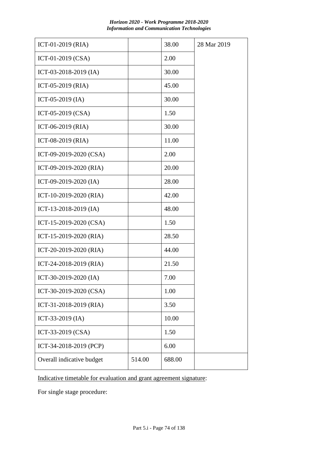|        | 38.00  | 28 Mar 2019 |
|--------|--------|-------------|
|        | 2.00   |             |
|        | 30.00  |             |
|        | 45.00  |             |
|        | 30.00  |             |
|        | 1.50   |             |
|        | 30.00  |             |
|        | 11.00  |             |
|        | 2.00   |             |
|        | 20.00  |             |
|        | 28.00  |             |
|        | 42.00  |             |
|        | 48.00  |             |
|        | 1.50   |             |
|        | 28.50  |             |
|        | 44.00  |             |
|        | 21.50  |             |
|        | 7.00   |             |
|        | 1.00   |             |
|        | 3.50   |             |
|        | 10.00  |             |
|        | 1.50   |             |
|        | 6.00   |             |
| 514.00 | 688.00 |             |
|        |        |             |

Indicative timetable for evaluation and grant agreement signature:

For single stage procedure: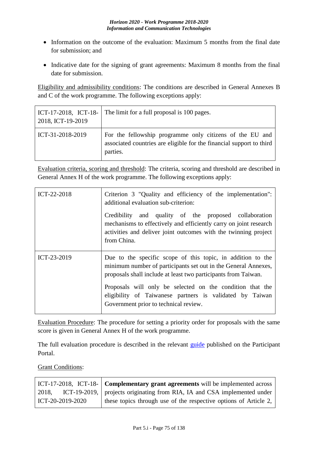- Information on the outcome of the evaluation: Maximum 5 months from the final date for submission; and
- Indicative date for the signing of grant agreements: Maximum 8 months from the final date for submission.

Eligibility and admissibility conditions: The conditions are described in General Annexes B and C of the work programme. The following exceptions apply:

| 2018, ICT-19-2019        | ICT-17-2018, ICT-18- The limit for a full proposal is 100 pages.                                                                             |
|--------------------------|----------------------------------------------------------------------------------------------------------------------------------------------|
| $\vert$ ICT-31-2018-2019 | For the fellowship programme only citizens of the EU and<br>associated countries are eligible for the financial support to third<br>parties. |

Evaluation criteria, scoring and threshold: The criteria, scoring and threshold are described in General Annex H of the work programme. The following exceptions apply:

| ICT-22-2018 | Criterion 3 "Quality and efficiency of the implementation":<br>additional evaluation sub-criterion:                                                                                                                                                                                                                                                               |  |  |  |  |  |
|-------------|-------------------------------------------------------------------------------------------------------------------------------------------------------------------------------------------------------------------------------------------------------------------------------------------------------------------------------------------------------------------|--|--|--|--|--|
|             | Credibility and quality of the proposed collaboration<br>mechanisms to effectively and efficiently carry on joint research<br>activities and deliver joint outcomes with the twinning project<br>from China.                                                                                                                                                      |  |  |  |  |  |
| ICT-23-2019 | Due to the specific scope of this topic, in addition to the<br>minimum number of participants set out in the General Annexes,<br>proposals shall include at least two participants from Taiwan.<br>Proposals will only be selected on the condition that the<br>eligibility of Taiwanese partners is validated by Taiwan<br>Government prior to technical review. |  |  |  |  |  |

Evaluation Procedure: The procedure for setting a priority order for proposals with the same score is given in General Annex H of the work programme.

The full evaluation procedure is described in the relevant [guide](http://ec.europa.eu/research/participants/docs/h2020-funding-guide/grants/applying-for-funding/submit-proposals_en.htm) published on the Participant Portal.

Grant Conditions:

|                  | ICT-17-2018, ICT-18- $\vert$ Complementary grant agreements will be implemented across |
|------------------|----------------------------------------------------------------------------------------|
| 2018,            | ICT-19-2019, projects originating from RIA, IA and CSA implemented under               |
| ICT-20-2019-2020 | these topics through use of the respective options of Article 2,                       |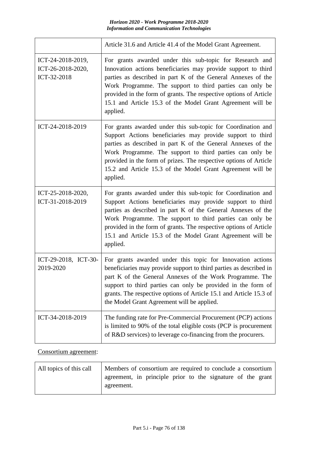|                                                       | Article 31.6 and Article 41.4 of the Model Grant Agreement.                                                                                                                                                                                                                                                                                                                                           |
|-------------------------------------------------------|-------------------------------------------------------------------------------------------------------------------------------------------------------------------------------------------------------------------------------------------------------------------------------------------------------------------------------------------------------------------------------------------------------|
| ICT-24-2018-2019,<br>ICT-26-2018-2020,<br>ICT-32-2018 | For grants awarded under this sub-topic for Research and<br>Innovation actions beneficiaries may provide support to third<br>parties as described in part K of the General Annexes of the<br>Work Programme. The support to third parties can only be<br>provided in the form of grants. The respective options of Article<br>15.1 and Article 15.3 of the Model Grant Agreement will be<br>applied.  |
| ICT-24-2018-2019                                      | For grants awarded under this sub-topic for Coordination and<br>Support Actions beneficiaries may provide support to third<br>parties as described in part K of the General Annexes of the<br>Work Programme. The support to third parties can only be<br>provided in the form of prizes. The respective options of Article<br>15.2 and Article 15.3 of the Model Grant Agreement will be<br>applied. |
| ICT-25-2018-2020,<br>ICT-31-2018-2019                 | For grants awarded under this sub-topic for Coordination and<br>Support Actions beneficiaries may provide support to third<br>parties as described in part K of the General Annexes of the<br>Work Programme. The support to third parties can only be<br>provided in the form of grants. The respective options of Article<br>15.1 and Article 15.3 of the Model Grant Agreement will be<br>applied. |
| ICT-29-2018, ICT-30-<br>2019-2020                     | For grants awarded under this topic for Innovation actions<br>beneficiaries may provide support to third parties as described in<br>part K of the General Annexes of the Work Programme. The<br>support to third parties can only be provided in the form of<br>grants. The respective options of Article 15.1 and Article 15.3 of<br>the Model Grant Agreement will be applied.                      |
| ICT-34-2018-2019                                      | The funding rate for Pre-Commercial Procurement (PCP) actions<br>is limited to 90% of the total eligible costs (PCP is procurement<br>of R&D services) to leverage co-financing from the procurers.                                                                                                                                                                                                   |

### Consortium agreement:

| All topics of this call | Members of consortium are required to conclude a consortium               |  |
|-------------------------|---------------------------------------------------------------------------|--|
|                         | agreement, in principle prior to the signature of the grant<br>agreement. |  |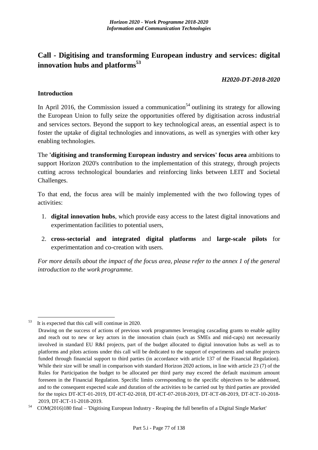# **Call - Digitising and transforming European industry and services: digital innovation hubs and platforms<sup>53</sup>**

#### *H2020-DT-2018-2020*

#### **Introduction**

In April 2016, the Commission issued a communication<sup>54</sup> outlining its strategy for allowing the European Union to fully seize the opportunities offered by digitisation across industrial and services sectors. Beyond the support to key technological areas, an essential aspect is to foster the uptake of digital technologies and innovations, as well as synergies with other key enabling technologies.

The **'digitising and transforming European industry and services' focus area** ambitions to support Horizon 2020's contribution to the implementation of this strategy, through projects cutting across technological boundaries and reinforcing links between LEIT and Societal Challenges.

To that end, the focus area will be mainly implemented with the two following types of activities:

- 1. **digital innovation hubs**, which provide easy access to the latest digital innovations and experimentation facilities to potential users,
- 2. **cross-sectorial and integrated digital platforms** and **large-scale pilots** for experimentation and co-creation with users.

*For more details about the impact of the focus area, please refer to the annex 1 of the general introduction to the work programme.*

1  $53$  It is expected that this call will continue in 2020.

Drawing on the success of actions of previous work programmes leveraging cascading grants to enable agility and reach out to new or key actors in the innovation chain (such as SMEs and mid-caps) not necessarily involved in standard EU R&I projects, part of the budget allocated to digital innovation hubs as well as to platforms and pilots actions under this call will be dedicated to the support of experiments and smaller projects funded through financial support to third parties (in accordance with article 137 of the Financial Regulation). While their size will be small in comparison with standard Horizon 2020 actions, in line with article 23 (7) of the Rules for Participation the budget to be allocated per third party may exceed the default maximum amount foreseen in the Financial Regulation. Specific limits corresponding to the specific objectives to be addressed, and to the consequent expected scale and duration of the activities to be carried out by third parties are provided for the topics DT-ICT-01-2019, DT-ICT-02-2018, DT-ICT-07-2018-2019, DT-ICT-08-2019, DT-ICT-10-2018- 2019, DT-ICT-11-2018-2019.

<sup>54</sup>COM(2016)180 final – 'Digitising European Industry - Reaping the full benefits of a Digital Single Market'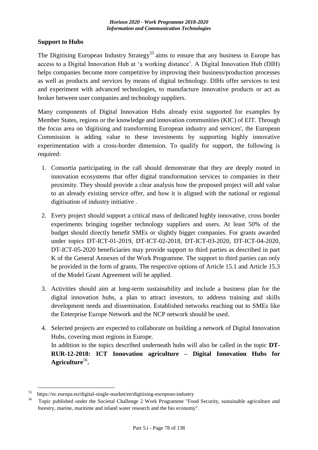### **Support to Hubs**

The Digitising European Industry Strategy<sup>55</sup> aims to ensure that any business in Europe has access to a Digital Innovation Hub at 'a working distance'. A Digital Innovation Hub (DIH) helps companies become more competitive by improving their business/production processes as well as products and services by means of digital technology. DIHs offer services to test and experiment with advanced technologies, to manufacture innovative products or act as broker between user companies and technology suppliers.

Many components of Digital Innovation Hubs already exist supported for examples by Member States, regions or the knowledge and innovation communities (KIC) of EIT. Through the focus area on 'digitising and transforming European industry and services', the European Commission is adding value to these investments by supporting highly innovative experimentation with a cross-border dimension. To qualify for support, the following is required:

- 1. Consortia participating in the call should demonstrate that they are deeply rooted in innovation ecosystems that offer digital transformation services to companies in their proximity. They should provide a clear analysis how the proposed project will add value to an already existing service offer, and how it is aligned with the national or regional digitisation of industry initiative .
- 2. Every project should support a critical mass of dedicated highly innovative, cross border experiments bringing together technology suppliers and users. At least 50% of the budget should directly benefit SMEs or slightly bigger companies. For grants awarded under topics DT-ICT-01-2019, DT-ICT-02-2018, DT-ICT-03-2020, DT-ICT-04-2020, DT-ICT-05-2020 beneficiaries may provide support to third parties as described in part K of the General Annexes of the Work Programme. The support to third parties can only be provided in the form of grants. The respective options of Article 15.1 and Article 15.3 of the Model Grant Agreement will be applied.
- 3. Activities should aim at long-term sustainability and include a business plan for the digital innovation hubs, a plan to attract investors, to address training and skills development needs and dissemination. Established networks reaching out to SMEs like the Enterprise Europe Network and the NCP network should be used.
- 4. Selected projects are expected to collaborate on building a network of Digital Innovation Hubs, covering most regions in Europe. In addition to the topics described underneath hubs will also be called in the topic **DT-RUR-12-2018: ICT Innovation agriculture – Digital Innovation Hubs for Agriculture**<sup>56</sup> **.**

1

<sup>55</sup>https://ec.europa.eu/digital-single-market/en/digitising-european-industry

Topic published under the Societal Challenge 2 Work Programme "Food Security, sustainable agriculture and forestry, marine, maritime and inland water research and the bio economy".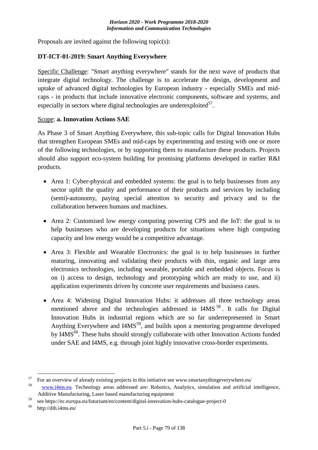Proposals are invited against the following topic(s):

#### **DT-ICT-01-2019: Smart Anything Everywhere**

Specific Challenge: "Smart anything everywhere" stands for the next wave of products that integrate digital technology. The challenge is to accelerate the design, development and uptake of advanced digital technologies by European industry - especially SMEs and midcaps - in products that include innovative electronic components, software and systems, and especially in sectors where digital technologies are underexploited $57$ .

#### Scope: **a. Innovation Actions SAE**

As Phase 3 of Smart Anything Everywhere, this sub-topic calls for Digital Innovation Hubs that strengthen European SMEs and mid-caps by experimenting and testing with one or more of the following technologies, or by supporting them to manufacture these products. Projects should also support eco-system building for promising platforms developed in earlier R&I products.

- Area 1: Cyber-physical and embedded systems: the goal is to help businesses from any sector uplift the quality and performance of their products and services by including (semi)-autonomy, paying special attention to security and privacy and to the collaboration between humans and machines.
- Area 2: Customised low energy computing powering CPS and the IoT: the goal is to help businesses who are developing products for situations where high computing capacity and low energy would be a competitive advantage.
- Area 3: Flexible and Wearable Electronics: the goal is to help businesses in further maturing, innovating and validating their products with thin, organic and large area electronics technologies, including wearable, portable and embedded objects. Focus is on i) access to design, technology and prototyping which are ready to use, and ii) application experiments driven by concrete user requirements and business cases.
- Area 4: Widening Digital Innovation Hubs: it addresses all three technology areas mentioned above and the technologies addressed in  $14MS<sup>58</sup>$ . It calls for Digital Innovation Hubs in industrial regions which are so far underrepresented in Smart Anything Everywhere and  $14MS<sup>59</sup>$ , and builds upon a mentoring programme developed by I4MS<sup>60</sup>. These hubs should strongly collaborate with other Innovation Actions funded under SAE and I4MS, e.g. through joint highly innovative cross-border experiments.

1

 $57$  For an overview of already existing projects in this initiative see www.smartanythingeverywhere.eu/

<sup>&</sup>lt;sup>58</sup> [www.i4ms.eu.](http://www.i4ms.eu/) Technology areas addressed are: Robotics, Analytics, simulation and artificial intelligence, Additive Manufacturing, Laser based manufacturing equipment

<sup>&</sup>lt;sup>59</sup> see https://ec.europa.eu/futurium/en/content/digital-innovation-hubs-catalogue-project-0<br><sup>60</sup> http://dib.i4ms.eu/

<sup>60</sup>http://dih.i4ms.eu/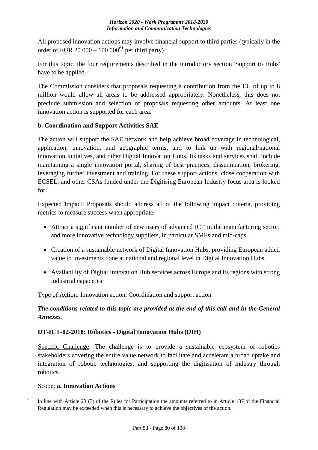All proposed innovation actions may involve financial support to third parties (typically in the order of EUR 20 000 – 100 000<sup>61</sup> per third party).

For this topic, the four requirements described in the introductory section 'Support to Hubs' have to be applied.

The Commission considers that proposals requesting a contribution from the EU of up to 8 million would allow all areas to be addressed appropriately. Nonetheless, this does not preclude submission and selection of proposals requesting other amounts. At least one innovation action is supported for each area.

## **b. Coordination and Support Activities SAE**

The action will support the SAE network and help achieve broad coverage in technological, application, innovation, and geographic terms, and to link up with regional/national innovation initiatives, and other Digital Innovation Hubs. Its tasks and services shall include maintaining a single innovation portal, sharing of best practices, dissemination, brokering, leveraging further investment and training. For these support actions, close cooperation with ECSEL, and other CSAs funded under the Digitising European Industry focus area is looked for.

Expected Impact: Proposals should address all of the following impact criteria, providing metrics to measure success when appropriate.

- Attract a significant number of new users of advanced ICT in the manufacturing sector, and more innovative technology suppliers, in particular SMEs and mid-caps.
- Creation of a sustainable network of Digital Innovation Hubs, providing European added value to investments done at national and regional level in Digital Innovation Hubs.
- Availability of Digital Innovation Hub services across Europe and its regions with strong industrial capacities

Type of Action: Innovation action, Coordination and support action

# *The conditions related to this topic are provided at the end of this call and in the General Annexes.*

# **DT-ICT-02-2018: Robotics - Digital Innovation Hubs (DIH)**

Specific Challenge: The challenge is to provide a sustainable ecosystem of robotics stakeholders covering the entire value network to facilitate and accelerate a broad uptake and integration of robotic technologies, and supporting the digitisation of industry through robotics.

### Scope: **a. Innovation Actions**

<sup>1</sup> <sup>61</sup> In line with Article 23 (7) of the Rules for Participation the amounts referred to in Article 137 of the Financial Regulation may be exceeded when this is necessary to achieve the objectives of the action.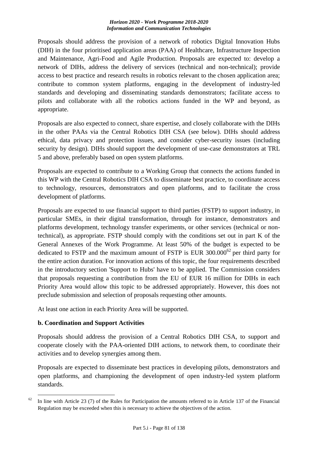Proposals should address the provision of a network of robotics Digital Innovation Hubs (DIH) in the four prioritised application areas (PAA) of Healthcare, Infrastructure Inspection and Maintenance, Agri-Food and Agile Production. Proposals are expected to: develop a network of DIHs, address the delivery of services (technical and non-technical); provide access to best practice and research results in robotics relevant to the chosen application area; contribute to common system platforms, engaging in the development of industry-led standards and developing and disseminating standards demonstrators; facilitate access to pilots and collaborate with all the robotics actions funded in the WP and beyond, as appropriate.

Proposals are also expected to connect, share expertise, and closely collaborate with the DIHs in the other PAAs via the Central Robotics DIH CSA (see below). DIHs should address ethical, data privacy and protection issues, and consider cyber-security issues (including security by design). DIHs should support the development of use-case demonstrators at TRL 5 and above, preferably based on open system platforms.

Proposals are expected to contribute to a Working Group that connects the actions funded in this WP with the Central Robotics DIH CSA to disseminate best practice, to coordinate access to technology, resources, demonstrators and open platforms, and to facilitate the cross development of platforms.

Proposals are expected to use financial support to third parties (FSTP) to support industry, in particular SMEs, in their digital transformation, through for instance, demonstrators and platforms development, technology transfer experiments, or other services (technical or nontechnical), as appropriate. FSTP should comply with the conditions set out in part K of the General Annexes of the Work Programme. At least 50% of the budget is expected to be dedicated to FSTP and the maximum amount of FSTP is EUR  $300.000^{62}$  per third party for the entire action duration. For innovation actions of this topic, the four requirements described in the introductory section 'Support to Hubs' have to be applied. The Commission considers that proposals requesting a contribution from the EU of EUR 16 million for DIHs in each Priority Area would allow this topic to be addressed appropriately. However, this does not preclude submission and selection of proposals requesting other amounts.

At least one action in each Priority Area will be supported.

# **b. Coordination and Support Activities**

Proposals should address the provision of a Central Robotics DIH CSA, to support and cooperate closely with the PAA-oriented DIH actions, to network them, to coordinate their activities and to develop synergies among them.

Proposals are expected to disseminate best practices in developing pilots, demonstrators and open platforms, and championing the development of open industry-led system platform standards.

<sup>1</sup> <sup>62</sup> In line with Article 23 (7) of the Rules for Participation the amounts referred to in Article 137 of the Financial Regulation may be exceeded when this is necessary to achieve the objectives of the action.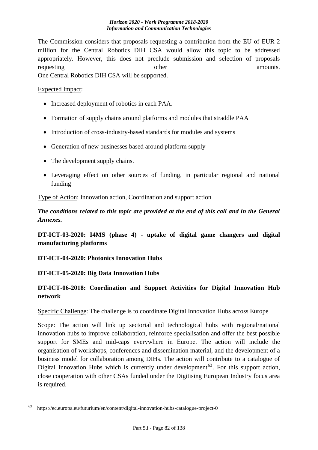The Commission considers that proposals requesting a contribution from the EU of EUR 2 million for the Central Robotics DIH CSA would allow this topic to be addressed appropriately. However, this does not preclude submission and selection of proposals requesting other amounts. One Central Robotics DIH CSA will be supported.

#### Expected Impact:

- Increased deployment of robotics in each PAA.
- Formation of supply chains around platforms and modules that straddle PAA
- Introduction of cross-industry-based standards for modules and systems
- Generation of new businesses based around platform supply
- The development supply chains.
- Leveraging effect on other sources of funding, in particular regional and national funding

Type of Action: Innovation action, Coordination and support action

*The conditions related to this topic are provided at the end of this call and in the General Annexes.*

**DT-ICT-03-2020: I4MS (phase 4) - uptake of digital game changers and digital manufacturing platforms**

### **DT-ICT-04-2020: Photonics Innovation Hubs**

# **DT-ICT-05-2020: Big Data Innovation Hubs**

# **DT-ICT-06-2018: Coordination and Support Activities for Digital Innovation Hub network**

Specific Challenge: The challenge is to coordinate Digital Innovation Hubs across Europe

Scope: The action will link up sectorial and technological hubs with regional/national innovation hubs to improve collaboration, reinforce specialisation and offer the best possible support for SMEs and mid-caps everywhere in Europe. The action will include the organisation of workshops, conferences and dissemination material, and the development of a business model for collaboration among DIHs. The action will contribute to a catalogue of Digital Innovation Hubs which is currently under development<sup> $63$ </sup>. For this support action, close cooperation with other CSAs funded under the Digitising European Industry focus area is required.

<sup>&</sup>lt;u>.</u> <sup>63</sup>https://ec.europa.eu/futurium/en/content/digital-innovation-hubs-catalogue-project-0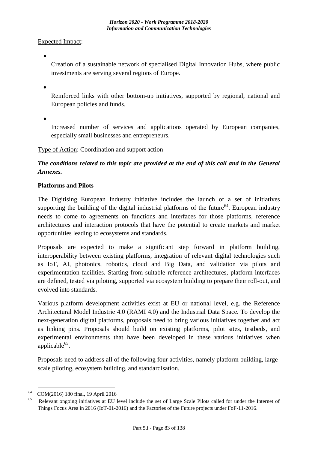Expected Impact:

 $\bullet$ 

Creation of a sustainable network of specialised Digital Innovation Hubs, where public investments are serving several regions of Europe.

 $\bullet$ 

Reinforced links with other bottom-up initiatives, supported by regional, national and European policies and funds.

 $\bullet$ 

Increased number of services and applications operated by European companies, especially small businesses and entrepreneurs.

## Type of Action: Coordination and support action

# *The conditions related to this topic are provided at the end of this call and in the General Annexes.*

### **Platforms and Pilots**

The Digitising European Industry initiative includes the launch of a set of initiatives supporting the building of the digital industrial platforms of the future<sup>64</sup>. European industry needs to come to agreements on functions and interfaces for those platforms, reference architectures and interaction protocols that have the potential to create markets and market opportunities leading to ecosystems and standards.

Proposals are expected to make a significant step forward in platform building, interoperability between existing platforms, integration of relevant digital technologies such as IoT, AI, photonics, robotics, cloud and Big Data, and validation via pilots and experimentation facilities. Starting from suitable reference architectures, platform interfaces are defined, tested via piloting, supported via ecosystem building to prepare their roll-out, and evolved into standards.

Various platform development activities exist at EU or national level, e.g. the Reference Architectural Model Industrie 4.0 (RAMI 4.0) and the Industrial Data Space. To develop the next-generation digital platforms, proposals need to bring various initiatives together and act as linking pins. Proposals should build on existing platforms, pilot sites, testbeds, and experimental environments that have been developed in these various initiatives when applicable<sup>65</sup>.

Proposals need to address all of the following four activities, namely platform building, largescale piloting, ecosystem building, and standardisation.

<sup>1</sup> <sup>64</sup> COM(2016) 180 final, 19 April 2016

Relevant ongoing initiatives at EU level include the set of Large Scale Pilots called for under the Internet of Things Focus Area in 2016 (IoT-01-2016) and the Factories of the Future projects under FoF-11-2016.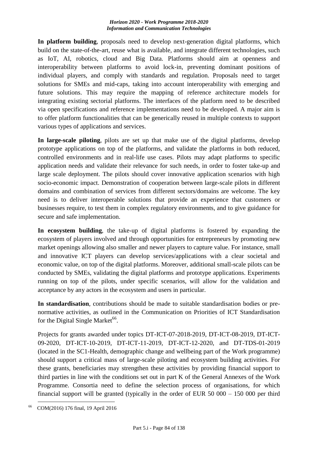**In platform building**, proposals need to develop next-generation digital platforms, which build on the state-of-the-art, reuse what is available, and integrate different technologies, such as IoT, AI, robotics, cloud and Big Data. Platforms should aim at openness and interoperability between platforms to avoid lock-in, preventing dominant positions of individual players, and comply with standards and regulation. Proposals need to target solutions for SMEs and mid-caps, taking into account interoperability with emerging and future solutions. This may require the mapping of reference architecture models for integrating existing sectorial platforms. The interfaces of the platform need to be described via open specifications and reference implementations need to be developed. A major aim is to offer platform functionalities that can be generically reused in multiple contexts to support various types of applications and services.

**In large-scale piloting**, pilots are set up that make use of the digital platforms, develop prototype applications on top of the platforms, and validate the platforms in both reduced, controlled environments and in real-life use cases. Pilots may adapt platforms to specific application needs and validate their relevance for such needs, in order to foster take-up and large scale deployment. The pilots should cover innovative application scenarios with high socio-economic impact. Demonstration of cooperation between large-scale pilots in different domains and combination of services from different sectors/domains are welcome. The key need is to deliver interoperable solutions that provide an experience that customers or businesses require, to test them in complex regulatory environments, and to give guidance for secure and safe implementation.

**In ecosystem building**, the take-up of digital platforms is fostered by expanding the ecosystem of players involved and through opportunities for entrepreneurs by promoting new market openings allowing also smaller and newer players to capture value. For instance, small and innovative ICT players can develop services/applications with a clear societal and economic value, on top of the digital platforms. Moreover, additional small-scale pilots can be conducted by SMEs, validating the digital platforms and prototype applications. Experiments running on top of the pilots, under specific scenarios, will allow for the validation and acceptance by any actors in the ecosystem and users in particular.

**In standardisation**, contributions should be made to suitable standardisation bodies or prenormative activities, as outlined in the Communication on Priorities of ICT Standardisation for the Digital Single Market<sup>66</sup>.

Projects for grants awarded under topics DT-ICT-07-2018-2019, DT-ICT-08-2019, DT-ICT-09-2020, DT-ICT-10-2019, DT-ICT-11-2019, DT-ICT-12-2020, and DT-TDS-01-2019 (located in the SC1-Health, demographic change and wellbeing part of the Work programme) should support a critical mass of large-scale piloting and ecosystem building activities. For these grants, beneficiaries may strengthen these activities by providing financial support to third parties in line with the conditions set out in part K of the General Annexes of the Work Programme. Consortia need to define the selection process of organisations, for which financial support will be granted (typically in the order of EUR 50 000 – 150 000 per third

<sup>&</sup>lt;u>.</u> <sup>66</sup>COM(2016) 176 final, 19 April 2016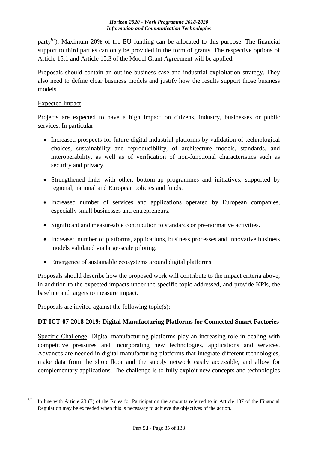party<sup>67</sup>). Maximum 20% of the EU funding can be allocated to this purpose. The financial support to third parties can only be provided in the form of grants. The respective options of Article 15.1 and Article 15.3 of the Model Grant Agreement will be applied.

Proposals should contain an outline business case and industrial exploitation strategy. They also need to define clear business models and justify how the results support those business models.

## Expected Impact

Projects are expected to have a high impact on citizens, industry, businesses or public services. In particular:

- Increased prospects for future digital industrial platforms by validation of technological choices, sustainability and reproducibility, of architecture models, standards, and interoperability, as well as of verification of non-functional characteristics such as security and privacy.
- Strengthened links with other, bottom-up programmes and initiatives, supported by regional, national and European policies and funds.
- Increased number of services and applications operated by European companies, especially small businesses and entrepreneurs.
- Significant and measureable contribution to standards or pre-normative activities.
- Increased number of platforms, applications, business processes and innovative business models validated via large-scale piloting.
- Emergence of sustainable ecosystems around digital platforms.

Proposals should describe how the proposed work will contribute to the impact criteria above, in addition to the expected impacts under the specific topic addressed, and provide KPIs, the baseline and targets to measure impact.

Proposals are invited against the following topic(s):

# **DT-ICT-07-2018-2019: Digital Manufacturing Platforms for Connected Smart Factories**

Specific Challenge: Digital manufacturing platforms play an increasing role in dealing with competitive pressures and incorporating new technologies, applications and services. Advances are needed in digital manufacturing platforms that integrate different technologies, make data from the shop floor and the supply network easily accessible, and allow for complementary applications. The challenge is to fully exploit new concepts and technologies

<sup>1</sup>  $67$  In line with Article 23 (7) of the Rules for Participation the amounts referred to in Article 137 of the Financial Regulation may be exceeded when this is necessary to achieve the objectives of the action.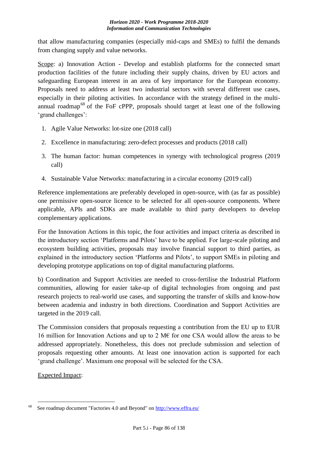that allow manufacturing companies (especially mid-caps and SMEs) to fulfil the demands from changing supply and value networks.

Scope: a) Innovation Action - Develop and establish platforms for the connected smart production facilities of the future including their supply chains, driven by EU actors and safeguarding European interest in an area of key importance for the European economy. Proposals need to address at least two industrial sectors with several different use cases, especially in their piloting activities. In accordance with the strategy defined in the multiannual roadmap<sup>68</sup> of the FoF cPPP, proposals should target at least one of the following 'grand challenges':

- 1. Agile Value Networks: lot-size one (2018 call)
- 2. Excellence in manufacturing: zero-defect processes and products (2018 call)
- 3. The human factor: human competences in synergy with technological progress (2019 call)
- 4. Sustainable Value Networks: manufacturing in a circular economy (2019 call)

Reference implementations are preferably developed in open-source, with (as far as possible) one permissive open-source licence to be selected for all open-source components. Where applicable, APIs and SDKs are made available to third party developers to develop complementary applications.

For the Innovation Actions in this topic, the four activities and impact criteria as described in the introductory section 'Platforms and Pilots' have to be applied. For large-scale piloting and ecosystem building activities, proposals may involve financial support to third parties, as explained in the introductory section 'Platforms and Pilots', to support SMEs in piloting and developing prototype applications on top of digital manufacturing platforms.

b) Coordination and Support Activities are needed to cross-fertilise the Industrial Platform communities, allowing for easier take-up of digital technologies from ongoing and past research projects to real-world use cases, and supporting the transfer of skills and know-how between academia and industry in both directions. Coordination and Support Activities are targeted in the 2019 call.

The Commission considers that proposals requesting a contribution from the EU up to EUR 16 million for Innovation Actions and up to 2 M€ for one CSA would allow the areas to be addressed appropriately. Nonetheless, this does not preclude submission and selection of proposals requesting other amounts. At least one innovation action is supported for each 'grand challenge'. Maximum one proposal will be selected for the CSA.

Expected Impact:

<sup>&</sup>lt;u>.</u> See roadmap document "Factories 4.0 and Beyond" on<http://www.effra.eu/>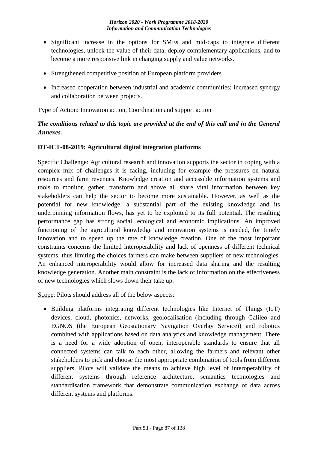- Significant increase in the options for SMEs and mid-caps to integrate different technologies, unlock the value of their data, deploy complementary applications, and to become a more responsive link in changing supply and value networks.
- Strengthened competitive position of European platform providers.
- Increased cooperation between industrial and academic communities; increased synergy and collaboration between projects.

Type of Action: Innovation action, Coordination and support action

# *The conditions related to this topic are provided at the end of this call and in the General Annexes.*

## **DT-ICT-08-2019: Agricultural digital integration platforms**

Specific Challenge: Agricultural research and innovation supports the sector in coping with a complex mix of challenges it is facing, including for example the pressures on natural resources and farm revenues. Knowledge creation and accessible information systems and tools to monitor, gather, transform and above all share vital information between key stakeholders can help the sector to become more sustainable. However, as well as the potential for new knowledge, a substantial part of the existing knowledge and its underpinning information flows, has yet to be exploited to its full potential. The resulting performance gap has strong social, ecological and economic implications. An improved functioning of the agricultural knowledge and innovation systems is needed, for timely innovation and to speed up the rate of knowledge creation. One of the most important constraints concerns the limited interoperability and lack of openness of different technical systems, thus limiting the choices farmers can make between suppliers of new technologies. An enhanced interoperability would allow for increased data sharing and the resulting knowledge generation. Another main constraint is the lack of information on the effectiveness of new technologies which slows down their take up.

Scope: Pilots should address all of the below aspects:

• Building platforms integrating different technologies like Internet of Things (IoT) devices, cloud, photonics, networks, geolocalisation (including through Galileo and EGNOS (the European Geostationary Navigation Overlay Service)) and robotics combined with applications based on data analytics and knowledge management. There is a need for a wide adoption of open, interoperable standards to ensure that all connected systems can talk to each other, allowing the farmers and relevant other stakeholders to pick and choose the most appropriate combination of tools from different suppliers. Pilots will validate the means to achieve high level of interoperability of different systems through reference architecture, semantics technologies and standardisation framework that demonstrate communication exchange of data across different systems and platforms.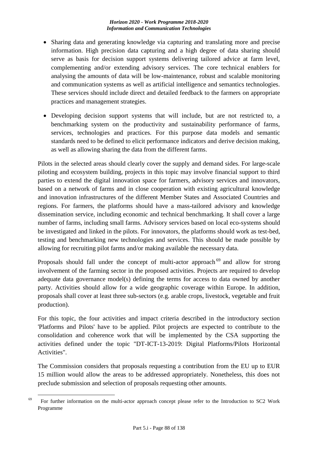- Sharing data and generating knowledge via capturing and translating more and precise information. High precision data capturing and a high degree of data sharing should serve as basis for decision support systems delivering tailored advice at farm level, complementing and/or extending advisory services. The core technical enablers for analysing the amounts of data will be low-maintenance, robust and scalable monitoring and communication systems as well as artificial intelligence and semantics technologies. These services should include direct and detailed feedback to the farmers on appropriate practices and management strategies.
- Developing decision support systems that will include, but are not restricted to, a benchmarking system on the productivity and sustainability performance of farms, services, technologies and practices. For this purpose data models and semantic standards need to be defined to elicit performance indicators and derive decision making, as well as allowing sharing the data from the different farms.

Pilots in the selected areas should clearly cover the supply and demand sides. For large-scale piloting and ecosystem building, projects in this topic may involve financial support to third parties to extend the digital innovation space for farmers, advisory services and innovators, based on a network of farms and in close cooperation with existing agricultural knowledge and innovation infrastructures of the different Member States and Associated Countries and regions. For farmers, the platforms should have a mass-tailored advisory and knowledge dissemination service, including economic and technical benchmarking. It shall cover a large number of farms, including small farms. Advisory services based on local eco-systems should be investigated and linked in the pilots. For innovators, the platforms should work as test-bed, testing and benchmarking new technologies and services. This should be made possible by allowing for recruiting pilot farms and/or making available the necessary data.

Proposals should fall under the concept of multi-actor approach<sup>69</sup> and allow for strong involvement of the farming sector in the proposed activities. Projects are required to develop adequate data governance model(s) defining the terms for access to data owned by another party. Activities should allow for a wide geographic coverage within Europe. In addition, proposals shall cover at least three sub-sectors (e.g. arable crops, livestock, vegetable and fruit production).

For this topic, the four activities and impact criteria described in the introductory section 'Platforms and Pilots' have to be applied. Pilot projects are expected to contribute to the consolidation and coherence work that will be implemented by the CSA supporting the activities defined under the topic "DT-ICT-13-2019: Digital Platforms/Pilots Horizontal Activities".

The Commission considers that proposals requesting a contribution from the EU up to EUR 15 million would allow the areas to be addressed appropriately. Nonetheless, this does not preclude submission and selection of proposals requesting other amounts.

<sup>1</sup>  $69$  For further information on the multi-actor approach concept please refer to the Introduction to SC2 Work Programme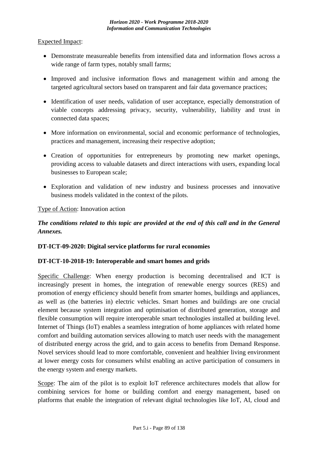### Expected Impact:

- Demonstrate measureable benefits from intensified data and information flows across a wide range of farm types, notably small farms;
- Improved and inclusive information flows and management within and among the targeted agricultural sectors based on transparent and fair data governance practices;
- Identification of user needs, validation of user acceptance, especially demonstration of viable concepts addressing privacy, security, vulnerability, liability and trust in connected data spaces;
- More information on environmental, social and economic performance of technologies, practices and management, increasing their respective adoption;
- Creation of opportunities for entrepreneurs by promoting new market openings, providing access to valuable datasets and direct interactions with users, expanding local businesses to European scale;
- Exploration and validation of new industry and business processes and innovative business models validated in the context of the pilots.

### Type of Action: Innovation action

# *The conditions related to this topic are provided at the end of this call and in the General Annexes.*

### **DT-ICT-09-2020: Digital service platforms for rural economies**

### **DT-ICT-10-2018-19: Interoperable and smart homes and grids**

Specific Challenge: When energy production is becoming decentralised and ICT is increasingly present in homes, the integration of renewable energy sources (RES) and promotion of energy efficiency should benefit from smarter homes, buildings and appliances, as well as (the batteries in) electric vehicles. Smart homes and buildings are one crucial element because system integration and optimisation of distributed generation, storage and flexible consumption will require interoperable smart technologies installed at building level. Internet of Things (IoT) enables a seamless integration of home appliances with related home comfort and building automation services allowing to match user needs with the management of distributed energy across the grid, and to gain access to benefits from Demand Response. Novel services should lead to more comfortable, convenient and healthier living environment at lower energy costs for consumers whilst enabling an active participation of consumers in the energy system and energy markets.

Scope: The aim of the pilot is to exploit IoT reference architectures models that allow for combining services for home or building comfort and energy management, based on platforms that enable the integration of relevant digital technologies like IoT, AI, cloud and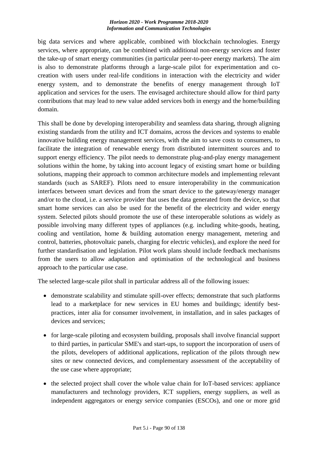big data services and where applicable, combined with blockchain technologies. Energy services, where appropriate, can be combined with additional non-energy services and foster the take-up of smart energy communities (in particular peer-to-peer energy markets). The aim is also to demonstrate platforms through a large-scale pilot for experimentation and cocreation with users under real-life conditions in interaction with the electricity and wider energy system, and to demonstrate the benefits of energy management through IoT application and services for the users. The envisaged architecture should allow for third party contributions that may lead to new value added services both in energy and the home/building domain.

This shall be done by developing interoperability and seamless data sharing, through aligning existing standards from the utility and ICT domains, across the devices and systems to enable innovative building energy management services, with the aim to save costs to consumers, to facilitate the integration of renewable energy from distributed intermittent sources and to support energy efficiency. The pilot needs to demonstrate plug-and-play energy management solutions within the home, by taking into account legacy of existing smart home or building solutions, mapping their approach to common architecture models and implementing relevant standards (such as SAREF). Pilots need to ensure interoperability in the communication interfaces between smart devices and from the smart device to the gateway/energy manager and/or to the cloud, i.e. a service provider that uses the data generated from the device, so that smart home services can also be used for the benefit of the electricity and wider energy system. Selected pilots should promote the use of these interoperable solutions as widely as possible involving many different types of appliances (e.g. including white-goods, heating, cooling and ventilation, home & building automation energy management, metering and control, batteries, photovoltaic panels, charging for electric vehicles), and explore the need for further standardisation and legislation. Pilot work plans should include feedback mechanisms from the users to allow adaptation and optimisation of the technological and business approach to the particular use case.

The selected large-scale pilot shall in particular address all of the following issues:

- demonstrate scalability and stimulate spill-over effects; demonstrate that such platforms lead to a marketplace for new services in EU homes and buildings; identify bestpractices, inter alia for consumer involvement, in installation, and in sales packages of devices and services;
- for large-scale piloting and ecosystem building, proposals shall involve financial support to third parties, in particular SME's and start-ups, to support the incorporation of users of the pilots, developers of additional applications, replication of the pilots through new sites or new connected devices, and complementary assessment of the acceptability of the use case where appropriate;
- the selected project shall cover the whole value chain for IoT-based services: appliance manufacturers and technology providers, ICT suppliers, energy suppliers, as well as independent aggregators or energy service companies (ESCOs), and one or more grid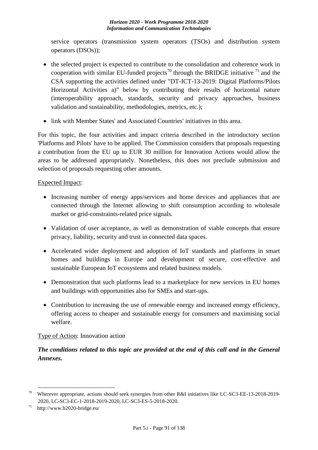service operators (transmission system operators (TSOs) and distribution system operators (DSOs));

- the selected project is expected to contribute to the consolidation and coherence work in cooperation with similar EU-funded projects<sup>70</sup> through the BRIDGE initiative  $^{71}$  and the CSA supporting the activities defined under "DT-ICT-13-2019: Digital Platforms/Pilots Horizontal Activities a)" below by contributing their results of horizontal nature (interoperability approach, standards, security and privacy approaches, business validation and sustainability, methodologies, metrics, etc.);
- link with Member States' and Associated Countries' initiatives in this area.

For this topic, the four activities and impact criteria described in the introductory section 'Platforms and Pilots' have to be applied. The Commission considers that proposals requesting a contribution from the EU up to EUR 30 million for Innovation Actions would allow the areas to be addressed appropriately. Nonetheless, this does not preclude submission and selection of proposals requesting other amounts.

# Expected Impact:

- Increasing number of energy apps/services and home devices and appliances that are connected through the Internet allowing to shift consumption according to wholesale market or grid-constraints-related price signals.
- Validation of user acceptance, as well as demonstration of viable concepts that ensure privacy, liability, security and trust in connected data spaces.
- Accelerated wider deployment and adoption of IoT standards and platforms in smart homes and buildings in Europe and development of secure, cost-effective and sustainable European IoT ecosystems and related business models.
- Demonstration that such platforms lead to a marketplace for new services in EU homes and buildings with opportunities also for SMEs and start-ups.
- Contribution to increasing the use of renewable energy and increased energy efficiency, offering access to cheaper and sustainable energy for consumers and maximising social welfare.

# Type of Action: Innovation action

# *The conditions related to this topic are provided at the end of this call and in the General Annexes.*

1

<sup>&</sup>lt;sup>70</sup> Wherever appropriate, actions should seek synergies from other R&I initiatives like LC-SC3-EE-13-2018-2019-2020, LC-SC3-EC-1-2018-2019-2020, LC-SC3-ES-5-2018-2020.

 $71$  http://www.h2020-bridge.eu/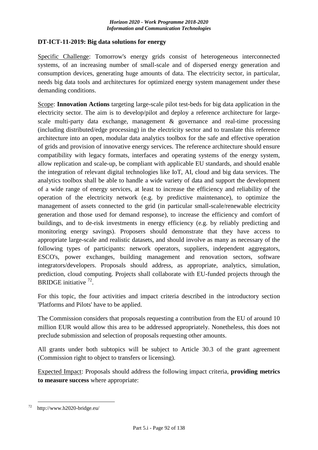#### **DT-ICT-11-2019: Big data solutions for energy**

Specific Challenge: Tomorrow's energy grids consist of heterogeneous interconnected systems, of an increasing number of small-scale and of dispersed energy generation and consumption devices, generating huge amounts of data. The electricity sector, in particular, needs big data tools and architectures for optimized energy system management under these demanding conditions.

Scope: **Innovation Actions** targeting large-scale pilot test-beds for big data application in the electricity sector. The aim is to develop/pilot and deploy a reference architecture for largescale multi-party data exchange, management & governance and real-time processing (including distributed/edge processing) in the electricity sector and to translate this reference architecture into an open, modular data analytics toolbox for the safe and effective operation of grids and provision of innovative energy services. The reference architecture should ensure compatibility with legacy formats, interfaces and operating systems of the energy system, allow replication and scale-up, be compliant with applicable EU standards, and should enable the integration of relevant digital technologies like IoT, AI, cloud and big data services. The analytics toolbox shall be able to handle a wide variety of data and support the development of a wide range of energy services, at least to increase the efficiency and reliability of the operation of the electricity network (e.g. by predictive maintenance), to optimize the management of assets connected to the grid (in particular small-scale/renewable electricity generation and those used for demand response), to increase the efficiency and comfort of buildings, and to de-risk investments in energy efficiency (e.g. by reliably predicting and monitoring energy savings). Proposers should demonstrate that they have access to appropriate large-scale and realistic datasets, and should involve as many as necessary of the following types of participants: network operators, suppliers, independent aggregators, ESCO's, power exchanges, building management and renovation sectors, software integrators/developers. Proposals should address, as appropriate, analytics, simulation, prediction, cloud computing. Projects shall collaborate with EU-funded projects through the BRIDGE initiative <sup>72</sup>.

For this topic, the four activities and impact criteria described in the introductory section 'Platforms and Pilots' have to be applied.

The Commission considers that proposals requesting a contribution from the EU of around 10 million EUR would allow this area to be addressed appropriately. Nonetheless, this does not preclude submission and selection of proposals requesting other amounts.

All grants under both subtopics will be subject to Article 30.3 of the grant agreement (Commission right to object to transfers or licensing).

Expected Impact: Proposals should address the following impact criteria, **providing metrics to measure success** where appropriate:

<sup>&</sup>lt;u>.</u> http://www.h2020-bridge.eu/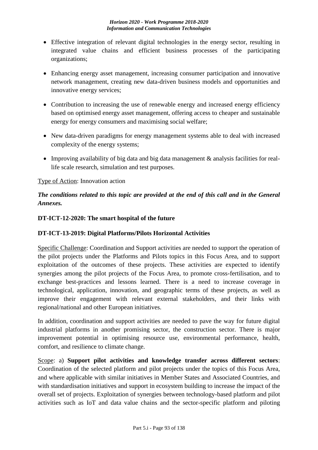- Effective integration of relevant digital technologies in the energy sector, resulting in integrated value chains and efficient business processes of the participating organizations;
- Enhancing energy asset management, increasing consumer participation and innovative network management, creating new data-driven business models and opportunities and innovative energy services;
- Contribution to increasing the use of renewable energy and increased energy efficiency based on optimised energy asset management, offering access to cheaper and sustainable energy for energy consumers and maximising social welfare;
- New data-driven paradigms for energy management systems able to deal with increased complexity of the energy systems;
- Improving availability of big data and big data management & analysis facilities for reallife scale research, simulation and test purposes.

# Type of Action: Innovation action

# *The conditions related to this topic are provided at the end of this call and in the General Annexes.*

## **DT-ICT-12-2020: The smart hospital of the future**

### **DT-ICT-13-2019: Digital Platforms/Pilots Horizontal Activities**

Specific Challenge: Coordination and Support activities are needed to support the operation of the pilot projects under the Platforms and Pilots topics in this Focus Area, and to support exploitation of the outcomes of these projects. These activities are expected to identify synergies among the pilot projects of the Focus Area, to promote cross-fertilisation, and to exchange best-practices and lessons learned. There is a need to increase coverage in technological, application, innovation, and geographic terms of these projects, as well as improve their engagement with relevant external stakeholders, and their links with regional/national and other European initiatives.

In addition, coordination and support activities are needed to pave the way for future digital industrial platforms in another promising sector, the construction sector. There is major improvement potential in optimising resource use, environmental performance, health, comfort, and resilience to climate change.

Scope: a) **Support pilot activities and knowledge transfer across different sectors**: Coordination of the selected platform and pilot projects under the topics of this Focus Area, and where applicable with similar initiatives in Member States and Associated Countries, and with standardisation initiatives and support in ecosystem building to increase the impact of the overall set of projects. Exploitation of synergies between technology-based platform and pilot activities such as IoT and data value chains and the sector-specific platform and piloting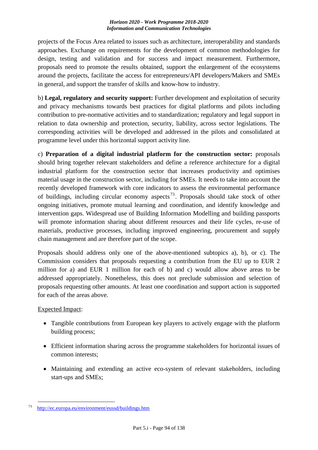projects of the Focus Area related to issues such as architecture, interoperability and standards approaches. Exchange on requirements for the development of common methodologies for design, testing and validation and for success and impact measurement. Furthermore, proposals need to promote the results obtained, support the enlargement of the ecosystems around the projects, facilitate the access for entrepreneurs/API developers/Makers and SMEs in general, and support the transfer of skills and know-how to industry.

b) **Legal, regulatory and security support:** Further development and exploitation of security and privacy mechanisms towards best practices for digital platforms and pilots including contribution to pre-normative activities and to standardization; regulatory and legal support in relation to data ownership and protection, security, liability, across sector legislations. The corresponding activities will be developed and addressed in the pilots and consolidated at programme level under this horizontal support activity line.

c) **Preparation of a digital industrial platform for the construction sector:** proposals should bring together relevant stakeholders and define a reference architecture for a digital industrial platform for the construction sector that increases productivity and optimises material usage in the construction sector, including for SMEs. It needs to take into account the recently developed framework with core indicators to assess the environmental performance of buildings, including circular economy aspects<sup>73</sup>. Proposals should take stock of other ongoing initiatives, promote mutual learning and coordination, and identify knowledge and intervention gaps. Widespread use of Building Information Modelling and building passports will promote information sharing about different resources and their life cycles, re-use of materials, productive processes, including improved engineering, procurement and supply chain management and are therefore part of the scope.

Proposals should address only one of the above-mentioned subtopics a), b), or c). The Commission considers that proposals requesting a contribution from the EU up to EUR 2 million for a) and EUR 1 million for each of b) and c) would allow above areas to be addressed appropriately. Nonetheless, this does not preclude submission and selection of proposals requesting other amounts. At least one coordination and support action is supported for each of the areas above.

### Expected Impact:

- Tangible contributions from European key players to actively engage with the platform building process;
- Efficient information sharing across the programme stakeholders for horizontal issues of common interests;
- Maintaining and extending an active eco-system of relevant stakeholders, including start-ups and SMEs;

<sup>&</sup>lt;u>.</u> <sup>73</sup><http://ec.europa.eu/environment/eussd/buildings.htm>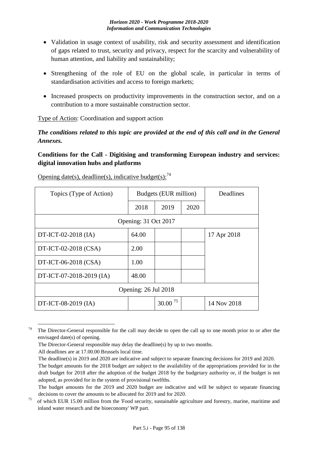- Validation in usage context of usability, risk and security assessment and identification of gaps related to trust, security and privacy, respect for the scarcity and vulnerability of human attention, and liability and sustainability;
- Strengthening of the role of EU on the global scale, in particular in terms of standardisation activities and access to foreign markets;
- Increased prospects on productivity improvements in the construction sector, and on a contribution to a more sustainable construction sector.

Type of Action: Coordination and support action

*The conditions related to this topic are provided at the end of this call and in the General Annexes.*

# **Conditions for the Call - Digitising and transforming European industry and services: digital innovation hubs and platforms**

| Topics (Type of Action)  | Budgets (EUR million) |              |      | <b>Deadlines</b> |
|--------------------------|-----------------------|--------------|------|------------------|
|                          | 2018                  | 2019         | 2020 |                  |
|                          | Opening: 31 Oct 2017  |              |      |                  |
| DT-ICT-02-2018 (IA)      | 64.00                 |              |      | 17 Apr 2018      |
| DT-ICT-02-2018 (CSA)     | 2.00                  |              |      |                  |
| DT-ICT-06-2018 (CSA)     | 1.00                  |              |      |                  |
| DT-ICT-07-2018-2019 (IA) | 48.00                 |              |      |                  |
| Opening: 26 Jul 2018     |                       |              |      |                  |
| DT-ICT-08-2019 (IA)      |                       | $30.00^{75}$ |      | 14 Nov 2018      |

Opening date(s), deadline(s), indicative budget(s):  $^{74}$ 

<sup>&</sup>lt;u>.</u> <sup>74</sup> The Director-General responsible for the call may decide to open the call up to one month prior to or after the envisaged date(s) of opening.

The Director-General responsible may delay the deadline(s) by up to two months.

All deadlines are at 17.00.00 Brussels local time.

The deadline(s) in 2019 and 2020 are indicative and subject to separate financing decisions for 2019 and 2020.

The budget amounts for the 2018 budget are subject to the availability of the appropriations provided for in the draft budget for 2018 after the adoption of the budget 2018 by the budgetary authority or, if the budget is not adopted, as provided for in the system of provisional twelfths.

The budget amounts for the 2019 and 2020 budget are indicative and will be subject to separate financing decisions to cover the amounts to be allocated for 2019 and for 2020.

<sup>&</sup>lt;sup>75</sup> of which EUR 15.00 million from the 'Food security, sustainable agriculture and forestry, marine, maritime and inland water research and the bioeconomy' WP part.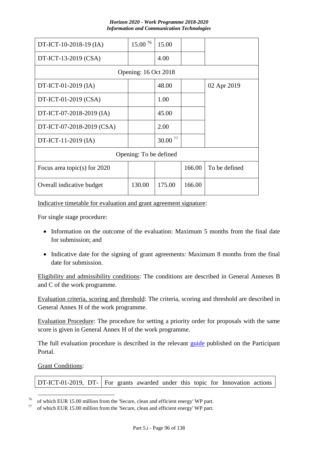| DT-ICT-10-2018-19 (IA)         | $15.00^{76}$           | 15.00        |        |               |
|--------------------------------|------------------------|--------------|--------|---------------|
| DT-ICT-13-2019 (CSA)           |                        | 4.00         |        |               |
|                                | Opening: 16 Oct 2018   |              |        |               |
| DT-ICT-01-2019 (IA)            |                        | 48.00        |        | 02 Apr 2019   |
| DT-ICT-01-2019 (CSA)           |                        | 1.00         |        |               |
| DT-ICT-07-2018-2019 (IA)       |                        | 45.00        |        |               |
| DT-ICT-07-2018-2019 (CSA)      |                        | 2.00         |        |               |
| DT-ICT-11-2019 (IA)            |                        | $30.00^{77}$ |        |               |
|                                | Opening: To be defined |              |        |               |
| Focus area topic(s) for $2020$ |                        |              | 166.00 | To be defined |
| Overall indicative budget      | 130.00                 | 175.00       | 166.00 |               |

Indicative timetable for evaluation and grant agreement signature:

For single stage procedure:

- Information on the outcome of the evaluation: Maximum 5 months from the final date for submission; and
- Indicative date for the signing of grant agreements: Maximum 8 months from the final date for submission.

Eligibility and admissibility conditions: The conditions are described in General Annexes B and C of the work programme.

Evaluation criteria, scoring and threshold: The criteria, scoring and threshold are described in General Annex H of the work programme.

Evaluation Procedure: The procedure for setting a priority order for proposals with the same score is given in General Annex H of the work programme.

The full evaluation procedure is described in the relevant [guide](http://ec.europa.eu/research/participants/docs/h2020-funding-guide/grants/applying-for-funding/submit-proposals_en.htm) published on the Participant Portal.

#### Grant Conditions:

1

| DT-ICT-01-2019, DT-   For grants awarded under this topic for Innovation actions |  |  |  |  |  |  |  |  |  |
|----------------------------------------------------------------------------------|--|--|--|--|--|--|--|--|--|
|----------------------------------------------------------------------------------|--|--|--|--|--|--|--|--|--|

<sup>&</sup>lt;sup>76</sup> of which EUR 15.00 million from the 'Secure, clean and efficient energy' WP part.<br><sup>77</sup> efective EUP 15.00 million from the 'Secure, clean and efficient energy' WP part.

of which EUR 15.00 million from the 'Secure, clean and efficient energy' WP part.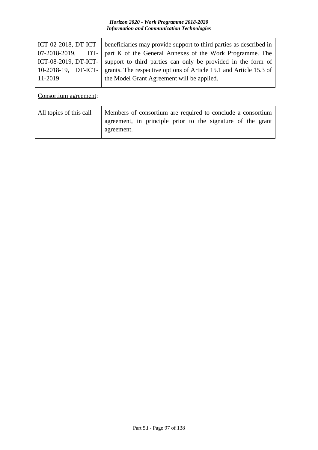|         | ICT-02-2018, DT-ICT-   beneficiaries may provide support to third parties as described in |
|---------|-------------------------------------------------------------------------------------------|
|         | 07-2018-2019, DT-   part K of the General Annexes of the Work Programme. The              |
|         | ICT-08-2019, DT-ICT- support to third parties can only be provided in the form of         |
|         | 10-2018-19, DT-ICT- grants. The respective options of Article 15.1 and Article 15.3 of    |
| 11-2019 | the Model Grant Agreement will be applied.                                                |
|         |                                                                                           |

### Consortium agreement:

| All topics of this call | Members of consortium are required to conclude a consortium |
|-------------------------|-------------------------------------------------------------|
|                         | agreement, in principle prior to the signature of the grant |
|                         | agreement.                                                  |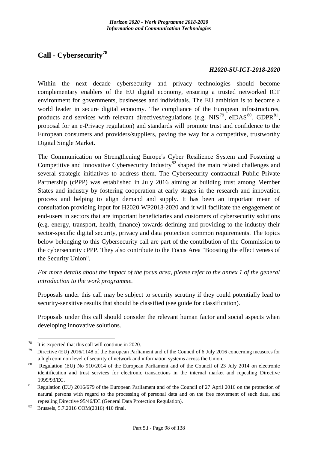# **Call - Cybersecurity<sup>78</sup>**

### *H2020-SU-ICT-2018-2020*

Within the next decade cybersecurity and privacy technologies should become complementary enablers of the EU digital economy, ensuring a trusted networked ICT environment for governments, businesses and individuals. The EU ambition is to become a world leader in secure digital economy. The compliance of the European infrastructures, products and services with relevant directives/regulations (e.g.  $NIS^{79}$ , eIDAS<sup>80</sup>, GDPR<sup>81</sup>, proposal for an e-Privacy regulation) and standards will promote trust and confidence to the European consumers and providers/suppliers, paving the way for a competitive, trustworthy Digital Single Market.

The Communication on Strengthening Europe's Cyber Resilience System and Fostering a Competitive and Innovative Cybersecurity Industry<sup>82</sup> shaped the main related challenges and several strategic initiatives to address them. The Cybersecurity contractual Public Private Partnership (cPPP) was established in July 2016 aiming at building trust among Member States and industry by fostering cooperation at early stages in the research and innovation process and helping to align demand and supply. It has been an important mean of consultation providing input for H2020 WP2018-2020 and it will facilitate the engagement of end-users in sectors that are important beneficiaries and customers of cybersecurity solutions (e.g. energy, transport, health, finance) towards defining and providing to the industry their sector-specific digital security, privacy and data protection common requirements. The topics below belonging to this Cybersecurity call are part of the contribution of the Commission to the cybersecurity cPPP. They also contribute to the Focus Area "Boosting the effectiveness of the Security Union".

*For more details about the impact of the focus area, please refer to the annex 1 of the general introduction to the work programme.*

Proposals under this call may be subject to security scrutiny if they could potentially lead to security-sensitive results that should be classified (see guide for classification).

Proposals under this call should consider the relevant human factor and social aspects when developing innovative solutions.

1

<sup>&</sup>lt;sup>78</sup> It is expected that this call will continue in 2020.

<sup>&</sup>lt;sup>79</sup> Directive (EU) 2016/1148 of the European Parliament and of the Council of 6 July 2016 concerning measures for a high common level of security of network and information systems across the Union.

<sup>&</sup>lt;sup>80</sup> Regulation (EU) No 910/2014 of the European Parliament and of the Council of 23 July 2014 on electronic identification and trust services for electronic transactions in the internal market and repealing Directive 1999/93/EC.

<sup>&</sup>lt;sup>81</sup> Regulation (EU) 2016/679 of the European Parliament and of the Council of 27 April 2016 on the protection of natural persons with regard to the processing of personal data and on the free movement of such data, and repealing Directive 95/46/EC (General Data Protection Regulation).

 $82$  Brussels, 5.7.2016 COM(2016) 410 final.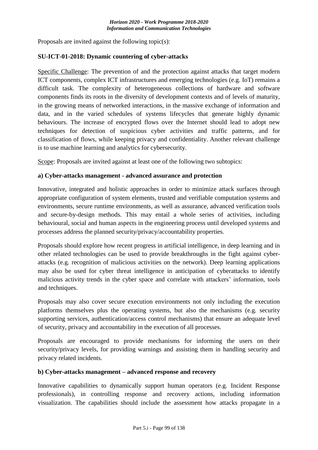Proposals are invited against the following topic(s):

#### **SU-ICT-01-2018: Dynamic countering of cyber-attacks**

Specific Challenge: The prevention of and the protection against attacks that target modern ICT components, complex ICT infrastructures and emerging technologies (e.g. IoT) remains a difficult task. The complexity of heterogeneous collections of hardware and software components finds its roots in the diversity of development contexts and of levels of maturity, in the growing means of networked interactions, in the massive exchange of information and data, and in the varied schedules of systems lifecycles that generate highly dynamic behaviours. The increase of encrypted flows over the Internet should lead to adopt new techniques for detection of suspicious cyber activities and traffic patterns, and for classification of flows, while keeping privacy and confidentiality. Another relevant challenge is to use machine learning and analytics for cybersecurity.

Scope: Proposals are invited against at least one of the following two subtopics:

#### **a) Cyber-attacks management - advanced assurance and protection**

Innovative, integrated and holistic approaches in order to minimize attack surfaces through appropriate configuration of system elements, trusted and verifiable computation systems and environments, secure runtime environments, as well as assurance, advanced verification tools and secure-by-design methods. This may entail a whole series of activities, including behavioural, social and human aspects in the engineering process until developed systems and processes address the planned security/privacy/accountability properties.

Proposals should explore how recent progress in artificial intelligence, in deep learning and in other related technologies can be used to provide breakthroughs in the fight against cyberattacks (e.g. recognition of malicious activities on the network). Deep learning applications may also be used for cyber threat intelligence in anticipation of cyberattacks to identify malicious activity trends in the cyber space and correlate with attackers' information, tools and techniques.

Proposals may also cover secure execution environments not only including the execution platforms themselves plus the operating systems, but also the mechanisms (e.g. security supporting services, authentication/access control mechanisms) that ensure an adequate level of security, privacy and accountability in the execution of all processes.

Proposals are encouraged to provide mechanisms for informing the users on their security/privacy levels, for providing warnings and assisting them in handling security and privacy related incidents.

#### **b) Cyber-attacks management – advanced response and recovery**

Innovative capabilities to dynamically support human operators (e.g. Incident Response professionals), in controlling response and recovery actions, including information visualization. The capabilities should include the assessment how attacks propagate in a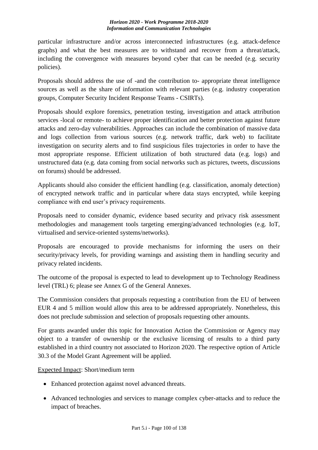particular infrastructure and/or across interconnected infrastructures (e.g. attack-defence graphs) and what the best measures are to withstand and recover from a threat/attack, including the convergence with measures beyond cyber that can be needed (e.g. security policies).

Proposals should address the use of -and the contribution to- appropriate threat intelligence sources as well as the share of information with relevant parties (e.g. industry cooperation groups, Computer Security Incident Response Teams - CSIRTs).

Proposals should explore forensics, penetration testing, investigation and attack attribution services -local or remote- to achieve proper identification and better protection against future attacks and zero-day vulnerabilities. Approaches can include the combination of massive data and logs collection from various sources (e.g. network traffic, dark web) to facilitate investigation on security alerts and to find suspicious files trajectories in order to have the most appropriate response. Efficient utilization of both structured data (e.g. logs) and unstructured data (e.g. data coming from social networks such as pictures, tweets, discussions on forums) should be addressed.

Applicants should also consider the efficient handling (e.g. classification, anomaly detection) of encrypted network traffic and in particular where data stays encrypted, while keeping compliance with end user's privacy requirements.

Proposals need to consider dynamic, evidence based security and privacy risk assessment methodologies and management tools targeting emerging/advanced technologies (e.g. IoT, virtualised and service-oriented systems/networks).

Proposals are encouraged to provide mechanisms for informing the users on their security/privacy levels, for providing warnings and assisting them in handling security and privacy related incidents.

The outcome of the proposal is expected to lead to development up to Technology Readiness level (TRL) 6; please see Annex G of the General Annexes.

The Commission considers that proposals requesting a contribution from the EU of between EUR 4 and 5 million would allow this area to be addressed appropriately. Nonetheless, this does not preclude submission and selection of proposals requesting other amounts.

For grants awarded under this topic for Innovation Action the Commission or Agency may object to a transfer of ownership or the exclusive licensing of results to a third party established in a third country not associated to Horizon 2020. The respective option of Article 30.3 of the Model Grant Agreement will be applied.

Expected Impact: Short/medium term

- Enhanced protection against novel advanced threats.
- Advanced technologies and services to manage complex cyber-attacks and to reduce the impact of breaches.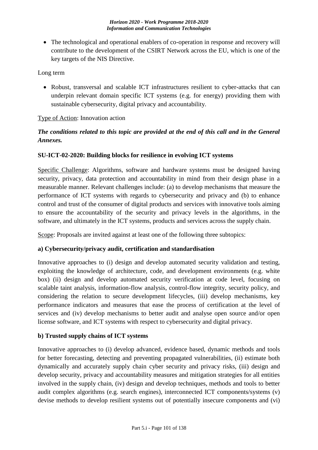• The technological and operational enablers of co-operation in response and recovery will contribute to the development of the CSIRT Network across the EU, which is one of the key targets of the NIS Directive.

Long term

• Robust, transversal and scalable ICT infrastructures resilient to cyber-attacks that can underpin relevant domain specific ICT systems (e.g. for energy) providing them with sustainable cybersecurity, digital privacy and accountability.

### Type of Action: Innovation action

# *The conditions related to this topic are provided at the end of this call and in the General Annexes.*

## **SU-ICT-02-2020: Building blocks for resilience in evolving ICT systems**

Specific Challenge: Algorithms, software and hardware systems must be designed having security, privacy, data protection and accountability in mind from their design phase in a measurable manner. Relevant challenges include: (a) to develop mechanisms that measure the performance of ICT systems with regards to cybersecurity and privacy and (b) to enhance control and trust of the consumer of digital products and services with innovative tools aiming to ensure the accountability of the security and privacy levels in the algorithms, in the software, and ultimately in the ICT systems, products and services across the supply chain.

Scope: Proposals are invited against at least one of the following three subtopics:

### **a) Cybersecurity/privacy audit, certification and standardisation**

Innovative approaches to (i) design and develop automated security validation and testing, exploiting the knowledge of architecture, code, and development environments (e.g. white box) (ii) design and develop automated security verification at code level, focusing on scalable taint analysis, information-flow analysis, control-flow integrity, security policy, and considering the relation to secure development lifecycles, (iii) develop mechanisms, key performance indicators and measures that ease the process of certification at the level of services and (iv) develop mechanisms to better audit and analyse open source and/or open license software, and ICT systems with respect to cybersecurity and digital privacy.

### **b) Trusted supply chains of ICT systems**

Innovative approaches to (i) develop advanced, evidence based, dynamic methods and tools for better forecasting, detecting and preventing propagated vulnerabilities, (ii) estimate both dynamically and accurately supply chain cyber security and privacy risks, (iii) design and develop security, privacy and accountability measures and mitigation strategies for all entities involved in the supply chain, (iv) design and develop techniques, methods and tools to better audit complex algorithms (e.g. search engines), interconnected ICT components/systems (v) devise methods to develop resilient systems out of potentially insecure components and (vi)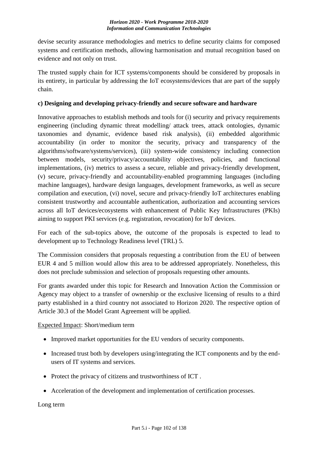devise security assurance methodologies and metrics to define security claims for composed systems and certification methods, allowing harmonisation and mutual recognition based on evidence and not only on trust.

The trusted supply chain for ICT systems/components should be considered by proposals in its entirety, in particular by addressing the IoT ecosystems/devices that are part of the supply chain.

### **c) Designing and developing privacy-friendly and secure software and hardware**

Innovative approaches to establish methods and tools for (i) security and privacy requirements engineering (including dynamic threat modelling/ attack trees, attack ontologies, dynamic taxonomies and dynamic, evidence based risk analysis), (ii) embedded algorithmic accountability (in order to monitor the security, privacy and transparency of the algorithms/software/systems/services), (iii) system-wide consistency including connection between models, security/privacy/accountability objectives, policies, and functional implementations, (iv) metrics to assess a secure, reliable and privacy-friendly development, (v) secure, privacy-friendly and accountability-enabled programming languages (including machine languages), hardware design languages, development frameworks, as well as secure compilation and execution, (vi) novel, secure and privacy-friendly IoT architectures enabling consistent trustworthy and accountable authentication, authorization and accounting services across all IoT devices/ecosystems with enhancement of Public Key Infrastructures (PKIs) aiming to support PKI services (e.g. registration, revocation) for IoT devices.

For each of the sub-topics above, the outcome of the proposals is expected to lead to development up to Technology Readiness level (TRL) 5.

The Commission considers that proposals requesting a contribution from the EU of between EUR 4 and 5 million would allow this area to be addressed appropriately. Nonetheless, this does not preclude submission and selection of proposals requesting other amounts.

For grants awarded under this topic for Research and Innovation Action the Commission or Agency may object to a transfer of ownership or the exclusive licensing of results to a third party established in a third country not associated to Horizon 2020. The respective option of Article 30.3 of the Model Grant Agreement will be applied.

Expected Impact: Short/medium term

- Improved market opportunities for the EU vendors of security components.
- Increased trust both by developers using/integrating the ICT components and by the endusers of IT systems and services.
- Protect the privacy of citizens and trustworthiness of ICT.
- Acceleration of the development and implementation of certification processes.

Long term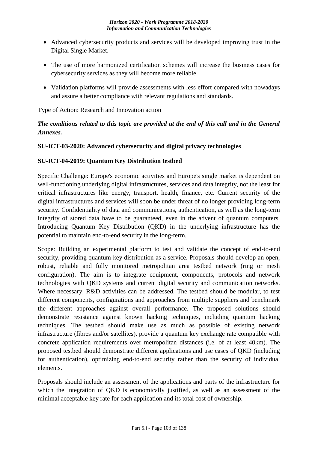- Advanced cybersecurity products and services will be developed improving trust in the Digital Single Market.
- The use of more harmonized certification schemes will increase the business cases for cybersecurity services as they will become more reliable.
- Validation platforms will provide assessments with less effort compared with nowadays and assure a better compliance with relevant regulations and standards.

## Type of Action: Research and Innovation action

# *The conditions related to this topic are provided at the end of this call and in the General Annexes.*

## **SU-ICT-03-2020: Advanced cybersecurity and digital privacy technologies**

### **SU-ICT-04-2019: Quantum Key Distribution testbed**

Specific Challenge: Europe's economic activities and Europe's single market is dependent on well-functioning underlying digital infrastructures, services and data integrity, not the least for critical infrastructures like energy, transport, health, finance, etc. Current security of the digital infrastructures and services will soon be under threat of no longer providing long-term security. Confidentiality of data and communications, authentication, as well as the long-term integrity of stored data have to be guaranteed, even in the advent of quantum computers. Introducing Quantum Key Distribution (QKD) in the underlying infrastructure has the potential to maintain end-to-end security in the long-term.

Scope: Building an experimental platform to test and validate the concept of end-to-end security, providing quantum key distribution as a service. Proposals should develop an open, robust, reliable and fully monitored metropolitan area testbed network (ring or mesh configuration). The aim is to integrate equipment, components, protocols and network technologies with QKD systems and current digital security and communication networks. Where necessary, R&D activities can be addressed. The testbed should be modular, to test different components, configurations and approaches from multiple suppliers and benchmark the different approaches against overall performance. The proposed solutions should demonstrate resistance against known hacking techniques, including quantum hacking techniques. The testbed should make use as much as possible of existing network infrastructure (fibres and/or satellites), provide a quantum key exchange rate compatible with concrete application requirements over metropolitan distances (i.e. of at least 40km). The proposed testbed should demonstrate different applications and use cases of QKD (including for authentication), optimizing end-to-end security rather than the security of individual elements.

Proposals should include an assessment of the applications and parts of the infrastructure for which the integration of QKD is economically justified, as well as an assessment of the minimal acceptable key rate for each application and its total cost of ownership.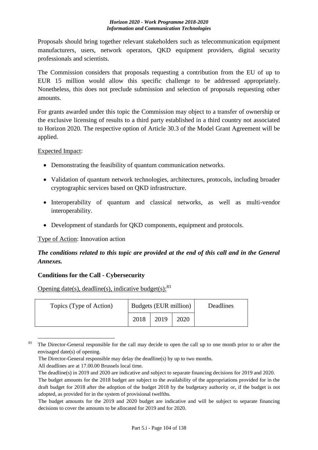Proposals should bring together relevant stakeholders such as telecommunication equipment manufacturers, users, network operators, QKD equipment providers, digital security professionals and scientists.

The Commission considers that proposals requesting a contribution from the EU of up to EUR 15 million would allow this specific challenge to be addressed appropriately. Nonetheless, this does not preclude submission and selection of proposals requesting other amounts.

For grants awarded under this topic the Commission may object to a transfer of ownership or the exclusive licensing of results to a third party established in a third country not associated to Horizon 2020. The respective option of Article 30.3 of the Model Grant Agreement will be applied.

Expected Impact:

- Demonstrating the feasibility of quantum communication networks.
- Validation of quantum network technologies, architectures, protocols, including broader cryptographic services based on QKD infrastructure.
- Interoperability of quantum and classical networks, as well as multi-vendor interoperability.
- Development of standards for QKD components, equipment and protocols.

### Type of Action: Innovation action

# *The conditions related to this topic are provided at the end of this call and in the General Annexes.*

### **Conditions for the Call - Cybersecurity**

Opening date(s), deadline(s), indicative budget(s):  $83$ 

| Topics (Type of Action) | Budgets (EUR million) |      | Deadlines |  |
|-------------------------|-----------------------|------|-----------|--|
|                         | 2018                  | 2019 | 2020      |  |

<sup>&</sup>lt;sup>83</sup> The Director-General responsible for the call may decide to open the call up to one month prior to or after the envisaged date(s) of opening.

1

The Director-General responsible may delay the deadline(s) by up to two months.

All deadlines are at 17.00.00 Brussels local time.

The deadline(s) in 2019 and 2020 are indicative and subject to separate financing decisions for 2019 and 2020. The budget amounts for the 2018 budget are subject to the availability of the appropriations provided for in the draft budget for 2018 after the adoption of the budget 2018 by the budgetary authority or, if the budget is not adopted, as provided for in the system of provisional twelfths.

The budget amounts for the 2019 and 2020 budget are indicative and will be subject to separate financing decisions to cover the amounts to be allocated for 2019 and for 2020.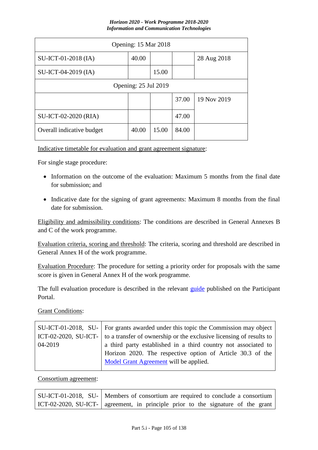| Opening: 15 Mar 2018        |       |       |       |             |  |
|-----------------------------|-------|-------|-------|-------------|--|
| $SU-ICT-01-2018$ (IA)       | 40.00 |       |       | 28 Aug 2018 |  |
| SU-ICT-04-2019 (IA)         |       | 15.00 |       |             |  |
| <b>Opening: 25 Jul 2019</b> |       |       |       |             |  |
|                             |       |       | 37.00 | 19 Nov 2019 |  |
| SU-ICT-02-2020 (RIA)        |       |       | 47.00 |             |  |
| Overall indicative budget   | 40.00 | 15.00 | 84.00 |             |  |

Indicative timetable for evaluation and grant agreement signature:

For single stage procedure:

- Information on the outcome of the evaluation: Maximum 5 months from the final date for submission; and
- Indicative date for the signing of grant agreements: Maximum 8 months from the final date for submission.

Eligibility and admissibility conditions: The conditions are described in General Annexes B and C of the work programme.

Evaluation criteria, scoring and threshold: The criteria, scoring and threshold are described in General Annex H of the work programme.

Evaluation Procedure: The procedure for setting a priority order for proposals with the same score is given in General Annex H of the work programme.

The full evaluation procedure is described in the relevant [guide](http://ec.europa.eu/research/participants/docs/h2020-funding-guide/grants/applying-for-funding/submit-proposals_en.htm) published on the Participant Portal.

**Grant Conditions:** 

| SU-ICT-01-2018, SU-   For grants awarded under this topic the Commission may object              |
|--------------------------------------------------------------------------------------------------|
| ICT-02-2020, SU-ICT- $\vert$ to a transfer of ownership or the exclusive licensing of results to |
| a third party established in a third country not associated to                                   |
| Horizon 2020. The respective option of Article 30.3 of the                                       |
| Model Grant Agreement will be applied.                                                           |
|                                                                                                  |

Consortium agreement:

| SU-ICT-01-2018, SU-   Members of consortium are required to conclude a consortium  |
|------------------------------------------------------------------------------------|
| ICT-02-2020, SU-ICT-   agreement, in principle prior to the signature of the grant |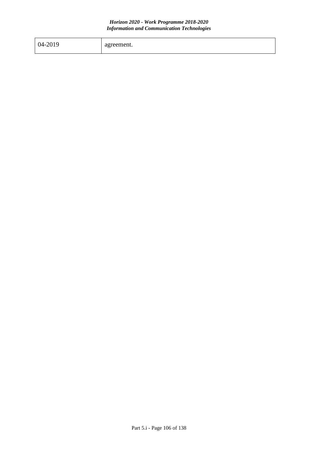| 04-2019 | agreement. |
|---------|------------|
|         |            |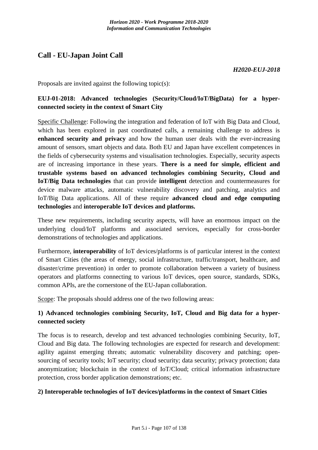# **Call - EU-Japan Joint Call**

*H2020-EUJ-2018*

Proposals are invited against the following topic(s):

# **EUJ-01-2018: Advanced technologies (Security/Cloud/IoT/BigData) for a hyperconnected society in the context of Smart City**

Specific Challenge: Following the integration and federation of IoT with Big Data and Cloud, which has been explored in past coordinated calls, a remaining challenge to address is **enhanced security and privacy** and how the human user deals with the ever-increasing amount of sensors, smart objects and data. Both EU and Japan have excellent competences in the fields of cybersecurity systems and visualisation technologies. Especially, security aspects are of increasing importance in these years. **There is a need for simple, efficient and trustable systems based on advanced technologies combining Security, Cloud and IoT/Big Data technologies** that can provide **intelligent** detection and countermeasures for device malware attacks, automatic vulnerability discovery and patching, analytics and IoT/Big Data applications. All of these require **advanced cloud and edge computing technologies** and **interoperable IoT devices and platforms.**

These new requirements, including security aspects, will have an enormous impact on the underlying cloud/IoT platforms and associated services, especially for cross-border demonstrations of technologies and applications.

Furthermore, **interoperability** of IoT devices/platforms is of particular interest in the context of Smart Cities (the areas of energy, social infrastructure, traffic/transport, healthcare, and disaster/crime prevention) in order to promote collaboration between a variety of business operators and platforms connecting to various IoT devices, open source, standards, SDKs, common APIs, are the cornerstone of the EU-Japan collaboration.

Scope: The proposals should address one of the two following areas:

# **1) Advanced technologies combining Security, IoT, Cloud and Big data for a hyperconnected society**

The focus is to research, develop and test advanced technologies combining Security, IoT, Cloud and Big data. The following technologies are expected for research and development: agility against emerging threats; automatic vulnerability discovery and patching; opensourcing of security tools; IoT security; cloud security; data security; privacy protection; data anonymization; blockchain in the context of IoT/Cloud; critical information infrastructure protection, cross border application demonstrations; etc.

### **2) Interoperable technologies of IoT devices/platforms in the context of Smart Cities**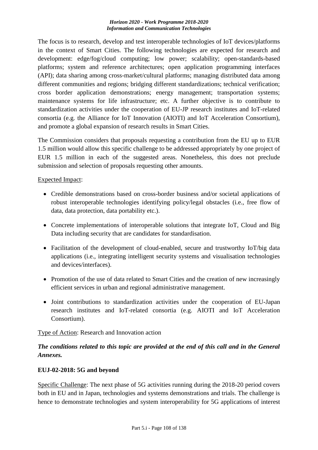The focus is to research, develop and test interoperable technologies of IoT devices/platforms in the context of Smart Cities. The following technologies are expected for research and development: edge/fog/cloud computing; low power; scalability; open-standards-based platforms; system and reference architectures; open application programming interfaces (API); data sharing among cross-market/cultural platforms; managing distributed data among different communities and regions; bridging different standardizations; technical verification; cross border application demonstrations; energy management; transportation systems; maintenance systems for life infrastructure; etc. A further objective is to contribute to standardization activities under the cooperation of EU-JP research institutes and IoT-related consortia (e.g. the Alliance for IoT Innovation (AIOTI) and IoT Acceleration Consortium), and promote a global expansion of research results in Smart Cities.

The Commission considers that proposals requesting a contribution from the EU up to EUR 1.5 million would allow this specific challenge to be addressed appropriately by one project of EUR 1.5 million in each of the suggested areas. Nonetheless, this does not preclude submission and selection of proposals requesting other amounts.

### Expected Impact:

- Credible demonstrations based on cross-border business and/or societal applications of robust interoperable technologies identifying policy/legal obstacles (i.e., free flow of data, data protection, data portability etc.).
- Concrete implementations of interoperable solutions that integrate IoT, Cloud and Big Data including security that are candidates for standardisation.
- Facilitation of the development of cloud-enabled, secure and trustworthy IoT/big data applications (i.e., integrating intelligent security systems and visualisation technologies and devices/interfaces).
- Promotion of the use of data related to Smart Cities and the creation of new increasingly efficient services in urban and regional administrative management.
- Joint contributions to standardization activities under the cooperation of EU-Japan research institutes and IoT-related consortia (e.g. AIOTI and IoT Acceleration Consortium).

### Type of Action: Research and Innovation action

# *The conditions related to this topic are provided at the end of this call and in the General Annexes.*

#### **EUJ-02-2018: 5G and beyond**

Specific Challenge: The next phase of 5G activities running during the 2018-20 period covers both in EU and in Japan, technologies and systems demonstrations and trials. The challenge is hence to demonstrate technologies and system interoperability for 5G applications of interest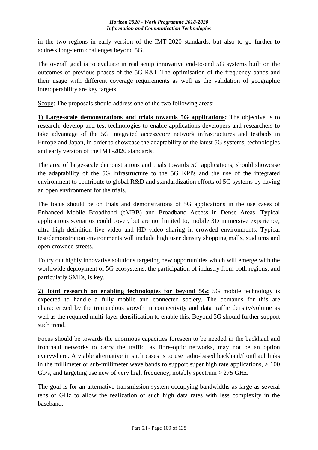in the two regions in early version of the IMT-2020 standards, but also to go further to address long-term challenges beyond 5G.

The overall goal is to evaluate in real setup innovative end-to-end 5G systems built on the outcomes of previous phases of the 5G R&I. The optimisation of the frequency bands and their usage with different coverage requirements as well as the validation of geographic interoperability are key targets.

Scope: The proposals should address one of the two following areas:

**1) Large-scale demonstrations and trials towards 5G applications:** The objective is to research, develop and test technologies to enable applications developers and researchers to take advantage of the 5G integrated access/core network infrastructures and testbeds in Europe and Japan, in order to showcase the adaptability of the latest 5G systems, technologies and early version of the IMT-2020 standards.

The area of large-scale demonstrations and trials towards 5G applications, should showcase the adaptability of the 5G infrastructure to the 5G KPI's and the use of the integrated environment to contribute to global R&D and standardization efforts of 5G systems by having an open environment for the trials.

The focus should be on trials and demonstrations of 5G applications in the use cases of Enhanced Mobile Broadband (eMBB) and Broadband Access in Dense Areas. Typical applications scenarios could cover, but are not limited to, mobile 3D immersive experience, ultra high definition live video and HD video sharing in crowded environments. Typical test/demonstration environments will include high user density shopping malls, stadiums and open crowded streets.

To try out highly innovative solutions targeting new opportunities which will emerge with the worldwide deployment of 5G ecosystems, the participation of industry from both regions, and particularly SMEs, is key.

**2) Joint research on enabling technologies for beyond 5G:** 5G mobile technology is expected to handle a fully mobile and connected society. The demands for this are characterized by the tremendous growth in connectivity and data traffic density/volume as well as the required multi-layer densification to enable this. Beyond 5G should further support such trend.

Focus should be towards the enormous capacities foreseen to be needed in the backhaul and fronthaul networks to carry the traffic, as fibre-optic networks, may not be an option everywhere. A viable alternative in such cases is to use radio-based backhaul/fronthaul links in the millimeter or sub-millimeter wave bands to support super high rate applications,  $> 100$ Gb/s, and targeting use new of very high frequency, notably spectrum > 275 GHz.

The goal is for an alternative transmission system occupying bandwidths as large as several tens of GHz to allow the realization of such high data rates with less complexity in the baseband.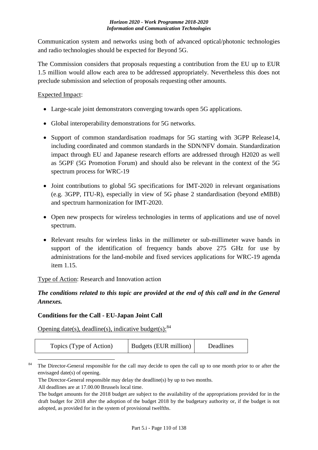Communication system and networks using both of advanced optical/photonic technologies and radio technologies should be expected for Beyond 5G.

The Commission considers that proposals requesting a contribution from the EU up to EUR 1.5 million would allow each area to be addressed appropriately. Nevertheless this does not preclude submission and selection of proposals requesting other amounts.

## Expected Impact:

- Large-scale joint demonstrators converging towards open 5G applications.
- Global interoperability demonstrations for 5G networks.
- Support of common standardisation roadmaps for 5G starting with 3GPP Release14, including coordinated and common standards in the SDN/NFV domain. Standardization impact through EU and Japanese research efforts are addressed through H2020 as well as 5GPF (5G Promotion Forum) and should also be relevant in the context of the 5G spectrum process for WRC-19
- Joint contributions to global 5G specifications for IMT-2020 in relevant organisations (e.g. 3GPP, ITU-R), especially in view of 5G phase 2 standardisation (beyond eMBB) and spectrum harmonization for IMT-2020.
- Open new prospects for wireless technologies in terms of applications and use of novel spectrum.
- Relevant results for wireless links in the millimeter or sub-millimeter wave bands in support of the identification of frequency bands above 275 GHz for use by administrations for the land-mobile and fixed services applications for WRC-19 agenda item 1.15.

Type of Action: Research and Innovation action

*The conditions related to this topic are provided at the end of this call and in the General Annexes.*

## **Conditions for the Call - EU-Japan Joint Call**

Opening date(s), deadline(s), indicative budget(s):  $84$ 

| Topics (Type of Action) | Budgets (EUR million) | Deadlines |
|-------------------------|-----------------------|-----------|
|-------------------------|-----------------------|-----------|

<sup>1</sup> <sup>84</sup> The Director-General responsible for the call may decide to open the call up to one month prior to or after the envisaged date(s) of opening.

The Director-General responsible may delay the deadline(s) by up to two months.

All deadlines are at 17.00.00 Brussels local time.

The budget amounts for the 2018 budget are subject to the availability of the appropriations provided for in the draft budget for 2018 after the adoption of the budget 2018 by the budgetary authority or, if the budget is not adopted, as provided for in the system of provisional twelfths.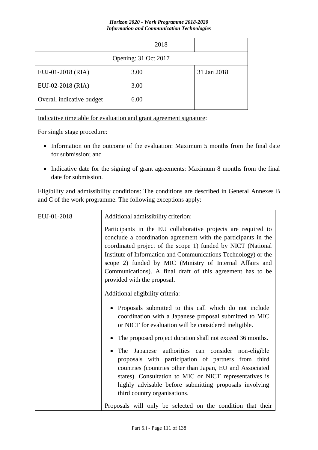|                           | 2018 |             |
|---------------------------|------|-------------|
| Opening: 31 Oct 2017      |      |             |
| EUJ-01-2018 (RIA)         | 3.00 | 31 Jan 2018 |
| EUJ-02-2018 (RIA)         | 3.00 |             |
| Overall indicative budget | 6.00 |             |

Indicative timetable for evaluation and grant agreement signature:

For single stage procedure:

- Information on the outcome of the evaluation: Maximum 5 months from the final date for submission; and
- Indicative date for the signing of grant agreements: Maximum 8 months from the final date for submission.

Eligibility and admissibility conditions: The conditions are described in General Annexes B and C of the work programme. The following exceptions apply:

| EUJ-01-2018 | Additional admissibility criterion:                                                                                                                                                                                                                                                                                                                                                                                        |
|-------------|----------------------------------------------------------------------------------------------------------------------------------------------------------------------------------------------------------------------------------------------------------------------------------------------------------------------------------------------------------------------------------------------------------------------------|
|             | Participants in the EU collaborative projects are required to<br>conclude a coordination agreement with the participants in the<br>coordinated project of the scope 1) funded by NICT (National<br>Institute of Information and Communications Technology) or the<br>scope 2) funded by MIC (Ministry of Internal Affairs and<br>Communications). A final draft of this agreement has to be<br>provided with the proposal. |
|             | Additional eligibility criteria:                                                                                                                                                                                                                                                                                                                                                                                           |
|             | • Proposals submitted to this call which do not include<br>coordination with a Japanese proposal submitted to MIC<br>or NICT for evaluation will be considered ineligible.                                                                                                                                                                                                                                                 |
|             | • The proposed project duration shall not exceed 36 months.                                                                                                                                                                                                                                                                                                                                                                |
|             | Japanese authorities can consider non-eligible<br>The<br>proposals with participation of partners from third<br>countries (countries other than Japan, EU and Associated<br>states). Consultation to MIC or NICT representatives is<br>highly advisable before submitting proposals involving<br>third country organisations.                                                                                              |
|             | Proposals will only be selected on the condition that their                                                                                                                                                                                                                                                                                                                                                                |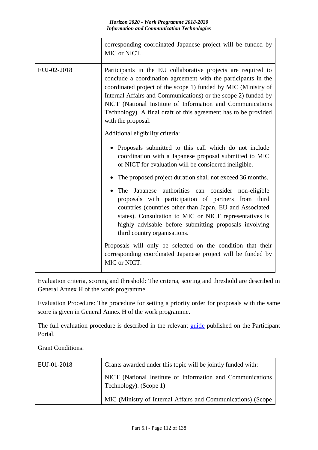|             | corresponding coordinated Japanese project will be funded by<br>MIC or NICT.                                                                                                                                                                                                                                                                                                                                               |
|-------------|----------------------------------------------------------------------------------------------------------------------------------------------------------------------------------------------------------------------------------------------------------------------------------------------------------------------------------------------------------------------------------------------------------------------------|
| EUJ-02-2018 | Participants in the EU collaborative projects are required to<br>conclude a coordination agreement with the participants in the<br>coordinated project of the scope 1) funded by MIC (Ministry of<br>Internal Affairs and Communications) or the scope 2) funded by<br>NICT (National Institute of Information and Communications<br>Technology). A final draft of this agreement has to be provided<br>with the proposal. |
|             | Additional eligibility criteria:                                                                                                                                                                                                                                                                                                                                                                                           |
|             | Proposals submitted to this call which do not include<br>coordination with a Japanese proposal submitted to MIC<br>or NICT for evaluation will be considered ineligible.                                                                                                                                                                                                                                                   |
|             | The proposed project duration shall not exceed 36 months.                                                                                                                                                                                                                                                                                                                                                                  |
|             | The Japanese authorities can consider non-eligible<br>proposals with participation of partners from third<br>countries (countries other than Japan, EU and Associated<br>states). Consultation to MIC or NICT representatives is<br>highly advisable before submitting proposals involving<br>third country organisations.                                                                                                 |
|             | Proposals will only be selected on the condition that their<br>corresponding coordinated Japanese project will be funded by<br>MIC or NICT.                                                                                                                                                                                                                                                                                |

Evaluation criteria, scoring and threshold: The criteria, scoring and threshold are described in General Annex H of the work programme.

Evaluation Procedure: The procedure for setting a priority order for proposals with the same score is given in General Annex H of the work programme.

The full evaluation procedure is described in the relevant [guide](http://ec.europa.eu/research/participants/docs/h2020-funding-guide/grants/applying-for-funding/submit-proposals_en.htm) published on the Participant Portal.

## **Grant Conditions:**

| EUJ-01-2018 | Grants awarded under this topic will be jointly funded with:                         |
|-------------|--------------------------------------------------------------------------------------|
|             | NICT (National Institute of Information and Communications<br>Technology). (Scope 1) |
|             | MIC (Ministry of Internal Affairs and Communications) (Scope                         |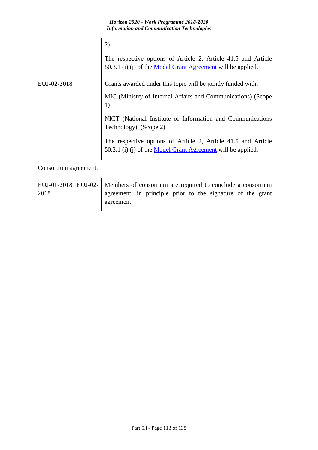|             | 2)                                                                                                                            |
|-------------|-------------------------------------------------------------------------------------------------------------------------------|
|             | The respective options of Article 2, Article 41.5 and Article<br>50.3.1 (i) (j) of the Model Grant Agreement will be applied. |
| EUJ-02-2018 | Grants awarded under this topic will be jointly funded with:                                                                  |
|             | MIC (Ministry of Internal Affairs and Communications) (Scope<br>1)                                                            |
|             | NICT (National Institute of Information and Communications<br>Technology). (Scope 2)                                          |
|             | The respective options of Article 2, Article 41.5 and Article<br>50.3.1 (i) (j) of the Model Grant Agreement will be applied. |

## Consortium agreement:

|      | EUJ-01-2018, EUJ-02-   Members of consortium are required to conclude a consortium |
|------|------------------------------------------------------------------------------------|
| 2018 | agreement, in principle prior to the signature of the grant                        |
|      | agreement.                                                                         |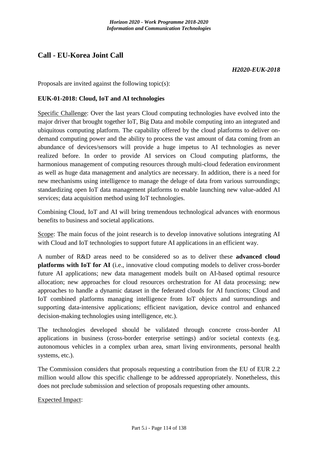## **Call - EU-Korea Joint Call**

### *H2020-EUK-2018*

Proposals are invited against the following topic(s):

### **EUK-01-2018: Cloud, IoT and AI technologies**

Specific Challenge: Over the last years Cloud computing technologies have evolved into the major driver that brought together IoT, Big Data and mobile computing into an integrated and ubiquitous computing platform. The capability offered by the cloud platforms to deliver ondemand computing power and the ability to process the vast amount of data coming from an abundance of devices/sensors will provide a huge impetus to AI technologies as never realized before. In order to provide AI services on Cloud computing platforms, the harmonious management of computing resources through multi-cloud federation environment as well as huge data management and analytics are necessary. In addition, there is a need for new mechanisms using intelligence to manage the deluge of data from various surroundings; standardizing open IoT data management platforms to enable launching new value-added AI services; data acquisition method using IoT technologies.

Combining Cloud, IoT and AI will bring tremendous technological advances with enormous benefits to business and societal applications.

Scope: The main focus of the joint research is to develop innovative solutions integrating AI with Cloud and IoT technologies to support future AI applications in an efficient way.

A number of R&D areas need to be considered so as to deliver these **advanced cloud platforms with IoT for AI** (i.e., innovative cloud computing models to deliver cross-border future AI applications; new data management models built on AI-based optimal resource allocation; new approaches for cloud resources orchestration for AI data processing; new approaches to handle a dynamic dataset in the federated clouds for AI functions; Cloud and IoT combined platforms managing intelligence from IoT objects and surroundings and supporting data-intensive applications; efficient navigation, device control and enhanced decision-making technologies using intelligence, etc.).

The technologies developed should be validated through concrete cross-border AI applications in business (cross-border enterprise settings) and/or societal contexts (e.g. autonomous vehicles in a complex urban area, smart living environments, personal health systems, etc.).

The Commission considers that proposals requesting a contribution from the EU of EUR 2.2 million would allow this specific challenge to be addressed appropriately. Nonetheless, this does not preclude submission and selection of proposals requesting other amounts.

Expected Impact: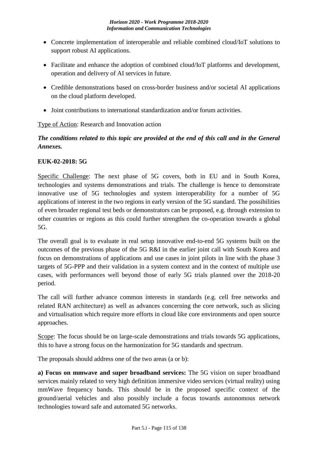- Concrete implementation of interoperable and reliable combined cloud/IoT solutions to support robust AI applications.
- Facilitate and enhance the adoption of combined cloud/IoT platforms and development, operation and delivery of AI services in future.
- Credible demonstrations based on cross-border business and/or societal AI applications on the cloud platform developed.
- Joint contributions to international standardization and/or forum activities.

## Type of Action: Research and Innovation action

## *The conditions related to this topic are provided at the end of this call and in the General Annexes.*

## **EUK-02-2018: 5G**

Specific Challenge: The next phase of 5G covers, both in EU and in South Korea, technologies and systems demonstrations and trials. The challenge is hence to demonstrate innovative use of 5G technologies and system interoperability for a number of 5G applications of interest in the two regions in early version of the 5G standard. The possibilities of even broader regional test beds or demonstrators can be proposed, e.g. through extension to other countries or regions as this could further strengthen the co-operation towards a global 5G.

The overall goal is to evaluate in real setup innovative end-to-end 5G systems built on the outcomes of the previous phase of the 5G R&I in the earlier joint call with South Korea and focus on demonstrations of applications and use cases in joint pilots in line with the phase 3 targets of 5G-PPP and their validation in a system context and in the context of multiple use cases, with performances well beyond those of early 5G trials planned over the 2018-20 period.

The call will further advance common interests in standards (e.g. cell free networks and related RAN architecture) as well as advances concerning the core network, such as slicing and virtualisation which require more efforts in cloud like core environments and open source approaches.

Scope: The focus should be on large-scale demonstrations and trials towards 5G applications, this to have a strong focus on the harmonization for 5G standards and spectrum.

The proposals should address one of the two areas (a or b):

**a) Focus on mmwave and super broadband services:** The 5G vision on super broadband services mainly related to very high definition immersive video services (virtual reality) using mmWave frequency bands. This should be in the proposed specific context of the ground/aerial vehicles and also possibly include a focus towards autonomous network technologies toward safe and automated 5G networks.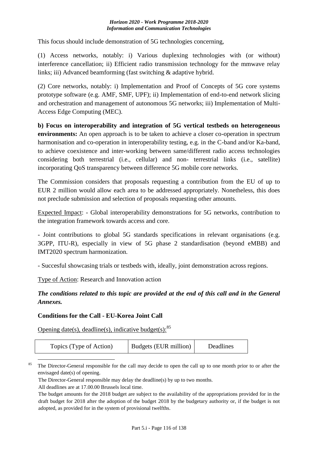This focus should include demonstration of 5G technologies concerning,

(1) Access networks, notably: i) Various duplexing technologies with (or without) interference cancellation; ii) Efficient radio transmission technology for the mmwave relay links; iii) Advanced beamforming (fast switching & adaptive hybrid.

(2) Core networks, notably: i) Implementation and Proof of Concepts of 5G core systems prototype software (e.g. AMF, SMF, UPF); ii) Implementation of end-to-end network slicing and orchestration and management of autonomous 5G networks; iii) Implementation of Multi-Access Edge Computing (MEC).

**b) Focus on interoperability and integration of 5G vertical testbeds on heterogeneous environments:** An open approach is to be taken to achieve a closer co-operation in spectrum harmonisation and co-operation in interoperability testing, e.g. in the C-band and/or Ka-band, to achieve coexistence and inter-working between same/different radio access technologies considering both terrestrial (i.e., cellular) and non- terrestrial links (i.e., satellite) incorporating QoS transparency between difference 5G mobile core networks.

The Commission considers that proposals requesting a contribution from the EU of up to EUR 2 million would allow each area to be addressed appropriately. Nonetheless, this does not preclude submission and selection of proposals requesting other amounts.

Expected Impact: - Global interoperability demonstrations for 5G networks, contribution to the integration framework towards access and core.

- Joint contributions to global 5G standards specifications in relevant organisations (e.g. 3GPP, ITU-R), especially in view of 5G phase 2 standardisation (beyond eMBB) and IMT2020 spectrum harmonization.

- Succesful showcasing trials or testbeds with, ideally, joint demonstration across regions.

Type of Action: Research and Innovation action

*The conditions related to this topic are provided at the end of this call and in the General Annexes.*

## **Conditions for the Call - EU-Korea Joint Call**

Opening date(s), deadline(s), indicative budget(s):  $85$ 

| Topics (Type of Action) | Budgets (EUR million) | Deadlines |
|-------------------------|-----------------------|-----------|
|-------------------------|-----------------------|-----------|

1 <sup>85</sup> The Director-General responsible for the call may decide to open the call up to one month prior to or after the envisaged date(s) of opening.

All deadlines are at 17.00.00 Brussels local time.

The Director-General responsible may delay the deadline(s) by up to two months.

The budget amounts for the 2018 budget are subject to the availability of the appropriations provided for in the draft budget for 2018 after the adoption of the budget 2018 by the budgetary authority or, if the budget is not adopted, as provided for in the system of provisional twelfths.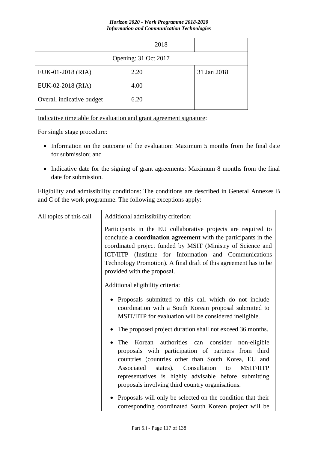|                           | 2018 |             |
|---------------------------|------|-------------|
| Opening: 31 Oct 2017      |      |             |
| EUK-01-2018 (RIA)         | 2.20 | 31 Jan 2018 |
| EUK-02-2018 (RIA)         | 4.00 |             |
| Overall indicative budget | 6.20 |             |

Indicative timetable for evaluation and grant agreement signature:

For single stage procedure:

- Information on the outcome of the evaluation: Maximum 5 months from the final date for submission; and
- Indicative date for the signing of grant agreements: Maximum 8 months from the final date for submission.

Eligibility and admissibility conditions: The conditions are described in General Annexes B and C of the work programme. The following exceptions apply:

| All topics of this call | Additional admissibility criterion:                                                                                                                                                                                                                                                                                                                         |
|-------------------------|-------------------------------------------------------------------------------------------------------------------------------------------------------------------------------------------------------------------------------------------------------------------------------------------------------------------------------------------------------------|
|                         | Participants in the EU collaborative projects are required to<br>conclude a coordination agreement with the participants in the<br>coordinated project funded by MSIT (Ministry of Science and<br>ICT/IITP (Institute for Information and Communications<br>Technology Promotion). A final draft of this agreement has to be<br>provided with the proposal. |
|                         | Additional eligibility criteria:                                                                                                                                                                                                                                                                                                                            |
|                         | • Proposals submitted to this call which do not include<br>coordination with a South Korean proposal submitted to<br>MSIT/IITP for evaluation will be considered ineligible.                                                                                                                                                                                |
|                         | • The proposed project duration shall not exceed 36 months.                                                                                                                                                                                                                                                                                                 |
|                         | Korean authorities can consider non-eligible<br>The<br>proposals with participation of partners from third<br>countries (countries other than South Korea, EU and<br>Associated<br>states). Consultation<br><b>MSIT/IITP</b><br>to<br>representatives is highly advisable before submitting<br>proposals involving third country organisations.             |
|                         | Proposals will only be selected on the condition that their<br>corresponding coordinated South Korean project will be                                                                                                                                                                                                                                       |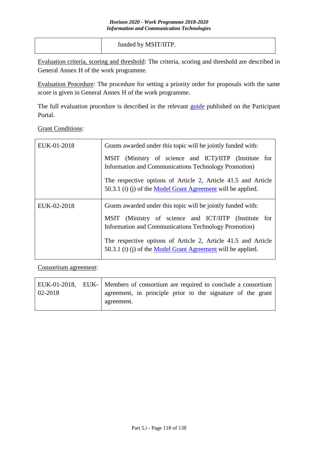| funded by MSIT/IITP. |
|----------------------|
|                      |

Evaluation criteria, scoring and threshold: The criteria, scoring and threshold are described in General Annex H of the work programme.

Evaluation Procedure: The procedure for setting a priority order for proposals with the same score is given in General Annex H of the work programme.

The full evaluation procedure is described in the relevant [guide](http://ec.europa.eu/research/participants/docs/h2020-funding-guide/grants/applying-for-funding/submit-proposals_en.htm) published on the Participant Portal.

Grant Conditions:

| EUK-01-2018 | Grants awarded under this topic will be jointly funded with:                                                                  |
|-------------|-------------------------------------------------------------------------------------------------------------------------------|
|             | MSIT (Ministry of science and ICT)/IITP (Institute for<br>Information and Communications Technology Promotion)                |
|             | The respective options of Article 2, Article 41.5 and Article<br>50.3.1 (i) (j) of the Model Grant Agreement will be applied. |
| EUK-02-2018 | Grants awarded under this topic will be jointly funded with:                                                                  |
|             | MSIT (Ministry of science and ICT/IITP (Institute for<br>Information and Communications Technology Promotion)                 |
|             | The respective options of Article 2, Article 41.5 and Article<br>50.3.1 (i) (j) of the Model Grant Agreement will be applied. |

Consortium agreement:

|             | EUK-01-2018, EUK- Members of consortium are required to conclude a consortium |  |  |  |  |  |  |  |
|-------------|-------------------------------------------------------------------------------|--|--|--|--|--|--|--|
| $02 - 2018$ | agreement, in principle prior to the signature of the grant                   |  |  |  |  |  |  |  |
|             | agreement.                                                                    |  |  |  |  |  |  |  |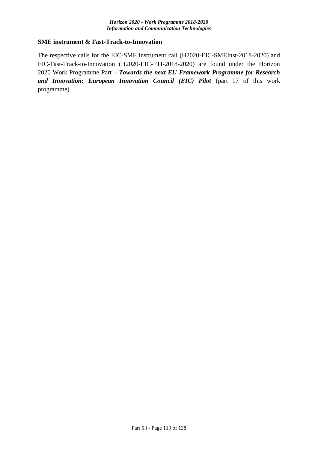### **SME instrument & Fast-Track-to-Innovation**

The respective calls for the EIC-SME instrument call (H2020-EIC-SMEInst-2018-2020) and EIC-Fast-Track-to-Innovation (H2020-EIC-FTI-2018-2020) are found under the Horizon 2020 Work Programme Part – *Towards the next EU Framework Programme for Research and Innovation: European Innovation Council (EIC) Pilot* (part 17 of this work programme).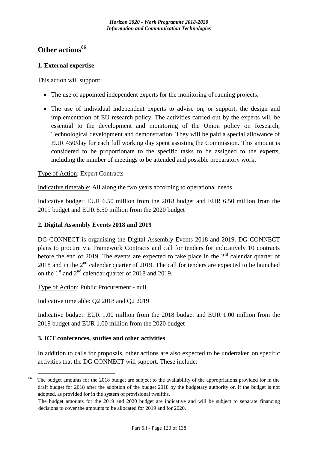## **Other actions<sup>86</sup>**

## **1. External expertise**

This action will support:

- The use of appointed independent experts for the monitoring of running projects.
- The use of individual independent experts to advise on, or support, the design and implementation of EU research policy. The activities carried out by the experts will be essential to the development and monitoring of the Union policy on Research, Technological development and demonstration. They will be paid a special allowance of EUR 450/day for each full working day spent assisting the Commission. This amount is considered to be proportionate to the specific tasks to be assigned to the experts, including the number of meetings to be attended and possible preparatory work.

## Type of Action: Expert Contracts

Indicative timetable: All along the two years according to operational needs.

Indicative budget: EUR 6.50 million from the 2018 budget and EUR 6.50 million from the 2019 budget and EUR 6.50 million from the 2020 budget

## **2. Digital Assembly Events 2018 and 2019**

DG CONNECT is organising the Digital Assembly Events 2018 and 2019. DG CONNECT plans to procure via Framework Contracts and call for tenders for indicatively 10 contracts before the end of 2019. The events are expected to take place in the  $2<sup>rd</sup>$  calendar quarter of 2018 and in the  $2<sup>nd</sup>$  calendar quarter of 2019. The call for tenders are expected to be launched on the  $1<sup>st</sup>$  and  $2<sup>nd</sup>$  calendar quarter of 2018 and 2019.

Type of Action: Public Procurement - null

Indicative timetable: Q2 2018 and Q2 2019

1

Indicative budget: EUR 1.00 million from the 2018 budget and EUR 1.00 million from the 2019 budget and EUR 1.00 million from the 2020 budget

## **3. ICT conferences, studies and other activities**

In addition to calls for proposals, other actions are also expected to be undertaken on specific activities that the DG CONNECT will support. These include:

The budget amounts for the 2018 budget are subject to the availability of the appropriations provided for in the draft budget for 2018 after the adoption of the budget 2018 by the budgetary authority or, if the budget is not adopted, as provided for in the system of provisional twelfths.

The budget amounts for the 2019 and 2020 budget are indicative and will be subject to separate financing decisions to cover the amounts to be allocated for 2019 and for 2020.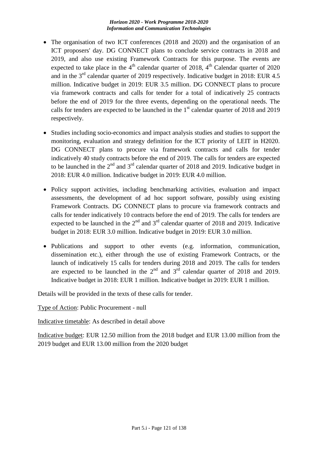- The organisation of two ICT conferences (2018 and 2020) and the organisation of an ICT proposers' day. DG CONNECT plans to conclude service contracts in 2018 and 2019, and also use existing Framework Contracts for this purpose. The events are expected to take place in the  $4<sup>th</sup>$  calendar quarter of 2018,  $4<sup>th</sup>$  Calendar quarter of 2020 and in the  $3<sup>rd</sup>$  calendar quarter of 2019 respectively. Indicative budget in 2018: EUR 4.5 million. Indicative budget in 2019: EUR 3.5 million. DG CONNECT plans to procure via framework contracts and calls for tender for a total of indicatively 25 contracts before the end of 2019 for the three events, depending on the operational needs. The calls for tenders are expected to be launched in the  $1<sup>st</sup>$  calendar quarter of 2018 and 2019 respectively.
- Studies including socio-economics and impact analysis studies and studies to support the monitoring, evaluation and strategy definition for the ICT priority of LEIT in H2020. DG CONNECT plans to procure via framework contracts and calls for tender indicatively 40 study contracts before the end of 2019. The calls for tenders are expected to be launched in the  $2^{nd}$  and  $3^{rd}$  calendar quarter of 2018 and 2019. Indicative budget in 2018: EUR 4.0 million. Indicative budget in 2019: EUR 4.0 million.
- Policy support activities, including benchmarking activities, evaluation and impact assessments, the development of ad hoc support software, possibly using existing Framework Contracts. DG CONNECT plans to procure via framework contracts and calls for tender indicatively 10 contracts before the end of 2019. The calls for tenders are expected to be launched in the  $2<sup>nd</sup>$  and  $3<sup>rd</sup>$  calendar quarter of 2018 and 2019. Indicative budget in 2018: EUR 3.0 million. Indicative budget in 2019: EUR 3.0 million.
- Publications and support to other events (e.g. information, communication, dissemination etc.), either through the use of existing Framework Contracts, or the launch of indicatively 15 calls for tenders during 2018 and 2019. The calls for tenders are expected to be launched in the  $2<sup>nd</sup>$  and  $3<sup>rd</sup>$  calendar quarter of 2018 and 2019. Indicative budget in 2018: EUR 1 million. Indicative budget in 2019: EUR 1 million.

Details will be provided in the texts of these calls for tender.

Type of Action: Public Procurement - null

Indicative timetable: As described in detail above

Indicative budget: EUR 12.50 million from the 2018 budget and EUR 13.00 million from the 2019 budget and EUR 13.00 million from the 2020 budget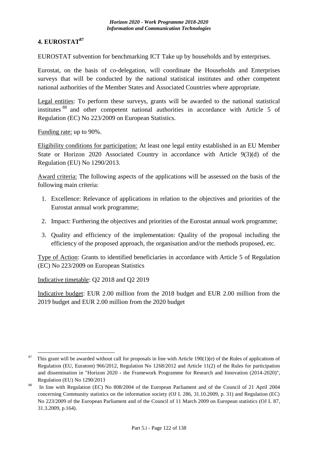## **4. EUROSTAT<sup>87</sup>**

EUROSTAT subvention for benchmarking ICT Take up by households and by enterprises.

Eurostat, on the basis of co-delegation, will coordinate the Households and Enterprises surveys that will be conducted by the national statistical institutes and other competent national authorities of the Member States and Associated Countries where appropriate.

Legal entities: To perform these surveys, grants will be awarded to the national statistical institutes <sup>88</sup> and other competent national authorities in accordance with Article 5 of Regulation (EC) No 223/2009 on European Statistics.

Funding rate: up to 90%.

Eligibility conditions for participation: At least one legal entity established in an EU Member State or Horizon 2020 Associated Country in accordance with Article 9(3)(d) of the Regulation (EU) No 1290/2013.

Award criteria: The following aspects of the applications will be assessed on the basis of the following main criteria:

- 1. Excellence: Relevance of applications in relation to the objectives and priorities of the Eurostat annual work programme;
- 2. Impact: Furthering the objectives and priorities of the Eurostat annual work programme;
- 3. Quality and efficiency of the implementation: Quality of the proposal including the efficiency of the proposed approach, the organisation and/or the methods proposed, etc.

Type of Action: Grants to identified beneficiaries in accordance with Article 5 of Regulation (EC) No 223/2009 on European Statistics

Indicative timetable: Q2 2018 and Q2 2019

Indicative budget: EUR 2.00 million from the 2018 budget and EUR 2.00 million from the 2019 budget and EUR 2.00 million from the 2020 budget

<sup>&</sup>lt;u>.</u> <sup>87</sup> This grant will be awarded without call for proposals in line with Article 190(1)(e) of the Rules of applications of Regulation (EU, Euratom) 966/2012, Regulation No 1268/2012 and Article 11(2) of the Rules for participation and dissemination in "Horizon 2020 - the Framework Programme for Research and Innovation (2014-2020)", Regulation (EU) No 1290/2013

<sup>&</sup>lt;sup>88</sup> In line with Regulation (EC) No 808/2004 of the European Parliament and of the Council of 21 April 2004 concerning Community statistics on the information society (OJ L 286, 31.10.2009, p. 31) and Regulation (EC) No 223/2009 of the European Parliament and of the Council of 11 March 2009 on European statistics (OJ L 87, 31.3.2009, p.164).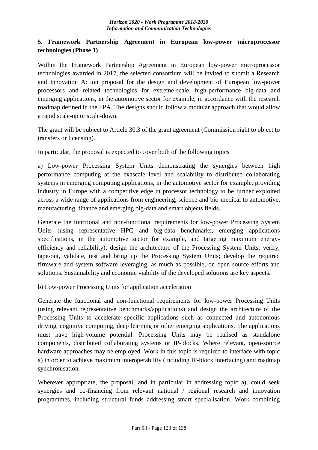## **5. Framework Partnership Agreement in European low-power microprocessor technologies (Phase 1)**

Within the Framework Partnership Agreement in European low-power microprocessor technologies awarded in 2017, the selected consortium will be invited to submit a Research and Innovation Action proposal for the design and development of European low-power processors and related technologies for extreme-scale, high-performance big-data and emerging applications, in the automotive sector for example, in accordance with the research roadmap defined in the FPA. The designs should follow a modular approach that would allow a rapid scale-up or scale-down.

The grant will be subject to Article 30.3 of the grant agreement (Commission right to object to transfers or licensing).

In particular, the proposal is expected to cover both of the following topics

a) Low-power Processing System Units demonstrating the synergies between high performance computing at the exascale level and scalability to distributed collaborating systems in emerging computing applications, in the automotive sector for example, providing industry in Europe with a competitive edge in processor technology to be further exploited across a wide range of applications from engineering, science and bio-medical to automotive, manufacturing, finance and emerging big-data and smart objects fields.

Generate the functional and non-functional requirements for low-power Processing System Units (using representative HPC and big-data benchmarks, emerging applications specifications, in the automotive sector for example, and targeting maximum energyefficiency and reliability); design the architecture of the Processing System Units; verify, tape-out, validate, test and bring up the Processing System Units; develop the required firmware and system software leveraging, as much as possible, on open source efforts and solutions. Sustainability and economic viability of the developed solutions are key aspects.

b) Low-power Processing Units for application acceleration

Generate the functional and non-functional requirements for low-power Processing Units (using relevant representative benchmarks/applications) and design the architecture of the Processing Units to accelerate specific applications such as connected and autonomous driving, cognitive computing, deep learning or other emerging applications. The applications must have high-volume potential. Processing Units may be realised as standalone components, distributed collaborating systems or IP-blocks. Where relevant, open-source hardware approaches may be employed. Work in this topic is required to interface with topic a) in order to achieve maximum interoperability (including IP-block interfacing) and roadmap synchronisation.

Wherever appropriate, the proposal, and in particular in addressing topic a), could seek synergies and co-financing from relevant national / regional research and innovation programmes, including structural funds addressing smart specialisation. Work combining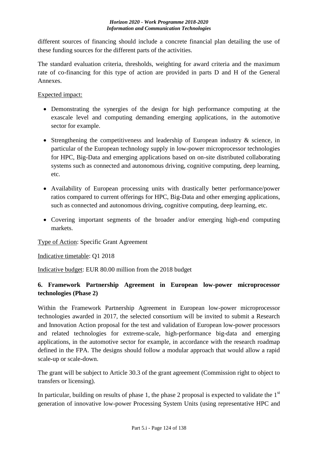different sources of financing should include a concrete financial plan detailing the use of these funding sources for the different parts of the activities.

The standard evaluation criteria, thresholds, weighting for award criteria and the maximum rate of co-financing for this type of action are provided in parts D and H of the General Annexes.

Expected impact:

- Demonstrating the synergies of the design for high performance computing at the exascale level and computing demanding emerging applications, in the automotive sector for example.
- Strengthening the competitiveness and leadership of European industry & science, in particular of the European technology supply in low-power microprocessor technologies for HPC, Big-Data and emerging applications based on on-site distributed collaborating systems such as connected and autonomous driving, cognitive computing, deep learning, etc.
- Availability of European processing units with drastically better performance/power ratios compared to current offerings for HPC, Big-Data and other emerging applications, such as connected and autonomous driving, cognitive computing, deep learning, etc.
- Covering important segments of the broader and/or emerging high-end computing markets.

Type of Action: Specific Grant Agreement

Indicative timetable: Q1 2018

Indicative budget: EUR 80.00 million from the 2018 budget

## **6. Framework Partnership Agreement in European low-power microprocessor technologies (Phase 2)**

Within the Framework Partnership Agreement in European low-power microprocessor technologies awarded in 2017, the selected consortium will be invited to submit a Research and Innovation Action proposal for the test and validation of European low-power processors and related technologies for extreme-scale, high-performance big-data and emerging applications, in the automotive sector for example, in accordance with the research roadmap defined in the FPA. The designs should follow a modular approach that would allow a rapid scale-up or scale-down.

The grant will be subject to Article 30.3 of the grant agreement (Commission right to object to transfers or licensing).

In particular, building on results of phase 1, the phase 2 proposal is expected to validate the  $1<sup>st</sup>$ generation of innovative low-power Processing System Units (using representative HPC and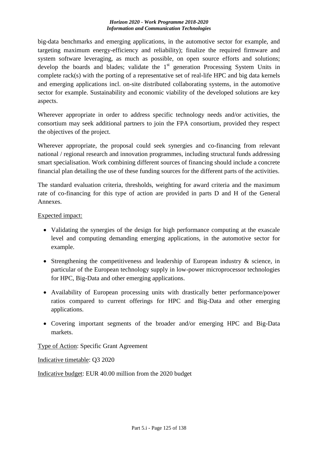big-data benchmarks and emerging applications, in the automotive sector for example, and targeting maximum energy-efficiency and reliability); finalize the required firmware and system software leveraging, as much as possible, on open source efforts and solutions; develop the boards and blades; validate the  $1<sup>st</sup>$  generation Processing System Units in complete rack(s) with the porting of a representative set of real-life HPC and big data kernels and emerging applications incl. on-site distributed collaborating systems, in the automotive sector for example. Sustainability and economic viability of the developed solutions are key aspects.

Wherever appropriate in order to address specific technology needs and/or activities, the consortium may seek additional partners to join the FPA consortium, provided they respect the objectives of the project.

Wherever appropriate, the proposal could seek synergies and co-financing from relevant national / regional research and innovation programmes, including structural funds addressing smart specialisation. Work combining different sources of financing should include a concrete financial plan detailing the use of these funding sources for the different parts of the activities.

The standard evaluation criteria, thresholds, weighting for award criteria and the maximum rate of co-financing for this type of action are provided in parts D and H of the General Annexes.

## Expected impact:

- Validating the synergies of the design for high performance computing at the exascale level and computing demanding emerging applications, in the automotive sector for example.
- Strengthening the competitiveness and leadership of European industry  $\&$  science, in particular of the European technology supply in low-power microprocessor technologies for HPC, Big-Data and other emerging applications.
- Availability of European processing units with drastically better performance/power ratios compared to current offerings for HPC and Big-Data and other emerging applications.
- Covering important segments of the broader and/or emerging HPC and Big-Data markets.

Type of Action: Specific Grant Agreement

Indicative timetable: Q3 2020

Indicative budget: EUR 40.00 million from the 2020 budget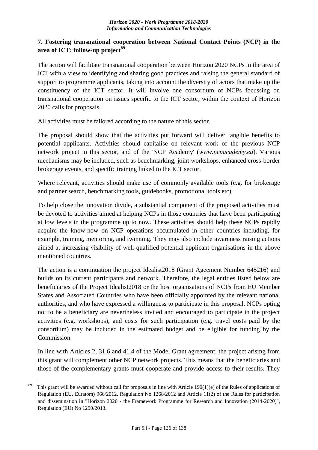## **7. Fostering transnational cooperation between National Contact Points (NCP) in the area of ICT: follow-up project<sup>89</sup>**

The action will facilitate transnational cooperation between Horizon 2020 NCPs in the area of ICT with a view to identifying and sharing good practices and raising the general standard of support to programme applicants, taking into account the diversity of actors that make up the constituency of the ICT sector. It will involve one consortium of NCPs focussing on transnational cooperation on issues specific to the ICT sector, within the context of Horizon 2020 calls for proposals.

All activities must be tailored according to the nature of this sector.

The proposal should show that the activities put forward will deliver tangible benefits to potential applicants. Activities should capitalise on relevant work of the previous NCP network project in this sector, and of the 'NCP Academy' (*www.ncpacademy.eu*). Various mechanisms may be included, such as benchmarking, joint workshops, enhanced cross-border brokerage events, and specific training linked to the ICT sector.

Where relevant, activities should make use of commonly available tools (e.g. for brokerage and partner search, benchmarking tools, guidebooks, promotional tools etc).

To help close the innovation divide, a substantial component of the proposed activities must be devoted to activities aimed at helping NCPs in those countries that have been participating at low levels in the programme up to now. These activities should help these NCPs rapidly acquire the know-how on NCP operations accumulated in other countries including, for example, training, mentoring, and twinning. They may also include awareness raising actions aimed at increasing visibility of well-qualified potential applicant organisations in the above mentioned countries.

The action is a continuation the project Idealist2018 (Grant Ageement Number 645216) and builds on its current participants and network. Therefore, the legal entities listed below are beneficiaries of the Project Idealist2018 or the host organisations of NCPs from EU Member States and Associated Countries who have been officially appointed by the relevant national authorities, and who have expressed a willingness to participate in this proposal. NCPs opting not to be a beneficiary are nevertheless invited and encouraged to participate in the project activities (e.g. workshops), and costs for such participation (e.g. travel costs paid by the consortium) may be included in the estimated budget and be eligible for funding by the Commission.

In line with Articles 2, 31.6 and 41.4 of the Model Grant agreement, the project arising from this grant will complement other NCP network projects. This means that the beneficiaries and those of the complementary grants must cooperate and provide access to their results. They

<sup>1</sup> <sup>89</sup> This grant will be awarded without call for proposals in line with Article 190(1)(e) of the Rules of applications of Regulation (EU, Euratom) 966/2012, Regulation No 1268/2012 and Article 11(2) of the Rules for participation and dissemination in "Horizon 2020 - the Framework Programme for Research and Innovation (2014-2020)", Regulation (EU) No 1290/2013.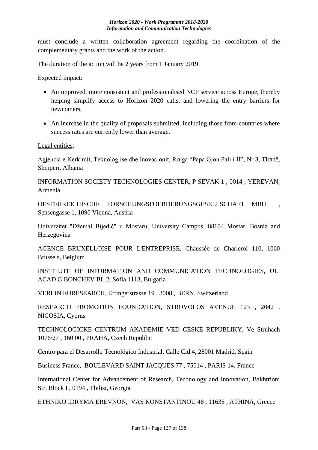must conclude a written collaboration agreement regarding the coordination of the complementary grants and the work of the action.

The duration of the action will be 2 years from 1 January 2019.

Expected impact:

- An improved, more consistent and professionalised NCP service across Europe, thereby helping simplify access to Horizon 2020 calls, and lowering the entry barriers for newcomers,
- An increase in the quality of proposals submitted, including those from countries where success rates are currently lower than average.

Legal entities:

Agjencia e Kerkimit, Teknologjise dhe Inovacionit, Rruga "Papa Gjon Pali i II", Nr 3, Tiranë, Shqipëri, Albania

INFORMATION SOCIETY TECHNOLOGIES CENTER, P SEVAK 1 , 0014 , YEREVAN, Armenia

OESTERREICHISCHE FORSCHUNGSFOERDERUNGSGESELLSCHAFT MBH , Sensengasse 1, 1090 Vienna, Austria

Univerzitet "Džemal Bijedić" u Mostaru, University Campus, 88104 Mostar, Bosnia and Herzegovina

AGENCE BRUXELLOISE POUR L'ENTREPRISE, Chaussée de Charleroi 110, 1060 Brussels, Belgium

INSTITUTE OF INFORMATION AND COMMUNICATION TECHNOLOGIES, UL. ACAD G BONCHEV BL 2, Sofia 1113, Bulgaria

VEREIN EURESEARCH, Effingerstrasse 19 , 3008 , BERN, Switzerland

RESEARCH PROMOTION FOUNDATION, STROVOLOS AVENUE 123 , 2042 , NICOSIA, Cyprus

TECHNOLOGICKE CENTRUM AKADEMIE VED CESKE REPUBLIKY, Ve Struhach 1076/27 , 160 00 , PRAHA, Czech Republic

Centro para el Desarrollo Tecnológico Industrial, Calle Cid 4, 28001 Madrid, Spain

Business France, BOULEVARD SAINT JACQUES 77 , 75014 , PARIS 14, France

International Center for Advancement of Research, Technology and Innovation, Bakhtrioni Str. Block I , 0194 , Tbilisi, Georgia

ETHNIKO IDRYMA EREVNON, VAS KONSTANTINOU 48 , 11635 , ATHINA, Greece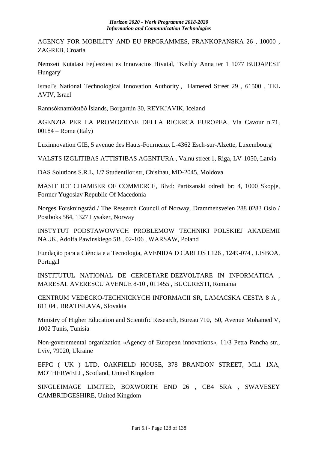AGENCY FOR MOBILITY AND EU PRPGRAMMES, FRANKOPANSKA 26 , 10000 , ZAGREB, Croatia

Nemzeti Kutatasi Fejlesztesi es Innovacios Hivatal, "Kethly Anna ter 1 1077 BUDAPEST Hungary"

Israel's National Technological Innovation Authority , Hamered Street 29 , 61500 , TEL AVIV, Israel

Rannsóknamiðstöð Íslands, Borgartún 30, REYKJAVIK, Iceland

AGENZIA PER LA PROMOZIONE DELLA RICERCA EUROPEA, Via Cavour n.71, 00184 – Rome (Italy)

Luxinnovation GIE, 5 avenue des Hauts-Fourneaux L-4362 Esch-sur-Alzette, Luxembourg

VALSTS IZGLITIBAS ATTISTIBAS AGENTURA , Valnu street 1, Riga, LV-1050, Latvia

DAS Solutions S.R.L, 1/7 Studentilor str, Chisinau, MD-2045, Moldova

MASIT ICT CHAMBER OF COMMERCE, Blvd: Partizanski odredi br: 4, 1000 Skopje, Former Yugoslav Republic Of Macedonia

Norges Forskningsråd / The Research Council of Norway, Drammensveien 288 0283 Oslo / Postboks 564, 1327 Lysaker, Norway

INSTYTUT PODSTAWOWYCH PROBLEMOW TECHNIKI POLSKIEJ AKADEMII NAUK, Adolfa Pawinskiego 5B , 02-106 , WARSAW, Poland

Fundação para a Ciência e a Tecnologia, AVENIDA D CARLOS I 126 , 1249-074 , LISBOA, Portugal

INSTITUTUL NATIONAL DE CERCETARE-DEZVOLTARE IN INFORMATICA , MARESAL AVERESCU AVENUE 8-10 , 011455 , BUCURESTI, Romania

CENTRUM VEDECKO-TECHNICKYCH INFORMACII SR, LAMACSKA CESTA 8 A , 811 04 , BRATISLAVA, Slovakia

Ministry of Higher Education and Scientific Research, Bureau 710, 50, Avenue Mohamed V, 1002 Tunis, Tunisia

Non-governmental organization «Agency of European innovations», 11/3 Petra Pancha str., Lviv, 79020, Ukraine

EFPC ( UK ) LTD, OAKFIELD HOUSE, 378 BRANDON STREET, ML1 1XA, MOTHERWELL, Scotland, United Kingdom

SINGLEIMAGE LIMITED, BOXWORTH END 26 , CB4 5RA , SWAVESEY CAMBRIDGESHIRE, United Kingdom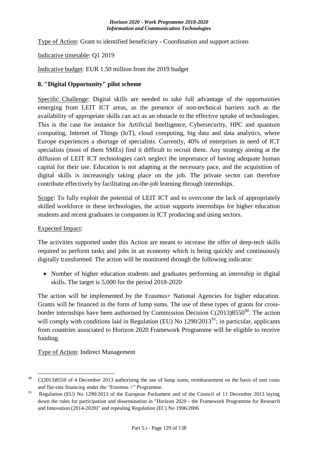Type of Action: Grant to identified beneficiary - Coordination and support actions

## Indicative timetable: Q1 2019

Indicative budget: EUR 1.50 million from the 2019 budget

### **8. "Digital Opportunity" pilot scheme**

Specific Challenge: Digital skills are needed to take full advantage of the opportunities emerging from LEIT ICT areas, as the presence of non-technical barriers such as the availability of appropriate skills can act as an obstacle to the effective uptake of technologies. This is the case for instance for Artificial Intelligence, Cybersecurity, HPC and quantum computing, Internet of Things (IoT), cloud computing, big data and data analytics, where Europe experiences a shortage of specialists. Currently, 40% of enterprises in need of ICT specialists (most of them SMEs) find it difficult to recruit them. Any strategy aiming at the diffusion of LEIT ICT technologies can't neglect the importance of having adequate human capital for their use. Education is not adapting at the necessary pace, and the acquisition of digital skills is increasingly taking place on the job. The private sector can therefore contribute effectively by facilitating on-the-job learning through internships.

Scope: To fully exploit the potential of LEIT ICT and to overcome the lack of appropriately skilled workforce in these technologies, the action supports internships for higher education students and recent graduates in companies in ICT producing and using sectors.

### Expected Impact:

1

The activities supported under this Action are meant to increase the offer of deep-tech skills required to perform tasks and jobs in an economy which is being quickly and continuously digitally transformed. The action will be monitored through the following indicator:

• Number of higher education students and graduates performing an internship in digital skills. The target is 5,000 for the period 2018-2020

The action will be implemented by the Erasmus+ National Agencies for higher education. Grants will be financed in the form of lump sums. The use of these types of grants for crossborder internships have been authorised by Commission Decision  $C(2013)8550^{90}$ . The action will comply with conditions laid in Regulation (EU) No  $1290/2013^{91}$ ; in particular, applicants from countries associated to Horizon 2020 Framework Programme will be eligible to receive funding.

Type of Action: Indirect Management

 $^{90}$  C(2013)8550 of 4 December 2013 authorising the use of lump sums, reimbursement on the basis of unit costs and flat-rate financing under the "Erasmus +" Programme.

<sup>&</sup>lt;sup>91</sup> Regulation (EU) No 1290/2013 of the European Parliament and of the Council of 11 December 2013 laying down the rules for participation and dissemination in "Horizon 2020 - the Framework Programme for Research and Innovation (2014-2020)" and repealing Regulation (EC) No 1906/2006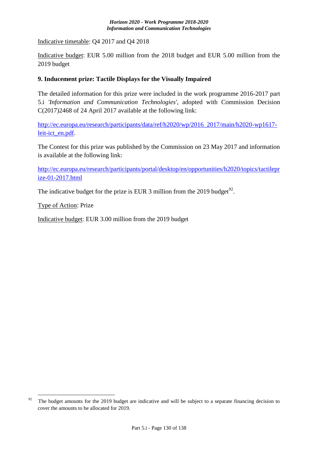Indicative timetable: Q4 2017 and Q4 2018

Indicative budget: EUR 5.00 million from the 2018 budget and EUR 5.00 million from the 2019 budget

### **9. Inducement prize: Tactile Displays for the Visually Impaired**

The detailed information for this prize were included in the work programme 2016-2017 part 5.i *'Information and Communication Technologies'*, adopted with Commission Decision C(2017)2468 of 24 April 2017 available at the following link:

[http://ec.europa.eu/research/participants/data/ref/h2020/wp/2016\\_2017/main/h2020-wp1617](http://ec.europa.eu/research/participants/data/ref/h2020/wp/2016_2017/main/h2020-wp1617-leit-ict_en.pdf) [leit-ict\\_en.pdf.](http://ec.europa.eu/research/participants/data/ref/h2020/wp/2016_2017/main/h2020-wp1617-leit-ict_en.pdf)

The Contest for this prize was published by the Commission on 23 May 2017 and information is available at the following link:

[http://ec.europa.eu/research/participants/portal/desktop/en/opportunities/h2020/topics/tactilepr](http://ec.europa.eu/research/participants/portal/desktop/en/opportunities/h2020/topics/tactileprize-01-2017.html) [ize-01-2017.html](http://ec.europa.eu/research/participants/portal/desktop/en/opportunities/h2020/topics/tactileprize-01-2017.html)

The indicative budget for the prize is EUR 3 million from the 2019 budget<sup>92</sup>.

Type of Action: Prize

1

Indicative budget: EUR 3.00 million from the 2019 budget

<sup>&</sup>lt;sup>92</sup> The budget amounts for the 2019 budget are indicative and will be subject to a separate financing decision to cover the amounts to be allocated for 2019.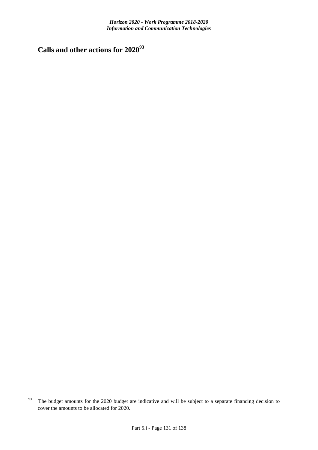**Calls and other actions for 2020<sup>93</sup>**

<sup>1</sup> <sup>93</sup> The budget amounts for the 2020 budget are indicative and will be subject to a separate financing decision to cover the amounts to be allocated for 2020.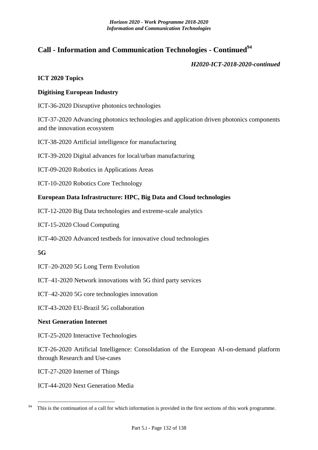## **Call - Information and Communication Technologies - Continued<sup>94</sup>**

*H2020-ICT-2018-2020-continued*

### **ICT 2020 Topics**

### **Digitising European Industry**

ICT-36-2020 Disruptive photonics technologies

ICT-37-2020 Advancing photonics technologies and application driven photonics components and the innovation ecosystem

ICT-38-2020 Artificial intelligence for manufacturing

ICT-39-2020 Digital advances for local/urban manufacturing

ICT-09-2020 Robotics in Applications Areas

ICT-10-2020 Robotics Core Technology

### **European Data Infrastructure: HPC, Big Data and Cloud technologies**

ICT-12-2020 Big Data technologies and extreme-scale analytics

ICT-15-2020 Cloud Computing

ICT-40-2020 Advanced testbeds for innovative cloud technologies

### **5G**

<u>.</u>

ICT–20-2020 5G Long Term Evolution

ICT–41-2020 Network innovations with 5G third party services

ICT–42-2020 5G core technologies innovation

ICT-43-2020 EU-Brazil 5G collaboration

### **Next Generation Internet**

ICT-25-2020 Interactive Technologies

ICT-26-2020 Artificial Intelligence: Consolidation of the European AI-on-demand platform through Research and Use-cases

ICT-27-2020 Internet of Things

ICT-44-2020 Next Generation Media

This is the continuation of a call for which information is provided in the first sections of this work programme.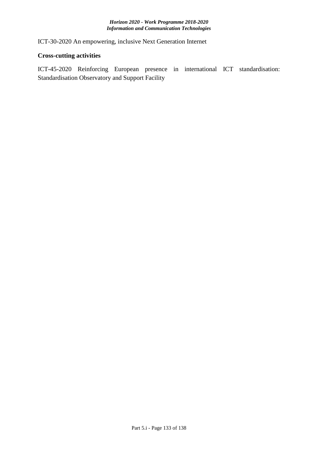ICT-30-2020 An empowering, inclusive Next Generation Internet

### **Cross-cutting activities**

ICT-45-2020 Reinforcing European presence in international ICT standardisation: Standardisation Observatory and Support Facility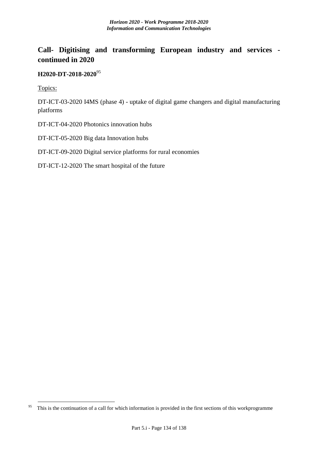# **Call- Digitising and transforming European industry and services continued in 2020**

## **H2020-DT-2018-2020**<sup>95</sup>

Topics:

<u>.</u>

DT-ICT-03-2020 I4MS (phase 4) - uptake of digital game changers and digital manufacturing platforms

DT-ICT-04-2020 Photonics innovation hubs

DT-ICT-05-2020 Big data Innovation hubs

DT-ICT-09-2020 Digital service platforms for rural economies

DT-ICT-12-2020 The smart hospital of the future

<sup>&</sup>lt;sup>95</sup> This is the continuation of a call for which information is provided in the first sections of this workprogramme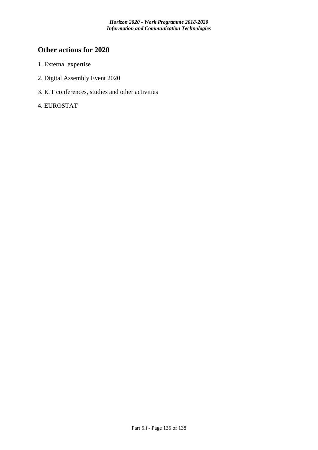# **Other actions for 2020**

- 1. External expertise
- 2. Digital Assembly Event 2020
- 3. ICT conferences, studies and other activities
- 4. EUROSTAT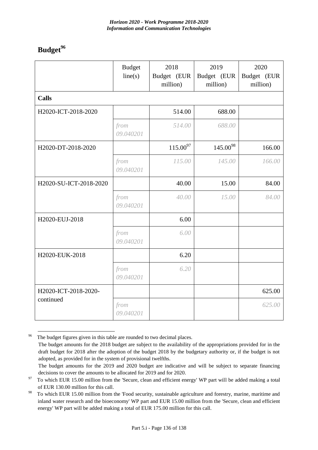# **Budget<sup>96</sup>**

<u>.</u>

|                        | <b>Budget</b><br>line(s) | 2018<br>Budget (EUR<br>million) | 2019<br>Budget (EUR<br>million) | 2020<br>Budget (EUR<br>million) |
|------------------------|--------------------------|---------------------------------|---------------------------------|---------------------------------|
| <b>Calls</b>           |                          |                                 |                                 |                                 |
| H2020-ICT-2018-2020    |                          | 514.00                          | 688.00                          |                                 |
|                        | from<br>09.040201        | 514.00                          | 688.00                          |                                 |
| H2020-DT-2018-2020     |                          | $115.00^{97}$                   | $145.00^{98}$                   | 166.00                          |
|                        | from<br>09.040201        | 115.00                          | 145.00                          | 166.00                          |
| H2020-SU-ICT-2018-2020 |                          | 40.00                           | 15.00                           | 84.00                           |
|                        | from<br>09.040201        | 40.00                           | 15.00                           | 84.00                           |
| H2020-EUJ-2018         |                          | 6.00                            |                                 |                                 |
|                        | from<br>09.040201        | 6.00                            |                                 |                                 |
| H2020-EUK-2018         |                          | 6.20                            |                                 |                                 |
|                        | from<br>09.040201        | 6.20                            |                                 |                                 |
| H2020-ICT-2018-2020-   |                          |                                 |                                 | 625.00                          |
| continued              | from<br>09.040201        |                                 |                                 | 625.00                          |

<sup>&</sup>lt;sup>96</sup> The budget figures given in this table are rounded to two decimal places. The budget amounts for the 2018 budget are subject to the availability of the appropriations provided for in the draft budget for 2018 after the adoption of the budget 2018 by the budgetary authority or, if the budget is not adopted, as provided for in the system of provisional twelfths.

The budget amounts for the 2019 and 2020 budget are indicative and will be subject to separate financing decisions to cover the amounts to be allocated for 2019 and for 2020.

<sup>&</sup>lt;sup>97</sup> To which EUR 15.00 million from the 'Secure, clean and efficient energy' WP part will be added making a total of EUR 130.00 million for this call.

<sup>&</sup>lt;sup>98</sup> To which EUR 15.00 million from the 'Food security, sustainable agriculture and forestry, marine, maritime and inland water research and the bioeconomy' WP part and EUR 15.00 million from the 'Secure, clean and efficient energy' WP part will be added making a total of EUR 175.00 million for this call.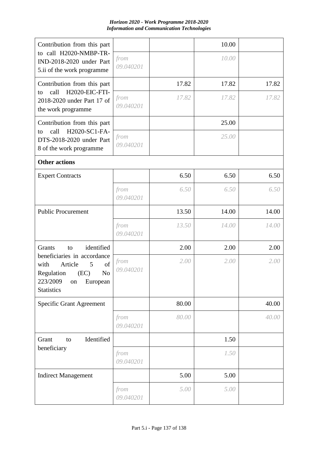| Contribution from this part                                                                                                                          |                   |       | 10.00 |       |
|------------------------------------------------------------------------------------------------------------------------------------------------------|-------------------|-------|-------|-------|
| to call H2020-NMBP-TR-<br>IND-2018-2020 under Part<br>5.ii of the work programme                                                                     | from<br>09.040201 |       | 10.00 |       |
| Contribution from this part                                                                                                                          |                   | 17.82 | 17.82 | 17.82 |
| H2020-EIC-FTI-<br>call<br>to<br>2018-2020 under Part 17 of<br>the work programme                                                                     | from<br>09.040201 | 17.82 | 17.82 | 17.82 |
| Contribution from this part                                                                                                                          |                   |       | 25.00 |       |
| H2020-SC1-FA-<br>call<br>to<br>DTS-2018-2020 under Part<br>8 of the work programme                                                                   | from<br>09.040201 |       | 25.00 |       |
| <b>Other actions</b>                                                                                                                                 |                   |       |       |       |
| <b>Expert Contracts</b>                                                                                                                              |                   | 6.50  | 6.50  | 6.50  |
|                                                                                                                                                      | from<br>09.040201 | 6.50  | 6.50  | 6.50  |
| <b>Public Procurement</b>                                                                                                                            |                   | 13.50 | 14.00 | 14.00 |
|                                                                                                                                                      | from<br>09.040201 | 13.50 | 14.00 | 14.00 |
| identified<br>Grants<br>to                                                                                                                           |                   | 2.00  | 2.00  | 2.00  |
| beneficiaries in accordance<br>with<br>Article<br>of<br>5<br>N <sub>o</sub><br>Regulation<br>(EC)<br>223/2009<br>European<br>on<br><b>Statistics</b> | from<br>09.040201 | 2.00  | 2.00  | 2.00  |
| <b>Specific Grant Agreement</b>                                                                                                                      |                   | 80.00 |       | 40.00 |
|                                                                                                                                                      | from<br>09.040201 | 80.00 |       | 40.00 |
| Grant<br>Identified<br>to                                                                                                                            |                   |       | 1.50  |       |
| beneficiary                                                                                                                                          | from<br>09.040201 |       | 1.50  |       |
| <b>Indirect Management</b>                                                                                                                           |                   | 5.00  | 5.00  |       |
|                                                                                                                                                      | from<br>09.040201 | 5.00  | 5.00  |       |